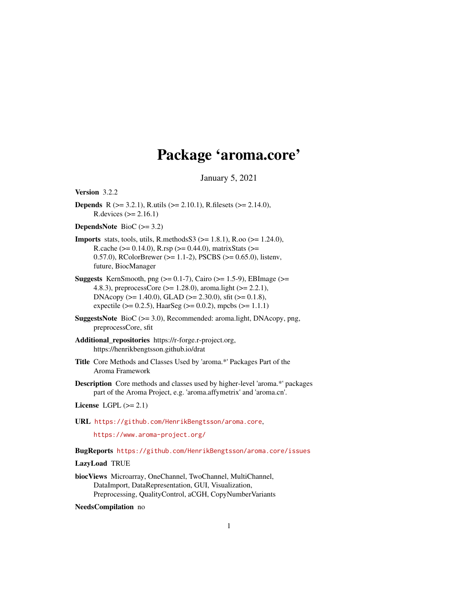# Package 'aroma.core'

January 5, 2021

<span id="page-0-0"></span>Version 3.2.2

**Depends** R ( $>= 3.2.1$ ), R.utils ( $>= 2.10.1$ ), R.filesets ( $>= 2.14.0$ ), R.devices (>= 2.16.1)

DependsNote BioC (>= 3.2)

- **Imports** stats, tools, utils, R.methods  $S3$  ( $> = 1.8.1$ ), R.oo ( $> = 1.24.0$ ), R.cache ( $> = 0.14.0$ ), R.rsp ( $> = 0.44.0$ ), matrixStats ( $> =$ 0.57.0), RColorBrewer (>= 1.1-2), PSCBS (>= 0.65.0), listenv, future, BiocManager
- **Suggests** KernSmooth, png  $(>= 0.1-7)$ , Cairo  $(>= 1.5-9)$ , EBImage  $(>= 1.5-9)$ 4.8.3), preprocessCore (>= 1.28.0), aroma.light (>= 2.2.1), DNAcopy (>= 1.40.0), GLAD (>= 2.30.0), sfit (>= 0.1.8), expectile ( $> = 0.2.5$ ), HaarSeg ( $> = 0.0.2$ ), mpcbs ( $> = 1.1.1$ )
- SuggestsNote BioC (>= 3.0), Recommended: aroma.light, DNAcopy, png, preprocessCore, sfit
- Additional\_repositories https://r-forge.r-project.org, https://henrikbengtsson.github.io/drat
- Title Core Methods and Classes Used by 'aroma.\*' Packages Part of the Aroma Framework
- Description Core methods and classes used by higher-level 'aroma.\*' packages part of the Aroma Project, e.g. 'aroma.affymetrix' and 'aroma.cn'.

License LGPL  $(>= 2.1)$ 

URL <https://github.com/HenrikBengtsson/aroma.core>,

<https://www.aroma-project.org/>

BugReports <https://github.com/HenrikBengtsson/aroma.core/issues>

### LazyLoad TRUE

biocViews Microarray, OneChannel, TwoChannel, MultiChannel, DataImport, DataRepresentation, GUI, Visualization, Preprocessing, QualityControl, aCGH, CopyNumberVariants

NeedsCompilation no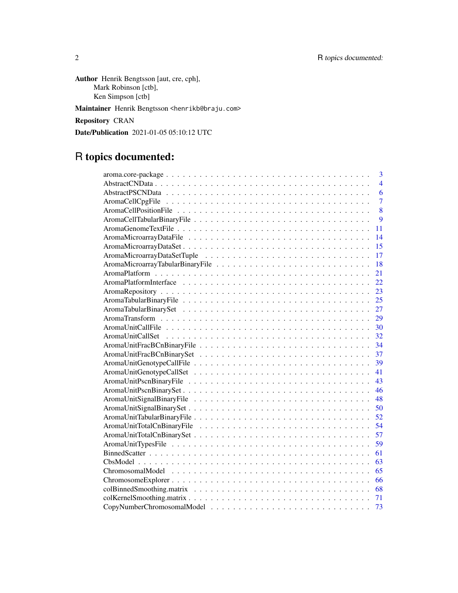Author Henrik Bengtsson [aut, cre, cph], Mark Robinson [ctb], Ken Simpson [ctb]

Maintainer Henrik Bengtsson <henrikb@braju.com>

Repository CRAN

Date/Publication 2021-01-05 05:10:12 UTC

# R topics documented:

| 3              |
|----------------|
| $\overline{4}$ |
| 6              |
| $\overline{7}$ |
| 8              |
| 9              |
| 11             |
| 14             |
| 15             |
|                |
| <sup>18</sup>  |
| 21             |
| 22             |
| 23             |
| 25             |
| 27             |
| 29             |
|                |
|                |
|                |
|                |
| 39             |
| 41             |
| 43             |
| - 46           |
|                |
| 50             |
| 52             |
| 54             |
| 57             |
| 59             |
| 61             |
| 63             |
| 65             |
| 66             |
| 68             |
| 71             |
| 73             |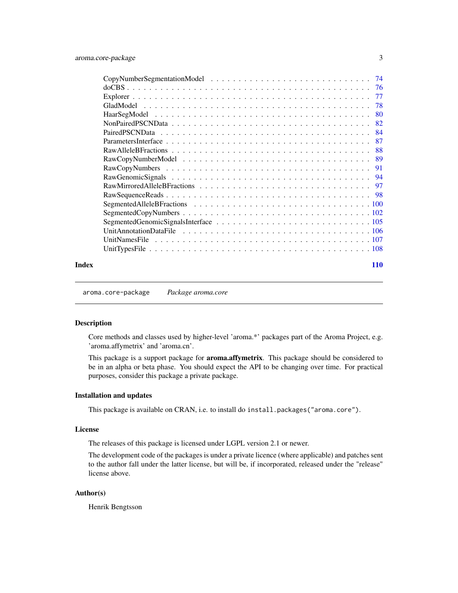<span id="page-2-0"></span>

|                      |  |  |  |  |  |  |  |  |  |  |  | 74  |
|----------------------|--|--|--|--|--|--|--|--|--|--|--|-----|
|                      |  |  |  |  |  |  |  |  |  |  |  | 76  |
|                      |  |  |  |  |  |  |  |  |  |  |  | 77  |
|                      |  |  |  |  |  |  |  |  |  |  |  | 78  |
|                      |  |  |  |  |  |  |  |  |  |  |  | 80  |
|                      |  |  |  |  |  |  |  |  |  |  |  | 82  |
|                      |  |  |  |  |  |  |  |  |  |  |  | 84  |
|                      |  |  |  |  |  |  |  |  |  |  |  | 87  |
|                      |  |  |  |  |  |  |  |  |  |  |  | 88  |
|                      |  |  |  |  |  |  |  |  |  |  |  |     |
|                      |  |  |  |  |  |  |  |  |  |  |  | -91 |
|                      |  |  |  |  |  |  |  |  |  |  |  |     |
|                      |  |  |  |  |  |  |  |  |  |  |  |     |
|                      |  |  |  |  |  |  |  |  |  |  |  |     |
|                      |  |  |  |  |  |  |  |  |  |  |  |     |
|                      |  |  |  |  |  |  |  |  |  |  |  |     |
|                      |  |  |  |  |  |  |  |  |  |  |  |     |
|                      |  |  |  |  |  |  |  |  |  |  |  |     |
| <b>UnitNamesFile</b> |  |  |  |  |  |  |  |  |  |  |  |     |
|                      |  |  |  |  |  |  |  |  |  |  |  |     |
|                      |  |  |  |  |  |  |  |  |  |  |  |     |

### **Index** 2008 **[110](#page-109-0)**

aroma.core-package *Package aroma.core*

### Description

Core methods and classes used by higher-level 'aroma.\*' packages part of the Aroma Project, e.g. 'aroma.affymetrix' and 'aroma.cn'.

This package is a support package for **aroma.affymetrix**. This package should be considered to be in an alpha or beta phase. You should expect the API to be changing over time. For practical purposes, consider this package a private package.

### Installation and updates

This package is available on CRAN, i.e. to install do install.packages("aroma.core").

### License

The releases of this package is licensed under LGPL version 2.1 or newer.

The development code of the packages is under a private licence (where applicable) and patches sent to the author fall under the latter license, but will be, if incorporated, released under the "release" license above.

### Author(s)

Henrik Bengtsson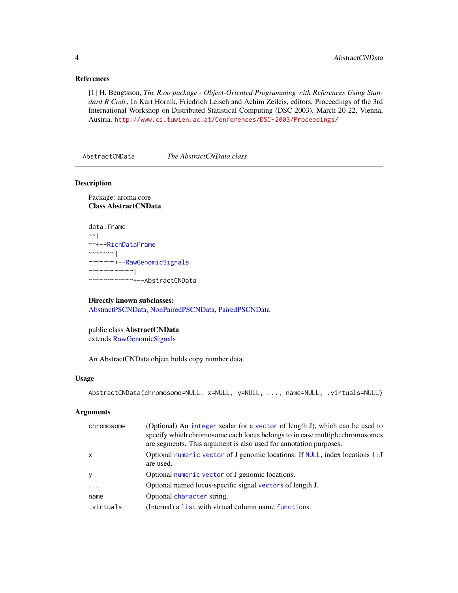### <span id="page-3-0"></span>References

[1] H. Bengtsson, *The R.oo package - Object-Oriented Programming with References Using Standard R Code*, In Kurt Hornik, Friedrich Leisch and Achim Zeileis, editors, Proceedings of the 3rd International Workshop on Distributed Statistical Computing (DSC 2003), March 20-22, Vienna, Austria. <http://www.ci.tuwien.ac.at/Conferences/DSC-2003/Proceedings/>

<span id="page-3-1"></span>AbstractCNData *The AbstractCNData class*

#### Description

Package: aroma.core Class AbstractCNData

```
data.frame
~\sim~|
~~+--RichDataFrame
\sim ~~~~~~ |
~~~~~~~+--RawGenomicSignals
~~~~~~~~~~~~|
~~~~~~~~~~~~+--AbstractCNData
```
## Directly known subclasses:

[AbstractPSCNData,](#page-5-1) [NonPairedPSCNData,](#page-81-1) [PairedPSCNData](#page-83-1)

public class AbstractCNData extends [RawGenomicSignals](#page-93-1)

An AbstractCNData object holds copy number data.

#### Usage

```
AbstractCNData(chromosome=NULL, x=NULL, y=NULL, ..., name=NULL, .virtuals=NULL)
```
### Arguments

| chromosome   | (Optional) An integer scalar (or a vector of length J), which can be used to<br>specify which chromosome each locus belongs to in case multiple chromosomes<br>are segments. This argument is also used for annotation purposes. |
|--------------|----------------------------------------------------------------------------------------------------------------------------------------------------------------------------------------------------------------------------------|
| $\mathsf{x}$ | Optional numeric vector of J genomic locations. If NULL, index locations 1: J<br>are used.                                                                                                                                       |
| <b>V</b>     | Optional numeric vector of J genomic locations.                                                                                                                                                                                  |
| .            | Optional named locus-specific signal vectors of length J.                                                                                                                                                                        |
| name         | Optional character string.                                                                                                                                                                                                       |
| virtuals.    | (Internal) a list with virtual column name functions.                                                                                                                                                                            |
|              |                                                                                                                                                                                                                                  |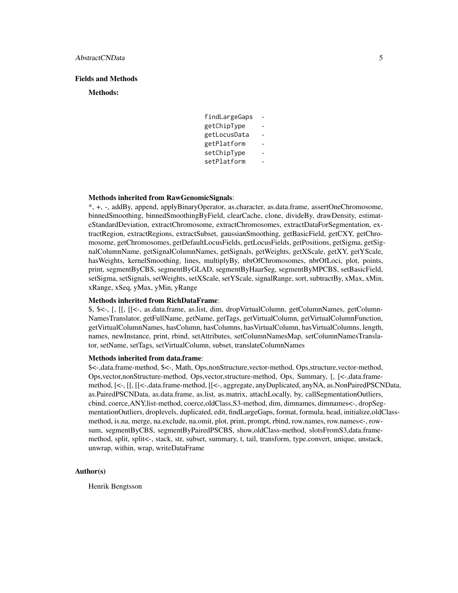### Fields and Methods

#### Methods:

| findLargeGaps |  |
|---------------|--|
| getChipType   |  |
| getLocusData  |  |
| getPlatform   |  |
| setChipType   |  |
| setPlatform   |  |

#### Methods inherited from RawGenomicSignals:

\*, +, -, addBy, append, applyBinaryOperator, as.character, as.data.frame, assertOneChromosome, binnedSmoothing, binnedSmoothingByField, clearCache, clone, divideBy, drawDensity, estimateStandardDeviation, extractChromosome, extractChromosomes, extractDataForSegmentation, extractRegion, extractRegions, extractSubset, gaussianSmoothing, getBasicField, getCXY, getChromosome, getChromosomes, getDefaultLocusFields, getLocusFields, getPositions, getSigma, getSignalColumnName, getSignalColumnNames, getSignals, getWeights, getXScale, getXY, getYScale, hasWeights, kernelSmoothing, lines, multiplyBy, nbrOfChromosomes, nbrOfLoci, plot, points, print, segmentByCBS, segmentByGLAD, segmentByHaarSeg, segmentByMPCBS, setBasicField, setSigma, setSignals, setWeights, setXScale, setYScale, signalRange, sort, subtractBy, xMax, xMin, xRange, xSeq, yMax, yMin, yRange

### Methods inherited from RichDataFrame:

\$, \$<-, [, [[, [[<-, as.data.frame, as.list, dim, dropVirtualColumn, getColumnNames, getColumn-NamesTranslator, getFullName, getName, getTags, getVirtualColumn, getVirtualColumnFunction, getVirtualColumnNames, hasColumn, hasColumns, hasVirtualColumn, hasVirtualColumns, length, names, newInstance, print, rbind, setAttributes, setColumnNamesMap, setColumnNamesTranslator, setName, setTags, setVirtualColumn, subset, translateColumnNames

### Methods inherited from data.frame:

\$<-,data.frame-method, \$<-, Math, Ops,nonStructure,vector-method, Ops,structure,vector-method, Ops,vector,nonStructure-method, Ops,vector,structure-method, Ops, Summary, [, [<-,data.framemethod, [<-, [[, [[<-,data.frame-method, [[<-, aggregate, anyDuplicated, anyNA, as.NonPairedPSCNData, as.PairedPSCNData, as.data.frame, as.list, as.matrix, attachLocally, by, callSegmentationOutliers, cbind, coerce,ANY,list-method, coerce,oldClass,S3-method, dim, dimnames, dimnames<-, dropSegmentationOutliers, droplevels, duplicated, edit, findLargeGaps, format, formula, head, initialize,oldClassmethod, is.na, merge, na.exclude, na.omit, plot, print, prompt, rbind, row.names, row.names<-, rowsum, segmentByCBS, segmentByPairedPSCBS, show,oldClass-method, slotsFromS3,data.framemethod, split, split<-, stack, str, subset, summary, t, tail, transform, type.convert, unique, unstack, unwrap, within, wrap, writeDataFrame

### Author(s)

Henrik Bengtsson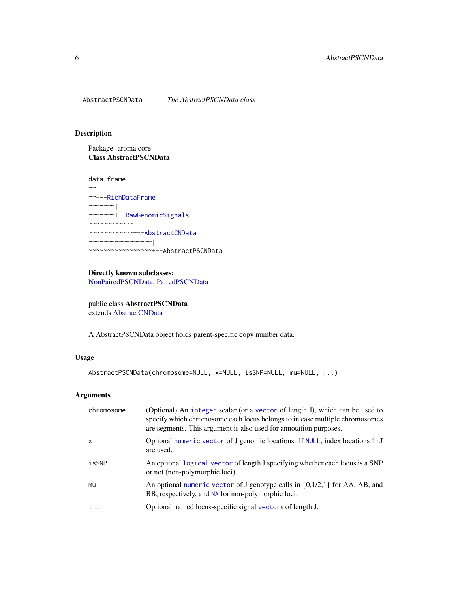<span id="page-5-1"></span><span id="page-5-0"></span>AbstractPSCNData *The AbstractPSCNData class*

### Description

Package: aroma.core Class AbstractPSCNData

data.frame  $~\sim$   $~\sim$   $~\mid$ ~~+-[-RichDataFrame](#page-0-0)  $~\sim~\sim~\sim~\sim~\sim~$ ~~~~~~~+-[-RawGenomicSignals](#page-93-1) ~~~~~~~~~~~~| ~~~~~~~~~~~~+-[-AbstractCNData](#page-3-1) ~~~~~~~~~~~~~~~~~| ~~~~~~~~~~~~~~~~~+--AbstractPSCNData

### Directly known subclasses: [NonPairedPSCNData,](#page-81-1) [PairedPSCNData](#page-83-1)

public class AbstractPSCNData extends [AbstractCNData](#page-3-1)

A AbstractPSCNData object holds parent-specific copy number data.

### Usage

```
AbstractPSCNData(chromosome=NULL, x=NULL, isSNP=NULL, mu=NULL, ...)
```
### Arguments

| chromosome | (Optional) An integer scalar (or a vector of length J), which can be used to<br>specify which chromosome each locus belongs to in case multiple chromosomes<br>are segments. This argument is also used for annotation purposes. |
|------------|----------------------------------------------------------------------------------------------------------------------------------------------------------------------------------------------------------------------------------|
| $\times$   | Optional numeric vector of J genomic locations. If NULL, index locations 1: J<br>are used.                                                                                                                                       |
| isSNP      | An optional logical vector of length J specifying whether each locus is a SNP<br>or not (non-polymorphic loci).                                                                                                                  |
| mu         | An optional numeric vector of J genotype calls in $\{0,1/2,1\}$ for AA, AB, and<br>BB, respectively, and NA for non-polymorphic loci.                                                                                            |
| $\cdots$   | Optional named locus-specific signal vectors of length J.                                                                                                                                                                        |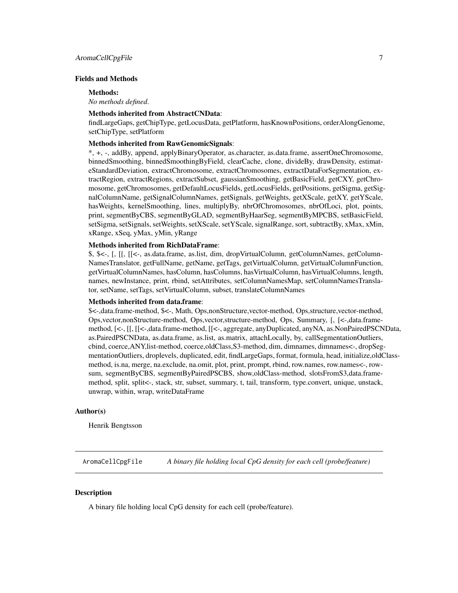### <span id="page-6-0"></span>Fields and Methods

#### Methods:

*No methods defined*.

#### Methods inherited from AbstractCNData:

findLargeGaps, getChipType, getLocusData, getPlatform, hasKnownPositions, orderAlongGenome, setChipType, setPlatform

### Methods inherited from RawGenomicSignals:

\*, +, -, addBy, append, applyBinaryOperator, as.character, as.data.frame, assertOneChromosome, binnedSmoothing, binnedSmoothingByField, clearCache, clone, divideBy, drawDensity, estimateStandardDeviation, extractChromosome, extractChromosomes, extractDataForSegmentation, extractRegion, extractRegions, extractSubset, gaussianSmoothing, getBasicField, getCXY, getChromosome, getChromosomes, getDefaultLocusFields, getLocusFields, getPositions, getSigma, getSignalColumnName, getSignalColumnNames, getSignals, getWeights, getXScale, getXY, getYScale, hasWeights, kernelSmoothing, lines, multiplyBy, nbrOfChromosomes, nbrOfLoci, plot, points, print, segmentByCBS, segmentByGLAD, segmentByHaarSeg, segmentByMPCBS, setBasicField, setSigma, setSignals, setWeights, setXScale, setYScale, signalRange, sort, subtractBy, xMax, xMin, xRange, xSeq, yMax, yMin, yRange

### Methods inherited from RichDataFrame:

\$, \$<-, [, [[, [[<-, as.data.frame, as.list, dim, dropVirtualColumn, getColumnNames, getColumn-NamesTranslator, getFullName, getName, getTags, getVirtualColumn, getVirtualColumnFunction, getVirtualColumnNames, hasColumn, hasColumns, hasVirtualColumn, hasVirtualColumns, length, names, newInstance, print, rbind, setAttributes, setColumnNamesMap, setColumnNamesTranslator, setName, setTags, setVirtualColumn, subset, translateColumnNames

### Methods inherited from data.frame:

\$<-,data.frame-method, \$<-, Math, Ops,nonStructure,vector-method, Ops,structure,vector-method, Ops,vector,nonStructure-method, Ops,vector,structure-method, Ops, Summary, [, [<-,data.framemethod, [<-, [[, [[<-,data.frame-method, [[<-, aggregate, anyDuplicated, anyNA, as.NonPairedPSCNData, as.PairedPSCNData, as.data.frame, as.list, as.matrix, attachLocally, by, callSegmentationOutliers, cbind, coerce,ANY,list-method, coerce,oldClass,S3-method, dim, dimnames, dimnames<-, dropSegmentationOutliers, droplevels, duplicated, edit, findLargeGaps, format, formula, head, initialize,oldClassmethod, is.na, merge, na.exclude, na.omit, plot, print, prompt, rbind, row.names, row.names<-, rowsum, segmentByCBS, segmentByPairedPSCBS, show,oldClass-method, slotsFromS3,data.framemethod, split, split<-, stack, str, subset, summary, t, tail, transform, type.convert, unique, unstack, unwrap, within, wrap, writeDataFrame

### Author(s)

Henrik Bengtsson

<span id="page-6-1"></span>AromaCellCpgFile *A binary file holding local CpG density for each cell (probe/feature)*

### **Description**

A binary file holding local CpG density for each cell (probe/feature).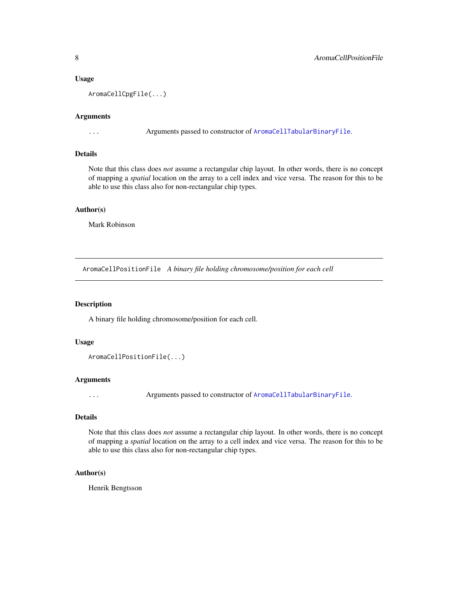### <span id="page-7-0"></span>Usage

AromaCellCpgFile(...)

#### Arguments

... Arguments passed to constructor of [AromaCellTabularBinaryFile](#page-8-1).

### Details

Note that this class does *not* assume a rectangular chip layout. In other words, there is no concept of mapping a *spatial* location on the array to a cell index and vice versa. The reason for this to be able to use this class also for non-rectangular chip types.

### Author(s)

Mark Robinson

<span id="page-7-1"></span>AromaCellPositionFile *A binary file holding chromosome/position for each cell*

### Description

A binary file holding chromosome/position for each cell.

#### Usage

```
AromaCellPositionFile(...)
```
### Arguments

... Arguments passed to constructor of [AromaCellTabularBinaryFile](#page-8-1).

### Details

Note that this class does *not* assume a rectangular chip layout. In other words, there is no concept of mapping a *spatial* location on the array to a cell index and vice versa. The reason for this to be able to use this class also for non-rectangular chip types.

#### Author(s)

Henrik Bengtsson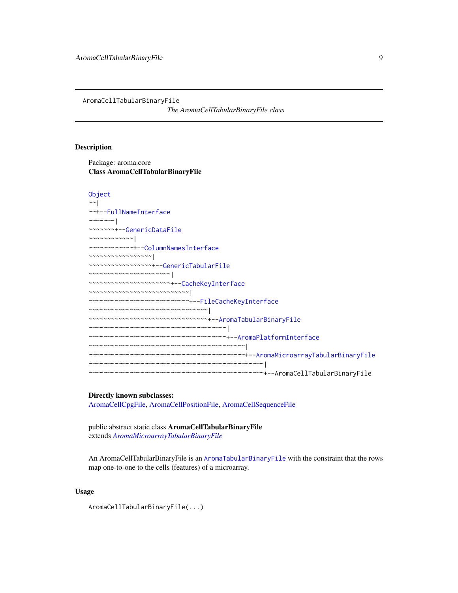<span id="page-8-1"></span><span id="page-8-0"></span>AromaCellTabularBinaryFile

*The AromaCellTabularBinaryFile class*

### Description

Package: aroma.core Class AromaCellTabularBinaryFile

```
Object
~\sim~~~+--FullNameInterface
~~~~~~~|
~~~~~~~+--GenericDataFile
~~~~~~~~~~~~|
~~~~~~~~~~~~+--ColumnNamesInterface
~~~~~~~~~~~~~~~~~|
~~~~~~~~~~~~~~~~~+--GenericTabularFile
~~~~~~~~~~~~~~~~~~~~~~|
~~~~~~~~~~~~~~~~~~~~~~+--CacheKeyInterface
~~~~~~~~~~~~~~~~~~~~~~~~~~~|
~~~~~~~~~~~~~~~~~~~~~~~~~~~+--FileCacheKeyInterface
~~~~~~~~~~~~~~~~~~~~~~~~~~~~~~~~
~~~~~~~~~~~~~~~~~~~~~~~~~~~~~~~~+--AromaTabularBinaryFile
~~~~~~~~~~~~~~~~~~~~~~~~~~~~~~~~~~~~~|
~~~~~~~~~~~~~~~~~~~~~~~~~~~~~~~~~~~~~+--AromaPlatformInterface
~~~~~~~~~~~~~~~~~~~~~~~~~~~~~~~~~~~~~~~~~~|
~~~~~~~~~~~~~~~~~~~~~~~~~~~~~~~~~~~~~~~~~~+--AromaMicroarrayTabularBinaryFile
   ~~~~~~~~~~~~~~~~~~~~~~~~~~~~~~~~~~~~~~~~~~~~~~~|
~~~~~~~~~~~~~~~~~~~~~~~~~~~~~~~~~~~~~~~~~~~~~~~+--AromaCellTabularBinaryFile
```
### Directly known subclasses:

[AromaCellCpgFile,](#page-6-1) [AromaCellPositionFile,](#page-7-1) [AromaCellSequenceFile](#page-0-0)

public abstract static class AromaCellTabularBinaryFile extends *[AromaMicroarrayTabularBinaryFile](#page-17-1)*

An AromaCellTabularBinaryFile is an [AromaTabularBinaryFile](#page-24-1) with the constraint that the rows map one-to-one to the cells (features) of a microarray.

### Usage

AromaCellTabularBinaryFile(...)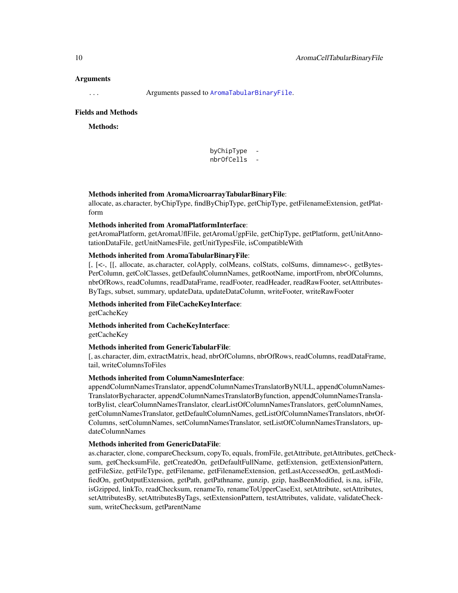### Arguments

... Arguments passed to [AromaTabularBinaryFile](#page-24-1).

#### Fields and Methods

Methods:

byChipType nbrOfCells -

#### Methods inherited from AromaMicroarrayTabularBinaryFile:

allocate, as.character, byChipType, findByChipType, getChipType, getFilenameExtension, getPlatform

#### Methods inherited from AromaPlatformInterface:

getAromaPlatform, getAromaUflFile, getAromaUgpFile, getChipType, getPlatform, getUnitAnnotationDataFile, getUnitNamesFile, getUnitTypesFile, isCompatibleWith

### Methods inherited from AromaTabularBinaryFile:

[, [<-, [[, allocate, as.character, colApply, colMeans, colStats, colSums, dimnames<-, getBytes-PerColumn, getColClasses, getDefaultColumnNames, getRootName, importFrom, nbrOfColumns, nbrOfRows, readColumns, readDataFrame, readFooter, readHeader, readRawFooter, setAttributes-ByTags, subset, summary, updateData, updateDataColumn, writeFooter, writeRawFooter

Methods inherited from FileCacheKeyInterface:

getCacheKey

Methods inherited from CacheKeyInterface: getCacheKey

#### Methods inherited from GenericTabularFile:

[, as.character, dim, extractMatrix, head, nbrOfColumns, nbrOfRows, readColumns, readDataFrame, tail, writeColumnsToFiles

### Methods inherited from ColumnNamesInterface:

appendColumnNamesTranslator, appendColumnNamesTranslatorByNULL, appendColumnNames-TranslatorBycharacter, appendColumnNamesTranslatorByfunction, appendColumnNamesTranslatorBylist, clearColumnNamesTranslator, clearListOfColumnNamesTranslators, getColumnNames, getColumnNamesTranslator, getDefaultColumnNames, getListOfColumnNamesTranslators, nbrOf-Columns, setColumnNames, setColumnNamesTranslator, setListOfColumnNamesTranslators, updateColumnNames

### Methods inherited from GenericDataFile:

as.character, clone, compareChecksum, copyTo, equals, fromFile, getAttribute, getAttributes, getChecksum, getChecksumFile, getCreatedOn, getDefaultFullName, getExtension, getExtensionPattern, getFileSize, getFileType, getFilename, getFilenameExtension, getLastAccessedOn, getLastModifiedOn, getOutputExtension, getPath, getPathname, gunzip, gzip, hasBeenModified, is.na, isFile, isGzipped, linkTo, readChecksum, renameTo, renameToUpperCaseExt, setAttribute, setAttributes, setAttributesBy, setAttributesByTags, setExtensionPattern, testAttributes, validate, validateChecksum, writeChecksum, getParentName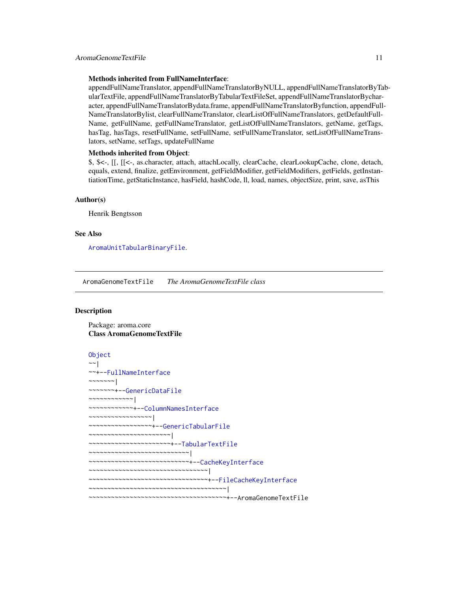#### <span id="page-10-0"></span>Methods inherited from FullNameInterface:

appendFullNameTranslator, appendFullNameTranslatorByNULL, appendFullNameTranslatorByTabularTextFile, appendFullNameTranslatorByTabularTextFileSet, appendFullNameTranslatorBycharacter, appendFullNameTranslatorBydata.frame, appendFullNameTranslatorByfunction, appendFull-NameTranslatorBylist, clearFullNameTranslator, clearListOfFullNameTranslators, getDefaultFull-Name, getFullName, getFullNameTranslator, getListOfFullNameTranslators, getName, getTags, hasTag, hasTags, resetFullName, setFullName, setFullNameTranslator, setListOfFullNameTranslators, setName, setTags, updateFullName

### Methods inherited from Object:

\$, \$<-, [[, [[<-, as.character, attach, attachLocally, clearCache, clearLookupCache, clone, detach, equals, extend, finalize, getEnvironment, getFieldModifier, getFieldModifiers, getFields, getInstantiationTime, getStaticInstance, hasField, hashCode, ll, load, names, objectSize, print, save, asThis

#### Author(s)

Henrik Bengtsson

#### See Also

[AromaUnitTabularBinaryFile](#page-51-1).

AromaGenomeTextFile *The AromaGenomeTextFile class*

### Description

Package: aroma.core Class AromaGenomeTextFile

```
Object
~\sim~|
~~+--FullNameInterface
~~~~~~~|~~~~~~~+--GenericDataFile
~~~~~~~~~~~~|
~~~~~~~~~~~~+--ColumnNamesInterface
 ~~~~~~~~~~~~~~~~~|
  ~~~~~~~~~~~~~~~~~+--GenericTabularFile
  ~~~~~~~~~~~~~~~~~~~~~~|
~~~~~~~~~~~~~~~~~~~~~~+--TabularTextFile
~~~~~~~~~~~~~~~~~~~~~~~~~~~|
~~~~~~~~~~~~~~~~~~~~~~~~~~~+--CacheKeyInterface
  ~~~~~~~~~~~~~~~~~~~~~~~~~~~~~~~~~
~~~~~~~~~~~~~~~~~~~~~~~~~~~~~~~~+--FileCacheKeyInterface
~~~~~~~~~~~~~~~~~~~~~~~~~~~~~~~~~~~~~|
~~~~~~~~~~~~~~~~~~~~~~~~~~~~~~~~~~~~~+--AromaGenomeTextFile
```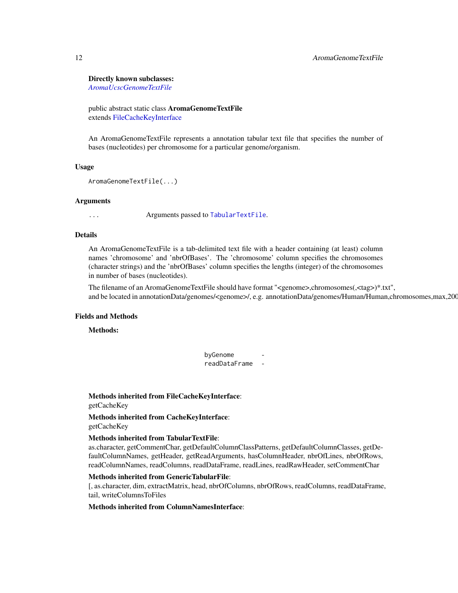#### Directly known subclasses:

*[AromaUcscGenomeTextFile](#page-0-0)*

public abstract static class AromaGenomeTextFile extends [FileCacheKeyInterface](#page-0-0)

An AromaGenomeTextFile represents a annotation tabular text file that specifies the number of bases (nucleotides) per chromosome for a particular genome/organism.

#### Usage

```
AromaGenomeTextFile(...)
```
### Arguments

... Arguments passed to [TabularTextFile](#page-0-0).

### Details

An AromaGenomeTextFile is a tab-delimited text file with a header containing (at least) column names 'chromosome' and 'nbrOfBases'. The 'chromosome' column specifies the chromosomes (character strings) and the 'nbrOfBases' column specifies the lengths (integer) of the chromosomes in number of bases (nucleotides).

The filename of an AromaGenomeTextFile should have format "<genome>,chromosomes(,<tag>)\*.txt", and be located in annotationData/genomes/<genome>/, e.g. annotationData/genomes/Human/Human,chromosomes,max,200

### Fields and Methods

Methods:

byGenome readDataFrame -

Methods inherited from FileCacheKeyInterface: getCacheKey

Methods inherited from CacheKeyInterface: getCacheKey

#### Methods inherited from TabularTextFile:

as.character, getCommentChar, getDefaultColumnClassPatterns, getDefaultColumnClasses, getDefaultColumnNames, getHeader, getReadArguments, hasColumnHeader, nbrOfLines, nbrOfRows, readColumnNames, readColumns, readDataFrame, readLines, readRawHeader, setCommentChar

### Methods inherited from GenericTabularFile:

[, as.character, dim, extractMatrix, head, nbrOfColumns, nbrOfRows, readColumns, readDataFrame, tail, writeColumnsToFiles

### Methods inherited from ColumnNamesInterface: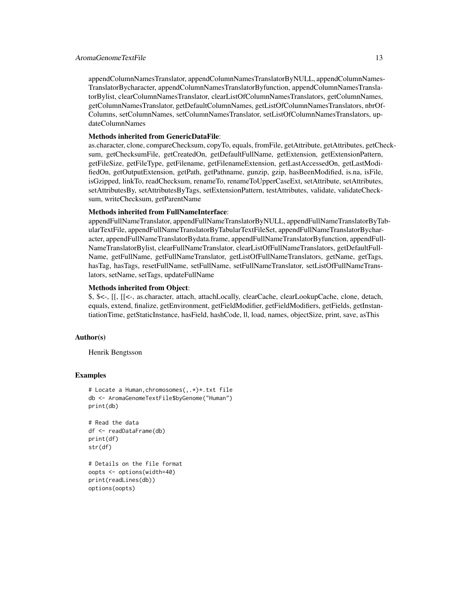### AromaGenomeTextFile 13

appendColumnNamesTranslator, appendColumnNamesTranslatorByNULL, appendColumnNames-TranslatorBycharacter, appendColumnNamesTranslatorByfunction, appendColumnNamesTranslatorBylist, clearColumnNamesTranslator, clearListOfColumnNamesTranslators, getColumnNames, getColumnNamesTranslator, getDefaultColumnNames, getListOfColumnNamesTranslators, nbrOf-Columns, setColumnNames, setColumnNamesTranslator, setListOfColumnNamesTranslators, updateColumnNames

### Methods inherited from GenericDataFile:

as.character, clone, compareChecksum, copyTo, equals, fromFile, getAttribute, getAttributes, getChecksum, getChecksumFile, getCreatedOn, getDefaultFullName, getExtension, getExtensionPattern, getFileSize, getFileType, getFilename, getFilenameExtension, getLastAccessedOn, getLastModifiedOn, getOutputExtension, getPath, getPathname, gunzip, gzip, hasBeenModified, is.na, isFile, isGzipped, linkTo, readChecksum, renameTo, renameToUpperCaseExt, setAttribute, setAttributes, setAttributesBy, setAttributesByTags, setExtensionPattern, testAttributes, validate, validateChecksum, writeChecksum, getParentName

### Methods inherited from FullNameInterface:

appendFullNameTranslator, appendFullNameTranslatorByNULL, appendFullNameTranslatorByTabularTextFile, appendFullNameTranslatorByTabularTextFileSet, appendFullNameTranslatorBycharacter, appendFullNameTranslatorBydata.frame, appendFullNameTranslatorByfunction, appendFull-NameTranslatorBylist, clearFullNameTranslator, clearListOfFullNameTranslators, getDefaultFull-Name, getFullName, getFullNameTranslator, getListOfFullNameTranslators, getName, getTags, hasTag, hasTags, resetFullName, setFullName, setFullNameTranslator, setListOfFullNameTranslators, setName, setTags, updateFullName

### Methods inherited from Object:

\$, \$<-, [[, [[<-, as.character, attach, attachLocally, clearCache, clearLookupCache, clone, detach, equals, extend, finalize, getEnvironment, getFieldModifier, getFieldModifiers, getFields, getInstantiationTime, getStaticInstance, hasField, hashCode, ll, load, names, objectSize, print, save, asThis

### Author(s)

Henrik Bengtsson

### Examples

```
# Locate a Human,chromosomes(,.*)*.txt file
db <- AromaGenomeTextFile$byGenome("Human")
print(db)
```

```
# Read the data
df <- readDataFrame(db)
print(df)
str(df)
```

```
# Details on the file format
oopts <- options(width=40)
print(readLines(db))
options(oopts)
```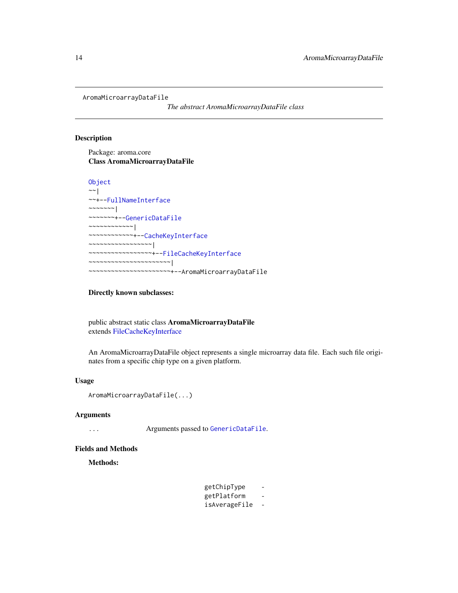<span id="page-13-1"></span><span id="page-13-0"></span>AromaMicroarrayDataFile

*The abstract AromaMicroarrayDataFile class*

### Description

Package: aroma.core Class AromaMicroarrayDataFile

```
Object
~~|
~~+--FullNameInterface
~~~~~~~|~~~~~~~+--GenericDataFile
~~~~~~~~~~~~|
~~~~~~~~~~~~+--CacheKeyInterface
 ~~~~~~~~~~~~~~~~~|
  ~~~~~~~~~~~~~~~~~+--FileCacheKeyInterface
 ~~~~~~~~~~~~~~~~~~~~~~|
   ~~~~~~~~~~~~~~~~~~~~~~+--AromaMicroarrayDataFile
```
Directly known subclasses:

public abstract static class AromaMicroarrayDataFile extends [FileCacheKeyInterface](#page-0-0)

An AromaMicroarrayDataFile object represents a single microarray data file. Each such file originates from a specific chip type on a given platform.

### Usage

AromaMicroarrayDataFile(...)

### Arguments

... Arguments passed to [GenericDataFile](#page-0-0).

### Fields and Methods

Methods:

| getChipType   |   |
|---------------|---|
| getPlatform   |   |
| isAverageFile | - |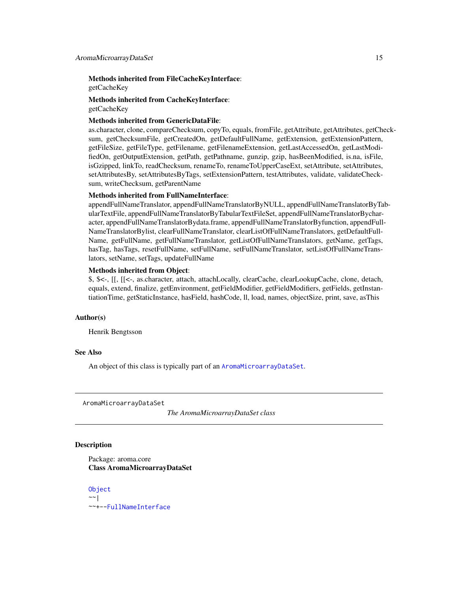<span id="page-14-0"></span>Methods inherited from FileCacheKeyInterface: getCacheKey

Methods inherited from CacheKeyInterface: getCacheKey

### Methods inherited from GenericDataFile:

as.character, clone, compareChecksum, copyTo, equals, fromFile, getAttribute, getAttributes, getChecksum, getChecksumFile, getCreatedOn, getDefaultFullName, getExtension, getExtensionPattern, getFileSize, getFileType, getFilename, getFilenameExtension, getLastAccessedOn, getLastModifiedOn, getOutputExtension, getPath, getPathname, gunzip, gzip, hasBeenModified, is.na, isFile, isGzipped, linkTo, readChecksum, renameTo, renameToUpperCaseExt, setAttribute, setAttributes, setAttributesBy, setAttributesByTags, setExtensionPattern, testAttributes, validate, validateChecksum, writeChecksum, getParentName

### Methods inherited from FullNameInterface:

appendFullNameTranslator, appendFullNameTranslatorByNULL, appendFullNameTranslatorByTabularTextFile, appendFullNameTranslatorByTabularTextFileSet, appendFullNameTranslatorBycharacter, appendFullNameTranslatorBydata.frame, appendFullNameTranslatorByfunction, appendFull-NameTranslatorBylist, clearFullNameTranslator, clearListOfFullNameTranslators, getDefaultFull-Name, getFullName, getFullNameTranslator, getListOfFullNameTranslators, getName, getTags, hasTag, hasTags, resetFullName, setFullName, setFullNameTranslator, setListOfFullNameTranslators, setName, setTags, updateFullName

### Methods inherited from Object:

\$, \$<-, [[, [[<-, as.character, attach, attachLocally, clearCache, clearLookupCache, clone, detach, equals, extend, finalize, getEnvironment, getFieldModifier, getFieldModifiers, getFields, getInstantiationTime, getStaticInstance, hasField, hashCode, ll, load, names, objectSize, print, save, asThis

#### Author(s)

Henrik Bengtsson

#### See Also

An object of this class is typically part of an [AromaMicroarrayDataSet](#page-14-1).

<span id="page-14-1"></span>AromaMicroarrayDataSet

*The AromaMicroarrayDataSet class*

### Description

Package: aroma.core Class AromaMicroarrayDataSet

[Object](#page-0-0)  $~\sim~$ | ~~+-[-FullNameInterface](#page-0-0)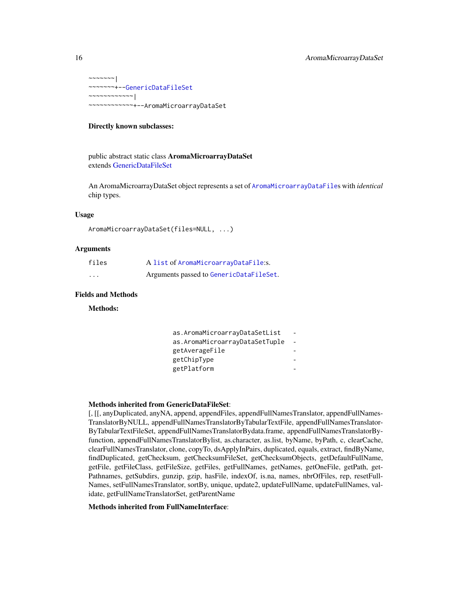```
\sim ~~~~~~ |
~~~~~~~+--GenericDataFileSet
~~~~~~~~~~~~|
~~~~~~~~~~~~+--AromaMicroarrayDataSet
```
#### Directly known subclasses:

public abstract static class AromaMicroarrayDataSet extends [GenericDataFileSet](#page-0-0)

An AromaMicroarrayDataSet object represents a set of [AromaMicroarrayDataFile](#page-13-1)s with *identical* chip types.

### Usage

```
AromaMicroarrayDataSet(files=NULL, ...)
```
### **Arguments**

| files | A list of AromaMicroarrayDataFile:s.    |
|-------|-----------------------------------------|
| .     | Arguments passed to GenericDataFileSet. |

### Fields and Methods

Methods:

| as.AromaMicroarrayDataSetList  |  |
|--------------------------------|--|
| as.AromaMicroarrayDataSetTuple |  |
| getAverageFile                 |  |
| getChipType                    |  |
| getPlatform                    |  |

### Methods inherited from GenericDataFileSet:

[, [[, anyDuplicated, anyNA, append, appendFiles, appendFullNamesTranslator, appendFullNames-TranslatorByNULL, appendFullNamesTranslatorByTabularTextFile, appendFullNamesTranslator-ByTabularTextFileSet, appendFullNamesTranslatorBydata.frame, appendFullNamesTranslatorByfunction, appendFullNamesTranslatorBylist, as.character, as.list, byName, byPath, c, clearCache, clearFullNamesTranslator, clone, copyTo, dsApplyInPairs, duplicated, equals, extract, findByName, findDuplicated, getChecksum, getChecksumFileSet, getChecksumObjects, getDefaultFullName, getFile, getFileClass, getFileSize, getFiles, getFullNames, getNames, getOneFile, getPath, get-Pathnames, getSubdirs, gunzip, gzip, hasFile, indexOf, is.na, names, nbrOfFiles, rep, resetFull-Names, setFullNamesTranslator, sortBy, unique, update2, updateFullName, updateFullNames, validate, getFullNameTranslatorSet, getParentName

### Methods inherited from FullNameInterface: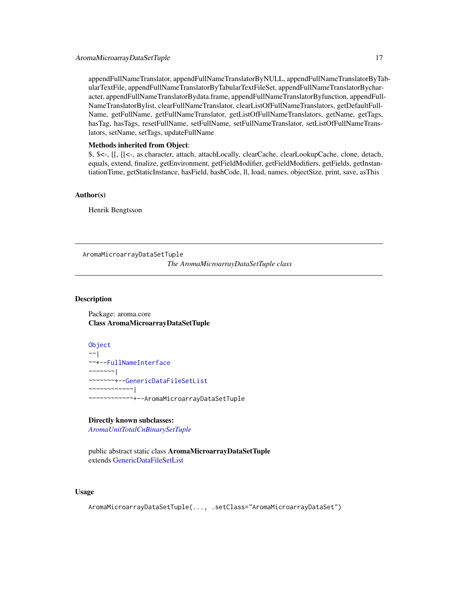<span id="page-16-0"></span>appendFullNameTranslator, appendFullNameTranslatorByNULL, appendFullNameTranslatorByTabularTextFile, appendFullNameTranslatorByTabularTextFileSet, appendFullNameTranslatorBycharacter, appendFullNameTranslatorBydata.frame, appendFullNameTranslatorByfunction, appendFull-NameTranslatorBylist, clearFullNameTranslator, clearListOfFullNameTranslators, getDefaultFull-Name, getFullName, getFullNameTranslator, getListOfFullNameTranslators, getName, getTags, hasTag, hasTags, resetFullName, setFullName, setFullNameTranslator, setListOfFullNameTranslators, setName, setTags, updateFullName

### Methods inherited from Object:

\$, \$<-, [[, [[<-, as.character, attach, attachLocally, clearCache, clearLookupCache, clone, detach, equals, extend, finalize, getEnvironment, getFieldModifier, getFieldModifiers, getFields, getInstantiationTime, getStaticInstance, hasField, hashCode, ll, load, names, objectSize, print, save, asThis

#### Author(s)

Henrik Bengtsson

AromaMicroarrayDataSetTuple

*The AromaMicroarrayDataSetTuple class*

### Description

Package: aroma.core Class AromaMicroarrayDataSetTuple

[Object](#page-0-0)  $~\sim~$ | ~~+-[-FullNameInterface](#page-0-0)  $\sim$  ~~~~~~ | ~~~~~~~+-[-GenericDataFileSetList](#page-0-0) ~~~~~~~~~~~~| ~~~~~~~~~~~~+--AromaMicroarrayDataSetTuple

### Directly known subclasses:

*[AromaUnitTotalCnBinarySetTuple](#page-0-0)*

public abstract static class AromaMicroarrayDataSetTuple extends [GenericDataFileSetList](#page-0-0)

### Usage

AromaMicroarrayDataSetTuple(..., .setClass="AromaMicroarrayDataSet")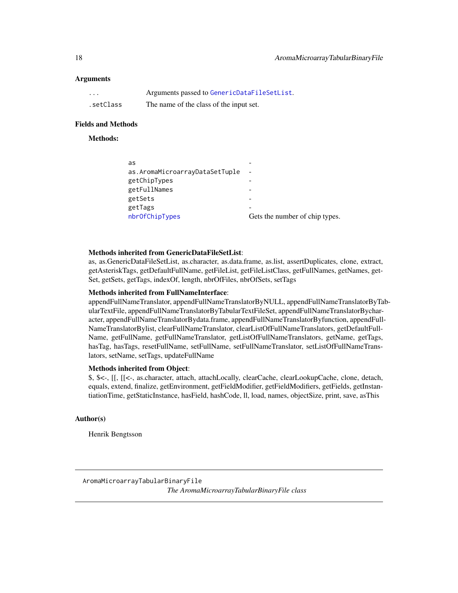### <span id="page-17-0"></span>**Arguments**

| $\cdots$  | Arguments passed to GenericDataFileSetList. |
|-----------|---------------------------------------------|
| .setClass | The name of the class of the input set.     |

### Fields and Methods

### Methods:

| as                             |                                |
|--------------------------------|--------------------------------|
| as.AromaMicroarrayDataSetTuple | $\overline{\phantom{a}}$       |
| getChipTypes                   |                                |
| getFullNames                   |                                |
| getSets                        |                                |
| getTags                        |                                |
| nbrOfChipTypes                 | Gets the number of chip types. |
|                                |                                |

#### Methods inherited from GenericDataFileSetList:

as, as.GenericDataFileSetList, as.character, as.data.frame, as.list, assertDuplicates, clone, extract, getAsteriskTags, getDefaultFullName, getFileList, getFileListClass, getFullNames, getNames, get-Set, getSets, getTags, indexOf, length, nbrOfFiles, nbrOfSets, setTags

### Methods inherited from FullNameInterface:

appendFullNameTranslator, appendFullNameTranslatorByNULL, appendFullNameTranslatorByTabularTextFile, appendFullNameTranslatorByTabularTextFileSet, appendFullNameTranslatorBycharacter, appendFullNameTranslatorBydata.frame, appendFullNameTranslatorByfunction, appendFull-NameTranslatorBylist, clearFullNameTranslator, clearListOfFullNameTranslators, getDefaultFull-Name, getFullName, getFullNameTranslator, getListOfFullNameTranslators, getName, getTags, hasTag, hasTags, resetFullName, setFullName, setFullNameTranslator, setListOfFullNameTranslators, setName, setTags, updateFullName

### Methods inherited from Object:

\$, \$<-, [[, [[<-, as.character, attach, attachLocally, clearCache, clearLookupCache, clone, detach, equals, extend, finalize, getEnvironment, getFieldModifier, getFieldModifiers, getFields, getInstantiationTime, getStaticInstance, hasField, hashCode, ll, load, names, objectSize, print, save, asThis

### Author(s)

Henrik Bengtsson

<span id="page-17-1"></span>AromaMicroarrayTabularBinaryFile *The AromaMicroarrayTabularBinaryFile class*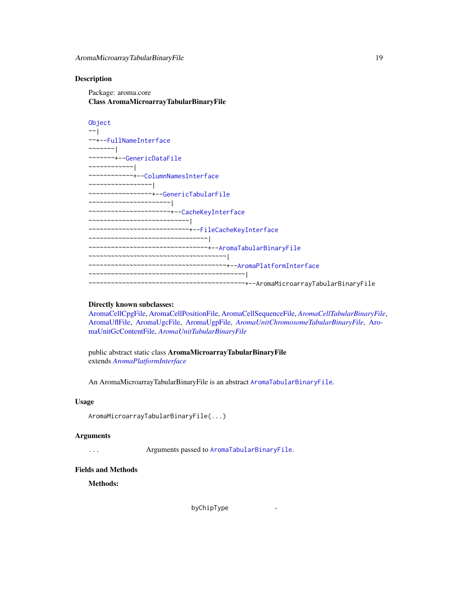### Description

Package: aroma.core Class AromaMicroarrayTabularBinaryFile

```
Object
\sim|
~~+--FullNameInterface
~~~~~~~|~~~~~~~+--GenericDataFile
~~~~~~~~~~~~|
~~~~~~~~~~~~+--ColumnNamesInterface
~~~~~~~~~~~~~~~~~|
~~~~~~~~~~~~~~~~~+--GenericTabularFile
 ~~~~~~~~~~~~~~~~~~~~~~|
  ~~~~~~~~~~~~~~~~~~~~~~+--CacheKeyInterface
~~~~~~~~~~~~~~~~~~~~~~~~~~~|
~~~~~~~~~~~~~~~~~~~~~~~~~~~+--FileCacheKeyInterface
~~~~~~~~~~~~~~~~~~~~~~~~~~~~~~~
~~~~~~~~~~~~~~~~~~~~~~~~~~~~~~~~+--AromaTabularBinaryFile
~~~~~~~~~~~~~~~~~~~~~~~~~~~~~~~~~~~~~|
~~~~~~~~~~~~~~~~~~~~~~~~~~~~~~~~~~~~~+--AromaPlatformInterface
~~~~~~~~~~~~~~~~~~~~~~~~~~~~~~~~~~~~~~~~~~|
~~~~~~~~~~~~~~~~~~~~~~~~~~~~~~~~~~~~~~~~~~+--AromaMicroarrayTabularBinaryFile
```
### Directly known subclasses:

[AromaCellCpgFile,](#page-6-1) [AromaCellPositionFile,](#page-7-1) [AromaCellSequenceFile,](#page-0-0) *[AromaCellTabularBinaryFile](#page-8-1)*, [AromaUflFile,](#page-0-0) [AromaUgcFile,](#page-0-0) [AromaUgpFile,](#page-0-0) *[AromaUnitChromosomeTabularBinaryFile](#page-0-0)*, [Aro](#page-0-0)[maUnitGcContentFile,](#page-0-0) *[AromaUnitTabularBinaryFile](#page-51-1)*

public abstract static class AromaMicroarrayTabularBinaryFile extends *[AromaPlatformInterface](#page-21-1)*

An AromaMicroarrayTabularBinaryFile is an abstract [AromaTabularBinaryFile](#page-24-1).

#### Usage

AromaMicroarrayTabularBinaryFile(...)

### Arguments

... Arguments passed to [AromaTabularBinaryFile](#page-24-1).

#### Fields and Methods

Methods:

byChipType -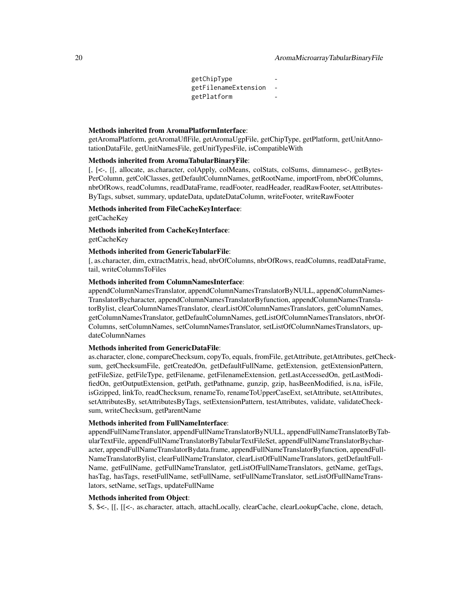getChipType getFilenameExtension getPlatform

### Methods inherited from AromaPlatformInterface:

getAromaPlatform, getAromaUflFile, getAromaUgpFile, getChipType, getPlatform, getUnitAnnotationDataFile, getUnitNamesFile, getUnitTypesFile, isCompatibleWith

### Methods inherited from AromaTabularBinaryFile:

[, [<-, [[, allocate, as.character, colApply, colMeans, colStats, colSums, dimnames<-, getBytes-PerColumn, getColClasses, getDefaultColumnNames, getRootName, importFrom, nbrOfColumns, nbrOfRows, readColumns, readDataFrame, readFooter, readHeader, readRawFooter, setAttributes-ByTags, subset, summary, updateData, updateDataColumn, writeFooter, writeRawFooter

### Methods inherited from FileCacheKeyInterface:

getCacheKey

Methods inherited from CacheKeyInterface:

getCacheKey

### Methods inherited from GenericTabularFile:

[, as.character, dim, extractMatrix, head, nbrOfColumns, nbrOfRows, readColumns, readDataFrame, tail, writeColumnsToFiles

#### Methods inherited from ColumnNamesInterface:

appendColumnNamesTranslator, appendColumnNamesTranslatorByNULL, appendColumnNames-TranslatorBycharacter, appendColumnNamesTranslatorByfunction, appendColumnNamesTranslatorBylist, clearColumnNamesTranslator, clearListOfColumnNamesTranslators, getColumnNames, getColumnNamesTranslator, getDefaultColumnNames, getListOfColumnNamesTranslators, nbrOf-Columns, setColumnNames, setColumnNamesTranslator, setListOfColumnNamesTranslators, updateColumnNames

### Methods inherited from GenericDataFile:

as.character, clone, compareChecksum, copyTo, equals, fromFile, getAttribute, getAttributes, getChecksum, getChecksumFile, getCreatedOn, getDefaultFullName, getExtension, getExtensionPattern, getFileSize, getFileType, getFilename, getFilenameExtension, getLastAccessedOn, getLastModifiedOn, getOutputExtension, getPath, getPathname, gunzip, gzip, hasBeenModified, is.na, isFile, isGzipped, linkTo, readChecksum, renameTo, renameToUpperCaseExt, setAttribute, setAttributes, setAttributesBy, setAttributesByTags, setExtensionPattern, testAttributes, validate, validateChecksum, writeChecksum, getParentName

#### Methods inherited from FullNameInterface:

appendFullNameTranslator, appendFullNameTranslatorByNULL, appendFullNameTranslatorByTabularTextFile, appendFullNameTranslatorByTabularTextFileSet, appendFullNameTranslatorBycharacter, appendFullNameTranslatorBydata.frame, appendFullNameTranslatorByfunction, appendFull-NameTranslatorBylist, clearFullNameTranslator, clearListOfFullNameTranslators, getDefaultFull-Name, getFullName, getFullNameTranslator, getListOfFullNameTranslators, getName, getTags, hasTag, hasTags, resetFullName, setFullName, setFullNameTranslator, setListOfFullNameTranslators, setName, setTags, updateFullName

### Methods inherited from Object:

\$, \$<-, [[, [[<-, as.character, attach, attachLocally, clearCache, clearLookupCache, clone, detach,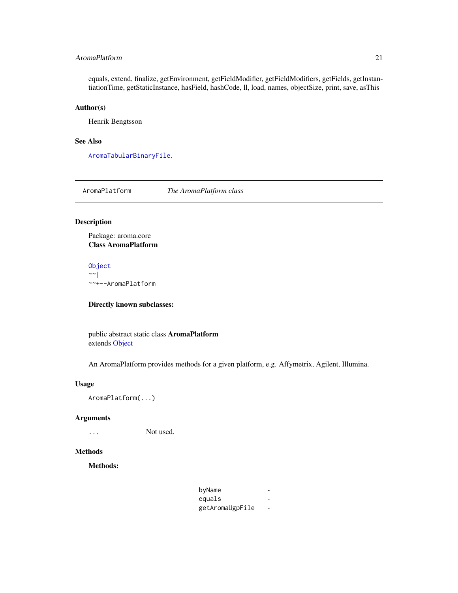### <span id="page-20-0"></span>AromaPlatform 21

equals, extend, finalize, getEnvironment, getFieldModifier, getFieldModifiers, getFields, getInstantiationTime, getStaticInstance, hasField, hashCode, ll, load, names, objectSize, print, save, asThis

### Author(s)

Henrik Bengtsson

### See Also

[AromaTabularBinaryFile](#page-24-1).

AromaPlatform *The AromaPlatform class*

### Description

Package: aroma.core Class AromaPlatform

### [Object](#page-0-0)

 $~\sim~$ | ~~+--AromaPlatform

### Directly known subclasses:

public abstract static class AromaPlatform extends [Object](#page-0-0)

An AromaPlatform provides methods for a given platform, e.g. Affymetrix, Agilent, Illumina.

### Usage

AromaPlatform(...)

### Arguments

... Not used.

### Methods

Methods:

| byName          |  |
|-----------------|--|
| equals          |  |
| getAromaUgpFile |  |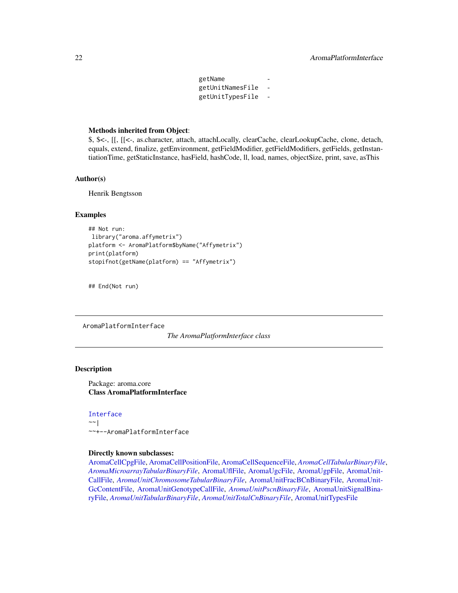getName getUnitNamesFile getUnitTypesFile -

### <span id="page-21-0"></span>Methods inherited from Object:

\$, \$<-, [[, [[<-, as.character, attach, attachLocally, clearCache, clearLookupCache, clone, detach, equals, extend, finalize, getEnvironment, getFieldModifier, getFieldModifiers, getFields, getInstantiationTime, getStaticInstance, hasField, hashCode, ll, load, names, objectSize, print, save, asThis

### Author(s)

Henrik Bengtsson

### Examples

```
## Not run:
library("aroma.affymetrix")
platform <- AromaPlatform$byName("Affymetrix")
print(platform)
stopifnot(getName(platform) == "Affymetrix")
```
## End(Not run)

<span id="page-21-1"></span>AromaPlatformInterface

*The AromaPlatformInterface class*

### Description

Package: aroma.core Class AromaPlatformInterface

#### [Interface](#page-0-0)

 $~\sim~$ | ~~+--AromaPlatformInterface

### Directly known subclasses:

[AromaCellCpgFile,](#page-6-1) [AromaCellPositionFile,](#page-7-1) [AromaCellSequenceFile,](#page-0-0) *[AromaCellTabularBinaryFile](#page-8-1)*, *[AromaMicroarrayTabularBinaryFile](#page-17-1)*, [AromaUflFile,](#page-0-0) [AromaUgcFile,](#page-0-0) [AromaUgpFile,](#page-0-0) [AromaUnit-](#page-29-1)[CallFile,](#page-29-1) *[AromaUnitChromosomeTabularBinaryFile](#page-0-0)*, [AromaUnitFracBCnBinaryFile,](#page-33-1) [AromaUnit-](#page-0-0)[GcContentFile,](#page-0-0) [AromaUnitGenotypeCallFile,](#page-38-1) *[AromaUnitPscnBinaryFile](#page-42-1)*, [AromaUnitSignalBina](#page-47-1)[ryFile,](#page-47-1) *[AromaUnitTabularBinaryFile](#page-51-1)*, *[AromaUnitTotalCnBinaryFile](#page-53-1)*, [AromaUnitTypesFile](#page-58-1)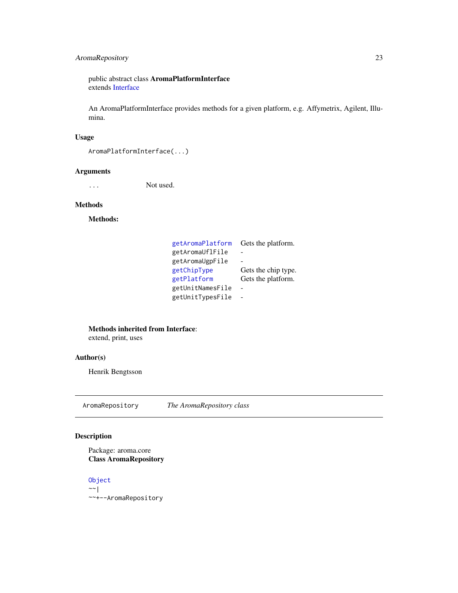### <span id="page-22-0"></span>AromaRepository 23

public abstract class AromaPlatformInterface extends [Interface](#page-0-0)

An AromaPlatformInterface provides methods for a given platform, e.g. Affymetrix, Agilent, Illumina.

### Usage

```
AromaPlatformInterface(...)
```
### Arguments

... Not used.

### Methods

Methods:

| getAromaPlatform | Gets the platform.  |
|------------------|---------------------|
| getAromaUflFile  |                     |
| getAromaUgpFile  |                     |
| getChipType      | Gets the chip type. |
| getPlatform      | Gets the platform.  |
| getUnitNamesFile |                     |
| getUnitTypesFile |                     |

Methods inherited from Interface:

extend, print, uses

### Author(s)

Henrik Bengtsson

AromaRepository *The AromaRepository class*

### Description

```
Package: aroma.core
Class AromaRepository
```
[Object](#page-0-0)  $~\sim~$ | ~~+--AromaRepository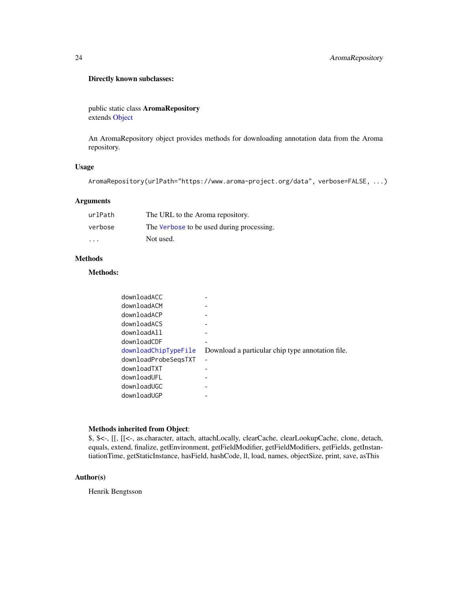### Directly known subclasses:

public static class AromaRepository extends [Object](#page-0-0)

An AromaRepository object provides methods for downloading annotation data from the Aroma repository.

### Usage

```
AromaRepository(urlPath="https://www.aroma-project.org/data", verbose=FALSE, ...)
```
### Arguments

| urlPath                 | The URL to the Aroma repository.          |
|-------------------------|-------------------------------------------|
| verbose                 | The Verbose to be used during processing. |
| $\cdot$ $\cdot$ $\cdot$ | Not used.                                 |

### Methods

### Methods:

| downloadACC          |                                                  |
|----------------------|--------------------------------------------------|
| downloadACM          |                                                  |
| downloadACP          |                                                  |
| downloadACS          |                                                  |
| downloadAll          |                                                  |
| downloadCDF          |                                                  |
| downloadChipTypeFile | Download a particular chip type annotation file. |
| downloadProbeSegsTXT |                                                  |
| downloadTXT          |                                                  |
| downloadUFL          |                                                  |
| downloadUGC          |                                                  |
| downloadUGP          |                                                  |

### Methods inherited from Object:

\$, \$<-, [[, [[<-, as.character, attach, attachLocally, clearCache, clearLookupCache, clone, detach, equals, extend, finalize, getEnvironment, getFieldModifier, getFieldModifiers, getFields, getInstantiationTime, getStaticInstance, hasField, hashCode, ll, load, names, objectSize, print, save, asThis

### Author(s)

Henrik Bengtsson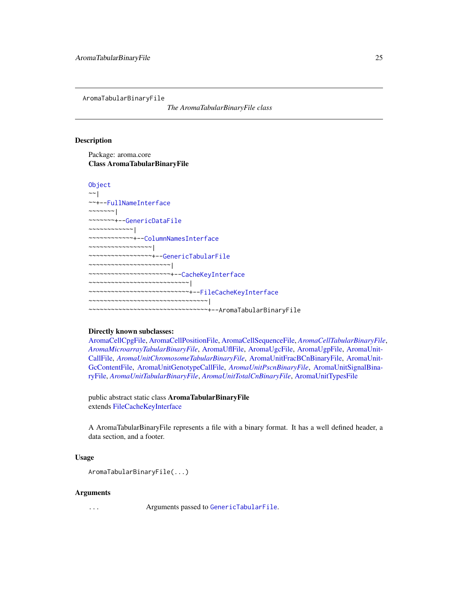<span id="page-24-1"></span><span id="page-24-0"></span>AromaTabularBinaryFile

*The AromaTabularBinaryFile class*

### Description

Package: aroma.core Class AromaTabularBinaryFile

```
Object
~~|
~~+--FullNameInterface
~~~~~~~|
~~~~~~~+--GenericDataFile
~~~~~~~~~~~~|
~~~~~~~~~~~~+--ColumnNamesInterface
~~~~~~~~~~~~~~~~~|
  ~~~~~~~~~~~~~~~~~+--GenericTabularFile
  ~~~~~~~~~~~~~~~~~~~~~~|
 ~~~~~~~~~~~~~~~~~~~~~~+--CacheKeyInterface
~~~~~~~~~~~~~~~~~~~~~~~~~~~|
~~~~~~~~~~~~~~~~~~~~~~~~~~~+--FileCacheKeyInterface
~~~~~~~~~~~~~~~~~~~~~~~~~~~~~~~~|
~~~~~~~~~~~~~~~~~~~~~~~~~~~~~~~~+--AromaTabularBinaryFile
```
#### Directly known subclasses:

[AromaCellCpgFile,](#page-6-1) [AromaCellPositionFile,](#page-7-1) [AromaCellSequenceFile,](#page-0-0) *[AromaCellTabularBinaryFile](#page-8-1)*, *[AromaMicroarrayTabularBinaryFile](#page-17-1)*, [AromaUflFile,](#page-0-0) [AromaUgcFile,](#page-0-0) [AromaUgpFile,](#page-0-0) [AromaUnit-](#page-29-1)[CallFile,](#page-29-1) *[AromaUnitChromosomeTabularBinaryFile](#page-0-0)*, [AromaUnitFracBCnBinaryFile,](#page-33-1) [AromaUnit-](#page-0-0)[GcContentFile,](#page-0-0) [AromaUnitGenotypeCallFile,](#page-38-1) *[AromaUnitPscnBinaryFile](#page-42-1)*, [AromaUnitSignalBina](#page-47-1)[ryFile,](#page-47-1) *[AromaUnitTabularBinaryFile](#page-51-1)*, *[AromaUnitTotalCnBinaryFile](#page-53-1)*, [AromaUnitTypesFile](#page-58-1)

public abstract static class AromaTabularBinaryFile extends [FileCacheKeyInterface](#page-0-0)

A AromaTabularBinaryFile represents a file with a binary format. It has a well defined header, a data section, and a footer.

### Usage

```
AromaTabularBinaryFile(...)
```
### Arguments

... Arguments passed to [GenericTabularFile](#page-0-0).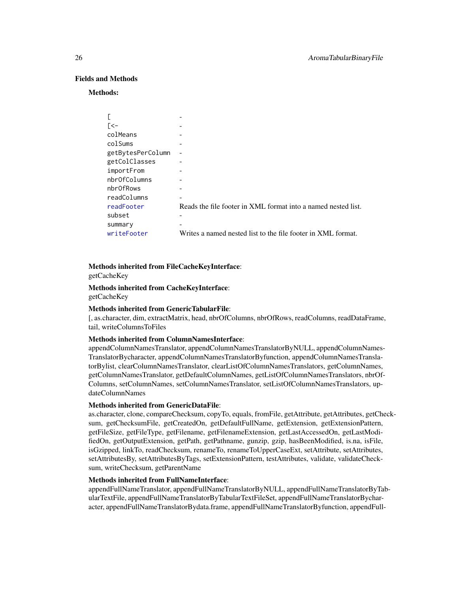### Fields and Methods

#### Methods:

| E                 |                                                               |
|-------------------|---------------------------------------------------------------|
| $\lceil$ <-       |                                                               |
| colMeans          |                                                               |
| colSums           |                                                               |
| getBytesPerColumn |                                                               |
| getColClasses     |                                                               |
| importFrom        |                                                               |
| nbr0fColumns      |                                                               |
| nbr0fRows         |                                                               |
| readColumns       |                                                               |
| readFooter        | Reads the file footer in XML format into a named nested list. |
| subset            |                                                               |
| summary           |                                                               |
| writeFooter       | Writes a named nested list to the file footer in XML format.  |

# Methods inherited from FileCacheKeyInterface:

getCacheKey

### Methods inherited from CacheKeyInterface: getCacheKey

#### Methods inherited from GenericTabularFile:

[, as.character, dim, extractMatrix, head, nbrOfColumns, nbrOfRows, readColumns, readDataFrame, tail, writeColumnsToFiles

### Methods inherited from ColumnNamesInterface:

appendColumnNamesTranslator, appendColumnNamesTranslatorByNULL, appendColumnNames-TranslatorBycharacter, appendColumnNamesTranslatorByfunction, appendColumnNamesTranslatorBylist, clearColumnNamesTranslator, clearListOfColumnNamesTranslators, getColumnNames, getColumnNamesTranslator, getDefaultColumnNames, getListOfColumnNamesTranslators, nbrOf-Columns, setColumnNames, setColumnNamesTranslator, setListOfColumnNamesTranslators, updateColumnNames

### Methods inherited from GenericDataFile:

as.character, clone, compareChecksum, copyTo, equals, fromFile, getAttribute, getAttributes, getChecksum, getChecksumFile, getCreatedOn, getDefaultFullName, getExtension, getExtensionPattern, getFileSize, getFileType, getFilename, getFilenameExtension, getLastAccessedOn, getLastModifiedOn, getOutputExtension, getPath, getPathname, gunzip, gzip, hasBeenModified, is.na, isFile, isGzipped, linkTo, readChecksum, renameTo, renameToUpperCaseExt, setAttribute, setAttributes, setAttributesBy, setAttributesByTags, setExtensionPattern, testAttributes, validate, validateChecksum, writeChecksum, getParentName

#### Methods inherited from FullNameInterface:

appendFullNameTranslator, appendFullNameTranslatorByNULL, appendFullNameTranslatorByTabularTextFile, appendFullNameTranslatorByTabularTextFileSet, appendFullNameTranslatorBycharacter, appendFullNameTranslatorBydata.frame, appendFullNameTranslatorByfunction, appendFull-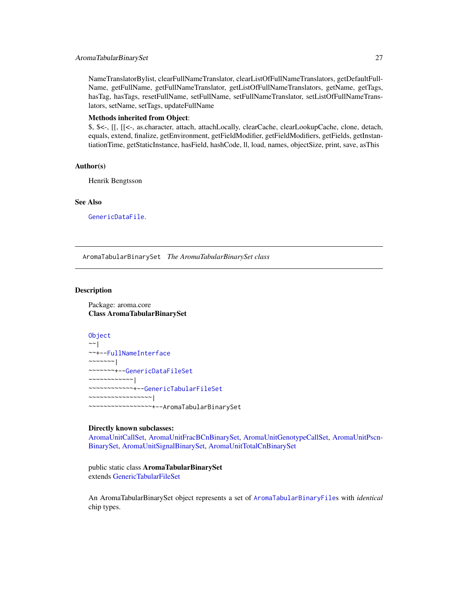### <span id="page-26-0"></span>AromaTabularBinarySet 27

NameTranslatorBylist, clearFullNameTranslator, clearListOfFullNameTranslators, getDefaultFull-Name, getFullName, getFullNameTranslator, getListOfFullNameTranslators, getName, getTags, hasTag, hasTags, resetFullName, setFullName, setFullNameTranslator, setListOfFullNameTranslators, setName, setTags, updateFullName

### Methods inherited from Object:

\$, \$<-, [[, [[<-, as.character, attach, attachLocally, clearCache, clearLookupCache, clone, detach, equals, extend, finalize, getEnvironment, getFieldModifier, getFieldModifiers, getFields, getInstantiationTime, getStaticInstance, hasField, hashCode, ll, load, names, objectSize, print, save, asThis

### Author(s)

Henrik Bengtsson

### See Also

[GenericDataFile](#page-0-0).

<span id="page-26-1"></span>AromaTabularBinarySet *The AromaTabularBinarySet class*

#### Description

Package: aroma.core Class AromaTabularBinarySet

**[Object](#page-0-0)** ~~| ~~+-[-FullNameInterface](#page-0-0) ~~~~~~~| ~~~~~~~+-[-GenericDataFileSet](#page-0-0) ~~~~~~~~~~~~| ~~~~~~~~~~~~+-[-GenericTabularFileSet](#page-0-0) ~~~~~~~~~~~~~~~~~| ~~~~~~~~~~~~~~~~~+--AromaTabularBinarySet

### Directly known subclasses:

[AromaUnitCallSet,](#page-31-1) [AromaUnitFracBCnBinarySet,](#page-36-1) [AromaUnitGenotypeCallSet,](#page-40-1) [AromaUnitPscn-](#page-45-1)[BinarySet,](#page-45-1) [AromaUnitSignalBinarySet,](#page-49-1) [AromaUnitTotalCnBinarySet](#page-56-1)

public static class AromaTabularBinarySet extends [GenericTabularFileSet](#page-0-0)

An AromaTabularBinarySet object represents a set of [AromaTabularBinaryFile](#page-24-1)s with *identical* chip types.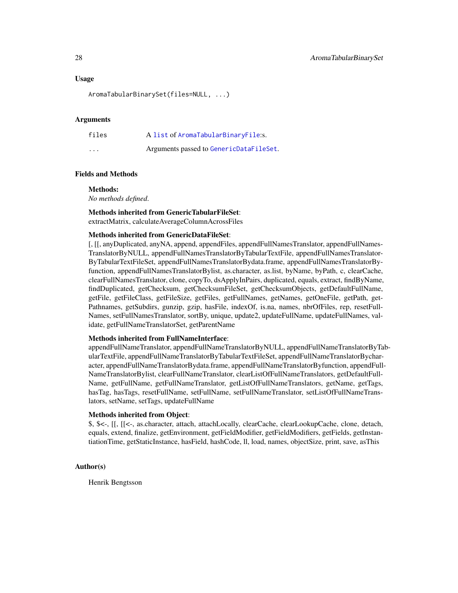### Usage

AromaTabularBinarySet(files=NULL, ...)

### Arguments

| files    | A list of AromaTabularBinaryFile:s.     |
|----------|-----------------------------------------|
| $\cdots$ | Arguments passed to GenericDataFileSet. |

#### Fields and Methods

#### Methods:

*No methods defined*.

#### Methods inherited from GenericTabularFileSet:

extractMatrix, calculateAverageColumnAcrossFiles

### Methods inherited from GenericDataFileSet:

[, [[, anyDuplicated, anyNA, append, appendFiles, appendFullNamesTranslator, appendFullNames-TranslatorByNULL, appendFullNamesTranslatorByTabularTextFile, appendFullNamesTranslator-ByTabularTextFileSet, appendFullNamesTranslatorBydata.frame, appendFullNamesTranslatorByfunction, appendFullNamesTranslatorBylist, as.character, as.list, byName, byPath, c, clearCache, clearFullNamesTranslator, clone, copyTo, dsApplyInPairs, duplicated, equals, extract, findByName, findDuplicated, getChecksum, getChecksumFileSet, getChecksumObjects, getDefaultFullName, getFile, getFileClass, getFileSize, getFiles, getFullNames, getNames, getOneFile, getPath, get-Pathnames, getSubdirs, gunzip, gzip, hasFile, indexOf, is.na, names, nbrOfFiles, rep, resetFull-Names, setFullNamesTranslator, sortBy, unique, update2, updateFullName, updateFullNames, validate, getFullNameTranslatorSet, getParentName

#### Methods inherited from FullNameInterface:

appendFullNameTranslator, appendFullNameTranslatorByNULL, appendFullNameTranslatorByTabularTextFile, appendFullNameTranslatorByTabularTextFileSet, appendFullNameTranslatorBycharacter, appendFullNameTranslatorBydata.frame, appendFullNameTranslatorByfunction, appendFull-NameTranslatorBylist, clearFullNameTranslator, clearListOfFullNameTranslators, getDefaultFull-Name, getFullName, getFullNameTranslator, getListOfFullNameTranslators, getName, getTags, hasTag, hasTags, resetFullName, setFullName, setFullNameTranslator, setListOfFullNameTranslators, setName, setTags, updateFullName

### Methods inherited from Object:

\$, \$<-, [[, [[<-, as.character, attach, attachLocally, clearCache, clearLookupCache, clone, detach, equals, extend, finalize, getEnvironment, getFieldModifier, getFieldModifiers, getFields, getInstantiationTime, getStaticInstance, hasField, hashCode, ll, load, names, objectSize, print, save, asThis

#### Author(s)

Henrik Bengtsson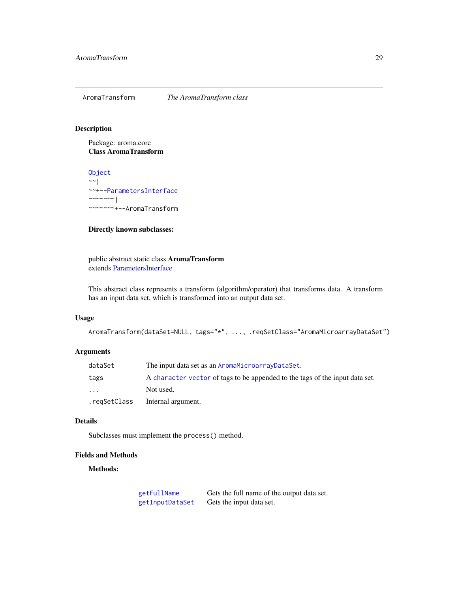<span id="page-28-0"></span>AromaTransform *The AromaTransform class*

### Description

Package: aroma.core Class AromaTransform

[Object](#page-0-0)  $~\sim$   $~\sim$   $~\mid$ ~~+-[-ParametersInterface](#page-86-1)  $~\sim$   $~\sim$   $~\sim$   $~\sim$   $~\sim$   $~\sim$   $~\sim$ ~~~~~~~+--AromaTransform

### Directly known subclasses:

public abstract static class AromaTransform extends [ParametersInterface](#page-86-1)

This abstract class represents a transform (algorithm/operator) that transforms data. A transform has an input data set, which is transformed into an output data set.

### Usage

```
AromaTransform(dataSet=NULL, tags="*", ..., .reqSetClass="AromaMicroarrayDataSet")
```
### Arguments

| dataSet                 | The input data set as an AromaMicroarrayDataSet.                             |
|-------------------------|------------------------------------------------------------------------------|
| tags                    | A character vector of tags to be appended to the tags of the input data set. |
| $\cdot$ $\cdot$ $\cdot$ | Not used.                                                                    |
| .regSetClass            | Internal argument.                                                           |

### Details

Subclasses must implement the process() method.

### Fields and Methods

Methods:

[getFullName](#page-0-0) Gets the full name of the output data set. [getInputDataSet](#page-0-0) Gets the input data set.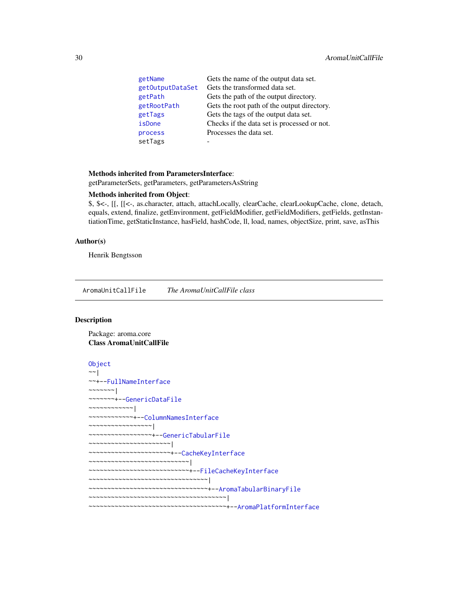<span id="page-29-0"></span>

| getName          | Gets the name of the output data set.       |
|------------------|---------------------------------------------|
| getOutputDataSet | Gets the transformed data set.              |
| getPath          | Gets the path of the output directory.      |
| getRootPath      | Gets the root path of the output directory. |
| getTags          | Gets the tags of the output data set.       |
| isDone           | Checks if the data set is processed or not. |
| process          | Processes the data set.                     |
| setTags          |                                             |

## Methods inherited from ParametersInterface:

getParameterSets, getParameters, getParametersAsString

### Methods inherited from Object:

\$, \$<-, [[, [[<-, as.character, attach, attachLocally, clearCache, clearLookupCache, clone, detach, equals, extend, finalize, getEnvironment, getFieldModifier, getFieldModifiers, getFields, getInstantiationTime, getStaticInstance, hasField, hashCode, ll, load, names, objectSize, print, save, asThis

### Author(s)

Henrik Bengtsson

<span id="page-29-1"></span>AromaUnitCallFile *The AromaUnitCallFile class*

### Description

Package: aroma.core Class AromaUnitCallFile

```
Object
~~|
~~+--FullNameInterface
~~~~~~~|~~~~~~~+--GenericDataFile
~~~~~~~~~~~~|
~~~~~~~~~~~~+--ColumnNamesInterface
~~~~~~~~~~~~~~~~~|
~~~~~~~~~~~~~~~~~+--GenericTabularFile
~~~~~~~~~~~~~~~~~~~~~~|
~~~~~~~~~~~~~~~~~~~~~~+--CacheKeyInterface
~~~~~~~~~~~~~~~~~~~~~~~~~~~|
~~~~~~~~~~~~~~~~~~~~~~~~~~~+--FileCacheKeyInterface
~~~~~~~~~~~~~~~~~~~~~~~~~~~~~~~~|
~~~~~~~~~~~~~~~~~~~~~~~~~~~~~~~~+--AromaTabularBinaryFile
~~~~~~~~~~~~~~~~~~~~~~~~~~~~~~~~~~~~~|
~~~~~~~~~~~~~~~~~~~~~~~~~~~~~~~~~~~~~+--AromaPlatformInterface
```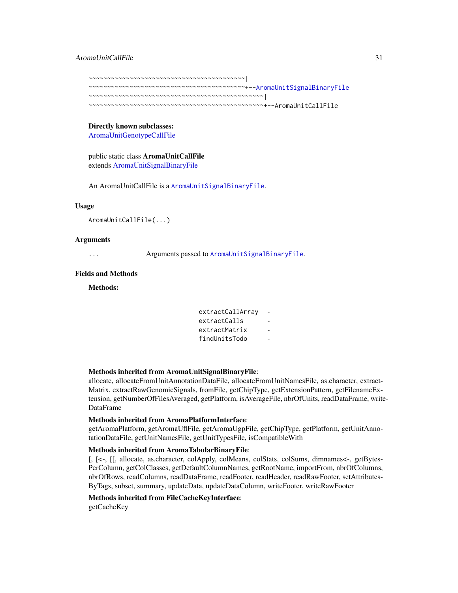AromaUnitCallFile 31

~~~~~~~~~~~~~~~~~~~~~~~~~~~~~~~~~~~~~~~~~~| ~~~~~~~~~~~~~~~~~~~~~~~~~~~~~~~~~~~~~~~~~~+-[-AromaUnitSignalBinaryFile](#page-47-1) ~~~~~~~~~~~~~~~~~~~~~~~~~~~~~~~~~~~~~~~~~~~~~~~| ~~~~~~~~~~~~~~~~~~~~~~~~~~~~~~~~~~~~~~~~~~~~~~~+--AromaUnitCallFile

Directly known subclasses: [AromaUnitGenotypeCallFile](#page-38-1)

public static class AromaUnitCallFile extends [AromaUnitSignalBinaryFile](#page-47-1)

An AromaUnitCallFile is a [AromaUnitSignalBinaryFile](#page-47-1).

#### Usage

```
AromaUnitCallFile(...)
```
### Arguments

... Arguments passed to [AromaUnitSignalBinaryFile](#page-47-1).

### Fields and Methods

Methods:

```
extractCallArray -
extractCalls
extractMatrix
findUnitsTodo -
```
Methods inherited from AromaUnitSignalBinaryFile:

allocate, allocateFromUnitAnnotationDataFile, allocateFromUnitNamesFile, as.character, extract-Matrix, extractRawGenomicSignals, fromFile, getChipType, getExtensionPattern, getFilenameExtension, getNumberOfFilesAveraged, getPlatform, isAverageFile, nbrOfUnits, readDataFrame, write-DataFrame

### Methods inherited from AromaPlatformInterface:

getAromaPlatform, getAromaUflFile, getAromaUgpFile, getChipType, getPlatform, getUnitAnnotationDataFile, getUnitNamesFile, getUnitTypesFile, isCompatibleWith

#### Methods inherited from AromaTabularBinaryFile:

[, [<-, [[, allocate, as.character, colApply, colMeans, colStats, colSums, dimnames<-, getBytes-PerColumn, getColClasses, getDefaultColumnNames, getRootName, importFrom, nbrOfColumns, nbrOfRows, readColumns, readDataFrame, readFooter, readHeader, readRawFooter, setAttributes-ByTags, subset, summary, updateData, updateDataColumn, writeFooter, writeRawFooter

### Methods inherited from FileCacheKeyInterface:

getCacheKey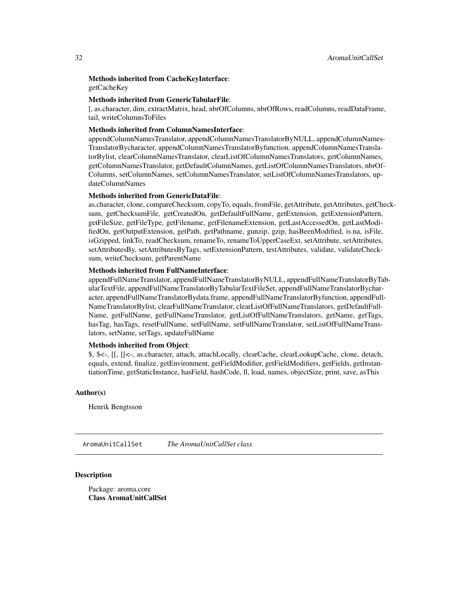<span id="page-31-0"></span>Methods inherited from CacheKeyInterface: getCacheKey

### Methods inherited from GenericTabularFile:

[, as.character, dim, extractMatrix, head, nbrOfColumns, nbrOfRows, readColumns, readDataFrame, tail, writeColumnsToFiles

### Methods inherited from ColumnNamesInterface:

appendColumnNamesTranslator, appendColumnNamesTranslatorByNULL, appendColumnNames-TranslatorBycharacter, appendColumnNamesTranslatorByfunction, appendColumnNamesTranslatorBylist, clearColumnNamesTranslator, clearListOfColumnNamesTranslators, getColumnNames, getColumnNamesTranslator, getDefaultColumnNames, getListOfColumnNamesTranslators, nbrOf-Columns, setColumnNames, setColumnNamesTranslator, setListOfColumnNamesTranslators, updateColumnNames

#### Methods inherited from GenericDataFile:

as.character, clone, compareChecksum, copyTo, equals, fromFile, getAttribute, getAttributes, getChecksum, getChecksumFile, getCreatedOn, getDefaultFullName, getExtension, getExtensionPattern, getFileSize, getFileType, getFilename, getFilenameExtension, getLastAccessedOn, getLastModifiedOn, getOutputExtension, getPath, getPathname, gunzip, gzip, hasBeenModified, is.na, isFile, isGzipped, linkTo, readChecksum, renameTo, renameToUpperCaseExt, setAttribute, setAttributes, setAttributesBy, setAttributesByTags, setExtensionPattern, testAttributes, validate, validateChecksum, writeChecksum, getParentName

### Methods inherited from FullNameInterface:

appendFullNameTranslator, appendFullNameTranslatorByNULL, appendFullNameTranslatorByTabularTextFile, appendFullNameTranslatorByTabularTextFileSet, appendFullNameTranslatorBycharacter, appendFullNameTranslatorBydata.frame, appendFullNameTranslatorByfunction, appendFull-NameTranslatorBylist, clearFullNameTranslator, clearListOfFullNameTranslators, getDefaultFull-Name, getFullName, getFullNameTranslator, getListOfFullNameTranslators, getName, getTags, hasTag, hasTags, resetFullName, setFullName, setFullNameTranslator, setListOfFullNameTranslators, setName, setTags, updateFullName

### Methods inherited from Object:

\$, \$<-, [[, [[<-, as.character, attach, attachLocally, clearCache, clearLookupCache, clone, detach, equals, extend, finalize, getEnvironment, getFieldModifier, getFieldModifiers, getFields, getInstantiationTime, getStaticInstance, hasField, hashCode, ll, load, names, objectSize, print, save, asThis

#### Author(s)

Henrik Bengtsson

<span id="page-31-1"></span>AromaUnitCallSet *The AromaUnitCallSet class*

### **Description**

Package: aroma.core Class AromaUnitCallSet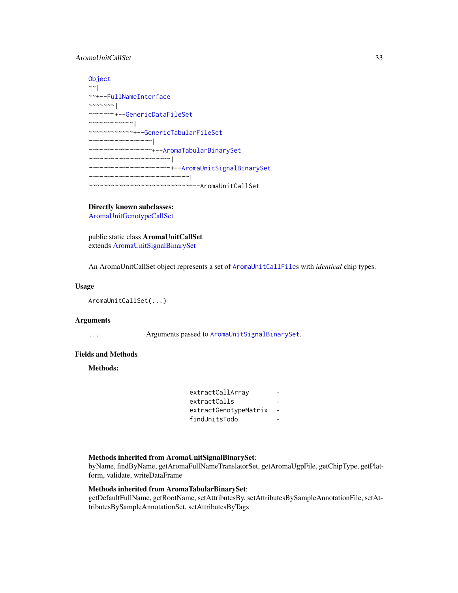### AromaUnitCallSet 33

```
Object
\sim \sim |
~~+--FullNameInterface
~~~~~~~|~~~~~~~+--GenericDataFileSet
~~~~~~~~~~~~|
~~~~~~~~~~~~+--GenericTabularFileSet
~~~~~~~~~~~~~~~~~|
~~~~~~~~~~~~~~~~~+--AromaTabularBinarySet
~~~~~~~~~~~~~~~~~~~~~~|
~~~~~~~~~~~~~~~~~~~~~~+--AromaUnitSignalBinarySet
~~~~~~~~~~~~~~~~~~~~~~~~~~~|
~~~~~~~~~~~~~~~~~~~~~~~~~~~+--AromaUnitCallSet
```
#### Directly known subclasses:

[AromaUnitGenotypeCallSet](#page-40-1)

public static class AromaUnitCallSet extends [AromaUnitSignalBinarySet](#page-49-1)

An AromaUnitCallSet object represents a set of [AromaUnitCallFile](#page-29-1)s with *identical* chip types.

### Usage

AromaUnitCallSet(...)

### Arguments

... Arguments passed to [AromaUnitSignalBinarySet](#page-49-1).

### Fields and Methods

Methods:

| extractCallArray      |  |
|-----------------------|--|
| extractCalls          |  |
| extractGenotypeMatrix |  |
| findUnitsTodo         |  |

### Methods inherited from AromaUnitSignalBinarySet:

byName, findByName, getAromaFullNameTranslatorSet, getAromaUgpFile, getChipType, getPlatform, validate, writeDataFrame

### Methods inherited from AromaTabularBinarySet:

getDefaultFullName, getRootName, setAttributesBy, setAttributesBySampleAnnotationFile, setAttributesBySampleAnnotationSet, setAttributesByTags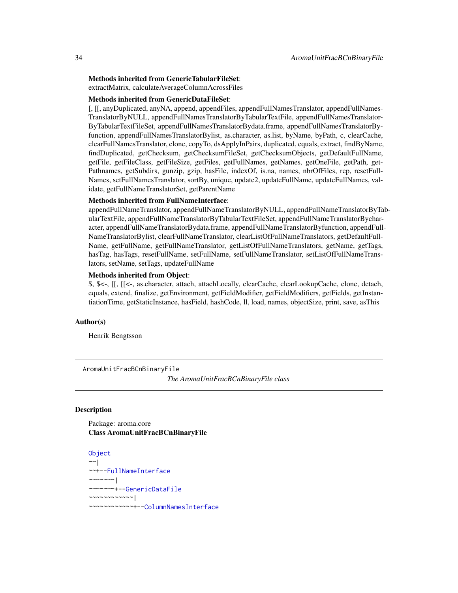### <span id="page-33-0"></span>Methods inherited from GenericTabularFileSet:

extractMatrix, calculateAverageColumnAcrossFiles

### Methods inherited from GenericDataFileSet:

[, [[, anyDuplicated, anyNA, append, appendFiles, appendFullNamesTranslator, appendFullNames-TranslatorByNULL, appendFullNamesTranslatorByTabularTextFile, appendFullNamesTranslator-ByTabularTextFileSet, appendFullNamesTranslatorBydata.frame, appendFullNamesTranslatorByfunction, appendFullNamesTranslatorBylist, as.character, as.list, byName, byPath, c, clearCache, clearFullNamesTranslator, clone, copyTo, dsApplyInPairs, duplicated, equals, extract, findByName, findDuplicated, getChecksum, getChecksumFileSet, getChecksumObjects, getDefaultFullName, getFile, getFileClass, getFileSize, getFiles, getFullNames, getNames, getOneFile, getPath, get-Pathnames, getSubdirs, gunzip, gzip, hasFile, indexOf, is.na, names, nbrOfFiles, rep, resetFull-Names, setFullNamesTranslator, sortBy, unique, update2, updateFullName, updateFullNames, validate, getFullNameTranslatorSet, getParentName

#### Methods inherited from FullNameInterface:

appendFullNameTranslator, appendFullNameTranslatorByNULL, appendFullNameTranslatorByTabularTextFile, appendFullNameTranslatorByTabularTextFileSet, appendFullNameTranslatorBycharacter, appendFullNameTranslatorBydata.frame, appendFullNameTranslatorByfunction, appendFull-NameTranslatorBylist, clearFullNameTranslator, clearListOfFullNameTranslators, getDefaultFull-Name, getFullName, getFullNameTranslator, getListOfFullNameTranslators, getName, getTags, hasTag, hasTags, resetFullName, setFullName, setFullNameTranslator, setListOfFullNameTranslators, setName, setTags, updateFullName

#### Methods inherited from Object:

\$, \$<-, [[, [[<-, as.character, attach, attachLocally, clearCache, clearLookupCache, clone, detach, equals, extend, finalize, getEnvironment, getFieldModifier, getFieldModifiers, getFields, getInstantiationTime, getStaticInstance, hasField, hashCode, ll, load, names, objectSize, print, save, asThis

### Author(s)

Henrik Bengtsson

<span id="page-33-1"></span>AromaUnitFracBCnBinaryFile *The AromaUnitFracBCnBinaryFile class*

### Description

Package: aroma.core Class AromaUnitFracBCnBinaryFile

```
Object
~~|
~~+--FullNameInterface
~\sim ~\sim ~\sim ~\sim ~\sim ~\sim ~\sim ~\sim ~\sim ~\sim ~\sim ~\sim ~\sim ~\sim ~\sim ~\sim ~\sim ~\sim ~\sim ~\sim ~\sim ~\sim ~\sim ~\sim ~\sim ~\sim ~\sim ~\sim ~\sim ~\sim ~\sim ~\sim ~\sim ~\sim ~\sim ~\sim ~\sim~~~~~~~+--GenericDataFile
~~~~~~~~~~~~|
~~~~~~~~~~~~+--ColumnNamesInterface
```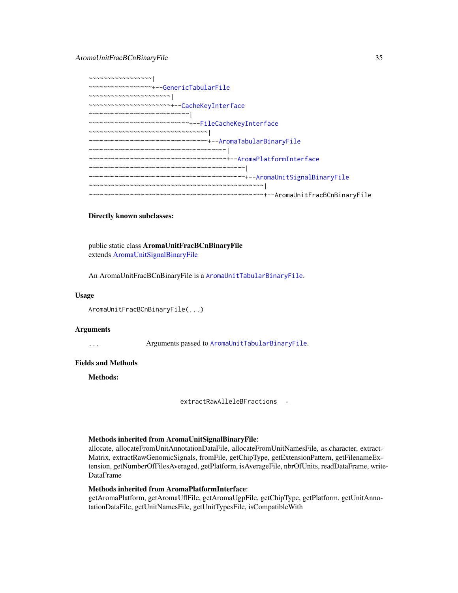AromaUnitFracBCnBinaryFile 35

~~~~~~~~~~~~~~~~~| ~~~~~~~~~~~~~~~~~+-[-GenericTabularFile](#page-0-0) ~~~~~~~~~~~~~~~~~~~~~~| ~~~~~~~~~~~~~~~~~~~~~~+-[-CacheKeyInterface](#page-0-0) ~~~~~~~~~~~~~~~~~~~~~~~~~~~| ~~~~~~~~~~~~~~~~~~~~~~~~~~~+-[-FileCacheKeyInterface](#page-0-0) ~~~~~~~~~~~~~~~~~~~~~~~~~~~~~~~~~ ~~~~~~~~~~~~~~~~~~~~~~~~~~~~~~~~+-[-AromaTabularBinaryFile](#page-24-1) ~~~~~~~~~~~~~~~~~~~~~~~~~~~~~~~~~~~~~| ~~~~~~~~~~~~~~~~~~~~~~~~~~~~~~~~~~~~~+-[-AromaPlatformInterface](#page-21-1) ~~~~~~~~~~~~~~~~~~~~~~~~~~~~~~~~~~~~~~~~~~| ~~~~~~~~~~~~~~~~~~~~~~~~~~~~~~~~~~~~~~~~~~+-[-AromaUnitSignalBinaryFile](#page-47-1) ~~~~~~~~~~~~~~~~~~~~~~~~~~~~~~~~~~~~~~~~~~~~~~~| ~~~~~~~~~~~~~~~~~~~~~~~~~~~~~~~~~~~~~~~~~~~~~~~+--AromaUnitFracBCnBinaryFile

### Directly known subclasses:

public static class AromaUnitFracBCnBinaryFile extends [AromaUnitSignalBinaryFile](#page-47-1)

An AromaUnitFracBCnBinaryFile is a [AromaUnitTabularBinaryFile](#page-51-1).

#### Usage

```
AromaUnitFracBCnBinaryFile(...)
```
### Arguments

... Arguments passed to [AromaUnitTabularBinaryFile](#page-51-1).

### Fields and Methods

Methods:

extractRawAlleleBFractions -

#### Methods inherited from AromaUnitSignalBinaryFile:

allocate, allocateFromUnitAnnotationDataFile, allocateFromUnitNamesFile, as.character, extract-Matrix, extractRawGenomicSignals, fromFile, getChipType, getExtensionPattern, getFilenameExtension, getNumberOfFilesAveraged, getPlatform, isAverageFile, nbrOfUnits, readDataFrame, write-DataFrame

### Methods inherited from AromaPlatformInterface:

getAromaPlatform, getAromaUflFile, getAromaUgpFile, getChipType, getPlatform, getUnitAnnotationDataFile, getUnitNamesFile, getUnitTypesFile, isCompatibleWith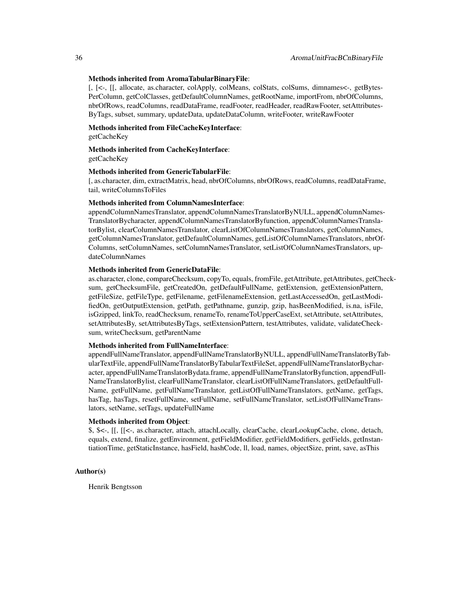### Methods inherited from AromaTabularBinaryFile:

[, [<-, [[, allocate, as.character, colApply, colMeans, colStats, colSums, dimnames<-, getBytes-PerColumn, getColClasses, getDefaultColumnNames, getRootName, importFrom, nbrOfColumns, nbrOfRows, readColumns, readDataFrame, readFooter, readHeader, readRawFooter, setAttributes-ByTags, subset, summary, updateData, updateDataColumn, writeFooter, writeRawFooter

Methods inherited from FileCacheKeyInterface:

getCacheKey

Methods inherited from CacheKeyInterface: getCacheKey

### Methods inherited from GenericTabularFile:

[. as.character, dim, extractMatrix, head, nbrOfColumns, nbrOfRows, readColumns, readDataFrame, tail, writeColumnsToFiles

### Methods inherited from ColumnNamesInterface:

appendColumnNamesTranslator, appendColumnNamesTranslatorByNULL, appendColumnNames-TranslatorBycharacter, appendColumnNamesTranslatorByfunction, appendColumnNamesTranslatorBylist, clearColumnNamesTranslator, clearListOfColumnNamesTranslators, getColumnNames, getColumnNamesTranslator, getDefaultColumnNames, getListOfColumnNamesTranslators, nbrOf-Columns, setColumnNames, setColumnNamesTranslator, setListOfColumnNamesTranslators, updateColumnNames

### Methods inherited from GenericDataFile:

as.character, clone, compareChecksum, copyTo, equals, fromFile, getAttribute, getAttributes, getChecksum, getChecksumFile, getCreatedOn, getDefaultFullName, getExtension, getExtensionPattern, getFileSize, getFileType, getFilename, getFilenameExtension, getLastAccessedOn, getLastModifiedOn, getOutputExtension, getPath, getPathname, gunzip, gzip, hasBeenModified, is.na, isFile, isGzipped, linkTo, readChecksum, renameTo, renameToUpperCaseExt, setAttribute, setAttributes, setAttributesBy, setAttributesByTags, setExtensionPattern, testAttributes, validate, validateChecksum, writeChecksum, getParentName

### Methods inherited from FullNameInterface:

appendFullNameTranslator, appendFullNameTranslatorByNULL, appendFullNameTranslatorByTabularTextFile, appendFullNameTranslatorByTabularTextFileSet, appendFullNameTranslatorBycharacter, appendFullNameTranslatorBydata.frame, appendFullNameTranslatorByfunction, appendFull-NameTranslatorBylist, clearFullNameTranslator, clearListOfFullNameTranslators, getDefaultFull-Name, getFullName, getFullNameTranslator, getListOfFullNameTranslators, getName, getTags, hasTag, hasTags, resetFullName, setFullName, setFullNameTranslator, setListOfFullNameTranslators, setName, setTags, updateFullName

#### Methods inherited from Object:

\$, \$<-, [[, [[<-, as.character, attach, attachLocally, clearCache, clearLookupCache, clone, detach, equals, extend, finalize, getEnvironment, getFieldModifier, getFieldModifiers, getFields, getInstantiationTime, getStaticInstance, hasField, hashCode, ll, load, names, objectSize, print, save, asThis

### Author(s)

Henrik Bengtsson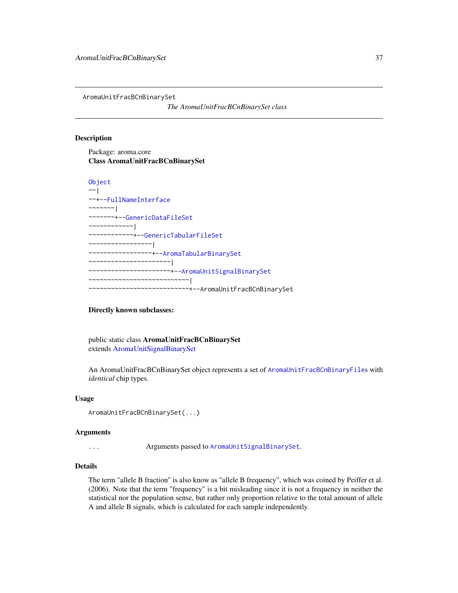<span id="page-36-0"></span>AromaUnitFracBCnBinarySet

*The AromaUnitFracBCnBinarySet class*

#### Description

Package: aroma.core Class AromaUnitFracBCnBinarySet

```
Object
~~|
~~+--FullNameInterface
~\sim ~\sim ~\sim ~\sim ~\sim ~\sim ~\sim~~~~~~~+--GenericDataFileSet
~~~~~~~~~~~~|
~~~~~~~~~~~~+--GenericTabularFileSet
  ~~~~~~~~~~~~~~~~~|
  ~~~~~~~~~~~~~~~~~+--AromaTabularBinarySet
~~~~~~~~~~~~~~~~~~~~~~|
~~~~~~~~~~~~~~~~~~~~~~+--AromaUnitSignalBinarySet
    ~~~~~~~~~~~~~~~~~~~~~~~~~~~|
       ~~~~~~~~~~~~~~~~~~~~~~~~~~~+--AromaUnitFracBCnBinarySet
```
### Directly known subclasses:

public static class AromaUnitFracBCnBinarySet extends [AromaUnitSignalBinarySet](#page-49-0)

An AromaUnitFracBCnBinarySet object represents a set of [AromaUnitFracBCnBinaryFile](#page-33-0)s with *identical* chip types.

#### Usage

```
AromaUnitFracBCnBinarySet(...)
```
#### Arguments

... Arguments passed to [AromaUnitSignalBinarySet](#page-49-0).

# Details

The term "allele B fraction" is also know as "allele B frequency", which was coined by Peiffer et al. (2006). Note that the term "frequency" is a bit misleading since it is not a frequency in neither the statistical nor the population sense, but rather only proportion relative to the total amount of allele A and allele B signals, which is calculated for each sample independently.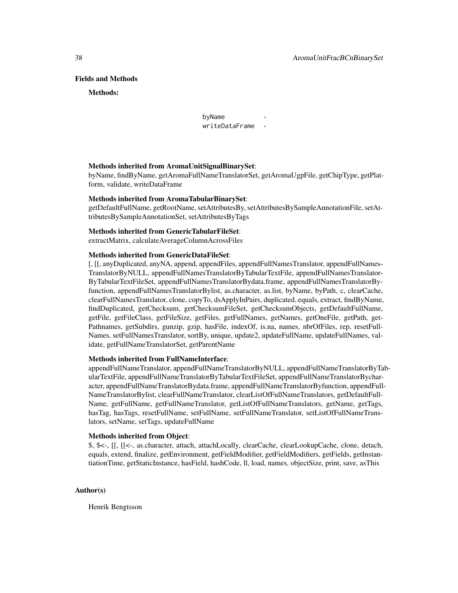#### Fields and Methods

#### Methods:

byName writeDataFrame -

### Methods inherited from AromaUnitSignalBinarySet:

byName, findByName, getAromaFullNameTranslatorSet, getAromaUgpFile, getChipType, getPlatform, validate, writeDataFrame

#### Methods inherited from AromaTabularBinarySet:

getDefaultFullName, getRootName, setAttributesBy, setAttributesBySampleAnnotationFile, setAttributesBySampleAnnotationSet, setAttributesByTags

#### Methods inherited from GenericTabularFileSet:

extractMatrix, calculateAverageColumnAcrossFiles

#### Methods inherited from GenericDataFileSet:

[, [[, anyDuplicated, anyNA, append, appendFiles, appendFullNamesTranslator, appendFullNames-TranslatorByNULL, appendFullNamesTranslatorByTabularTextFile, appendFullNamesTranslator-ByTabularTextFileSet, appendFullNamesTranslatorBydata.frame, appendFullNamesTranslatorByfunction, appendFullNamesTranslatorBylist, as.character, as.list, byName, byPath, c, clearCache, clearFullNamesTranslator, clone, copyTo, dsApplyInPairs, duplicated, equals, extract, findByName, findDuplicated, getChecksum, getChecksumFileSet, getChecksumObjects, getDefaultFullName, getFile, getFileClass, getFileSize, getFiles, getFullNames, getNames, getOneFile, getPath, get-Pathnames, getSubdirs, gunzip, gzip, hasFile, indexOf, is.na, names, nbrOfFiles, rep, resetFull-Names, setFullNamesTranslator, sortBy, unique, update2, updateFullName, updateFullNames, validate, getFullNameTranslatorSet, getParentName

### Methods inherited from FullNameInterface:

appendFullNameTranslator, appendFullNameTranslatorByNULL, appendFullNameTranslatorByTabularTextFile, appendFullNameTranslatorByTabularTextFileSet, appendFullNameTranslatorBycharacter, appendFullNameTranslatorBydata.frame, appendFullNameTranslatorByfunction, appendFull-NameTranslatorBylist, clearFullNameTranslator, clearListOfFullNameTranslators, getDefaultFull-Name, getFullName, getFullNameTranslator, getListOfFullNameTranslators, getName, getTags, hasTag, hasTags, resetFullName, setFullName, setFullNameTranslator, setListOfFullNameTranslators, setName, setTags, updateFullName

# Methods inherited from Object:

\$, \$<-, [[, [[<-, as.character, attach, attachLocally, clearCache, clearLookupCache, clone, detach, equals, extend, finalize, getEnvironment, getFieldModifier, getFieldModifiers, getFields, getInstantiationTime, getStaticInstance, hasField, hashCode, ll, load, names, objectSize, print, save, asThis

### Author(s)

Henrik Bengtsson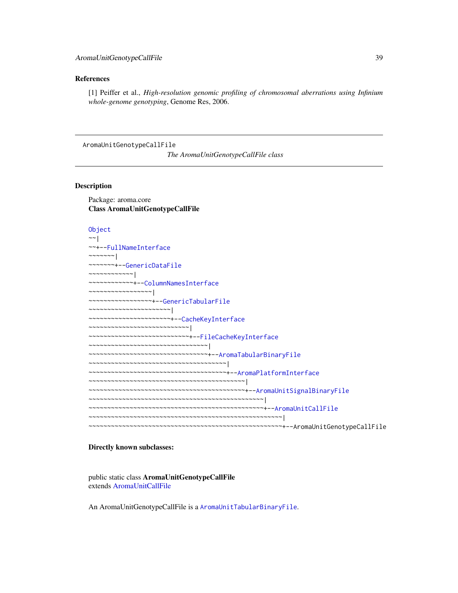### References

[1] Peiffer et al., *High-resolution genomic profiling of chromosomal aberrations using Infinium whole-genome genotyping*, Genome Res, 2006.

<span id="page-38-0"></span>AromaUnitGenotypeCallFile

*The AromaUnitGenotypeCallFile class*

#### Description

Package: aroma.core Class AromaUnitGenotypeCallFile

[Object](#page-0-0) ~~| ~~+-[-FullNameInterface](#page-0-0) ~~~~~~~ $|$ ~~~~~~~+-[-GenericDataFile](#page-0-0) ~~~~~~~~~~~~| ~~~~~~~~~~~~+-[-ColumnNamesInterface](#page-0-0) ~~~~~~~~~~~~~~~~~| ~~~~~~~~~~~~~~~~~+-[-GenericTabularFile](#page-0-0) ~~~~~~~~~~~~~~~~~~~~~~| ~~~~~~~~~~~~~~~~~~~~~~+-[-CacheKeyInterface](#page-0-0) ~~~~~~~~~~~~~~~~~~~~~~~~~~~| ~~~~~~~~~~~~~~~~~~~~~~~~~~~+-[-FileCacheKeyInterface](#page-0-0) ~~~~~~~~~~~~~~~~~~~~~~~~~~~~~~~~~ ~~~~~~~~~~~~~~~~~~~~~~~~~~~~~~~~+-[-AromaTabularBinaryFile](#page-24-0) ~~~~~~~~~~~~~~~~~~~~~~~~~~~~~~~~~~~~~| ~~~~~~~~~~~~~~~~~~~~~~~~~~~~~~~~~~~~~+-[-AromaPlatformInterface](#page-21-0) ~~~~~~~~~~~~~~~~~~~~~~~~~~~~~~~~~~~~~~~~~~| ~~~~~~~~~~~~~~~~~~~~~~~~~~~~~~~~~~~~~~~~~~+-[-AromaUnitSignalBinaryFile](#page-47-0) ~~~~~~~~~~~~~~~~~~~~~~~~~~~~~~~~~~~~~~~~~~~~~~~| ~~~~~~~~~~~~~~~~~~~~~~~~~~~~~~~~~~~~~~~~~~~~~~~+-[-AromaUnitCallFile](#page-29-0) ~~~~~~~~~~~~~~~~~~~~~~~~~~~~~~~~~~~~~~~~~~~~~~~~~~~~| ~~~~~~~~~~~~~~~~~~~~~~~~~~~~~~~~~~~~~~~~~~~~~~~~~~~~+--AromaUnitGenotypeCallFile

### Directly known subclasses:

public static class AromaUnitGenotypeCallFile extends [AromaUnitCallFile](#page-29-0)

An AromaUnitGenotypeCallFile is a [AromaUnitTabularBinaryFile](#page-51-0).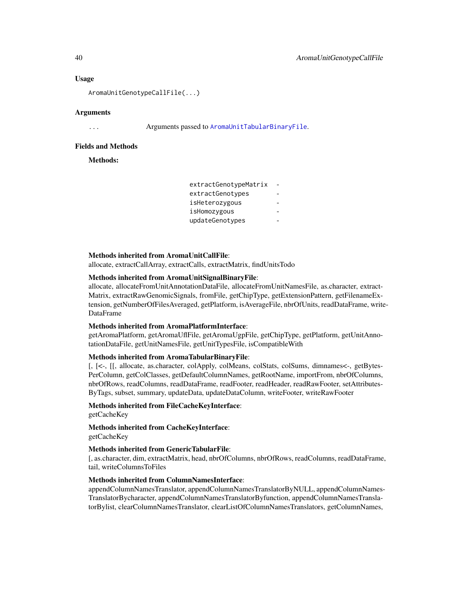#### Usage

AromaUnitGenotypeCallFile(...)

#### Arguments

... Arguments passed to [AromaUnitTabularBinaryFile](#page-51-0).

### Fields and Methods

Methods:

### Methods inherited from AromaUnitCallFile:

allocate, extractCallArray, extractCalls, extractMatrix, findUnitsTodo

#### Methods inherited from AromaUnitSignalBinaryFile:

allocate, allocateFromUnitAnnotationDataFile, allocateFromUnitNamesFile, as.character, extract-Matrix, extractRawGenomicSignals, fromFile, getChipType, getExtensionPattern, getFilenameExtension, getNumberOfFilesAveraged, getPlatform, isAverageFile, nbrOfUnits, readDataFrame, write-DataFrame

#### Methods inherited from AromaPlatformInterface:

getAromaPlatform, getAromaUflFile, getAromaUgpFile, getChipType, getPlatform, getUnitAnnotationDataFile, getUnitNamesFile, getUnitTypesFile, isCompatibleWith

# Methods inherited from AromaTabularBinaryFile:

[, [<-, [[, allocate, as.character, colApply, colMeans, colStats, colSums, dimnames<-, getBytes-PerColumn, getColClasses, getDefaultColumnNames, getRootName, importFrom, nbrOfColumns, nbrOfRows, readColumns, readDataFrame, readFooter, readHeader, readRawFooter, setAttributes-ByTags, subset, summary, updateData, updateDataColumn, writeFooter, writeRawFooter

# Methods inherited from FileCacheKeyInterface:

getCacheKey

Methods inherited from CacheKeyInterface: getCacheKey

# Methods inherited from GenericTabularFile:

[, as.character, dim, extractMatrix, head, nbrOfColumns, nbrOfRows, readColumns, readDataFrame, tail, writeColumnsToFiles

### Methods inherited from ColumnNamesInterface:

appendColumnNamesTranslator, appendColumnNamesTranslatorByNULL, appendColumnNames-TranslatorBycharacter, appendColumnNamesTranslatorByfunction, appendColumnNamesTranslatorBylist, clearColumnNamesTranslator, clearListOfColumnNamesTranslators, getColumnNames,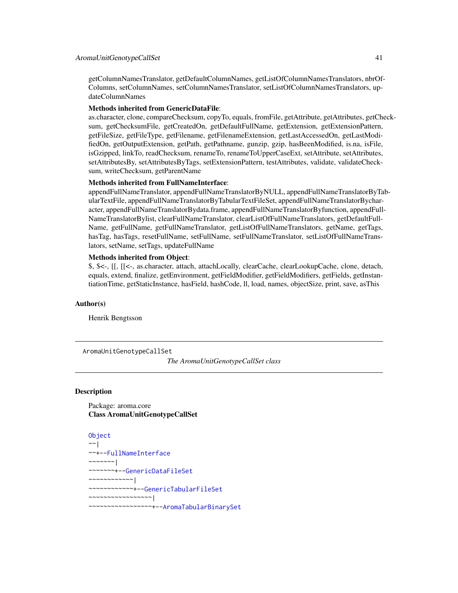getColumnNamesTranslator, getDefaultColumnNames, getListOfColumnNamesTranslators, nbrOf-Columns, setColumnNames, setColumnNamesTranslator, setListOfColumnNamesTranslators, updateColumnNames

#### Methods inherited from GenericDataFile:

as.character, clone, compareChecksum, copyTo, equals, fromFile, getAttribute, getAttributes, getChecksum, getChecksumFile, getCreatedOn, getDefaultFullName, getExtension, getExtensionPattern, getFileSize, getFileType, getFilename, getFilenameExtension, getLastAccessedOn, getLastModifiedOn, getOutputExtension, getPath, getPathname, gunzip, gzip, hasBeenModified, is.na, isFile, isGzipped, linkTo, readChecksum, renameTo, renameToUpperCaseExt, setAttribute, setAttributes, setAttributesBy, setAttributesByTags, setExtensionPattern, testAttributes, validate, validateChecksum, writeChecksum, getParentName

#### Methods inherited from FullNameInterface:

appendFullNameTranslator, appendFullNameTranslatorByNULL, appendFullNameTranslatorByTabularTextFile, appendFullNameTranslatorByTabularTextFileSet, appendFullNameTranslatorBycharacter, appendFullNameTranslatorBydata.frame, appendFullNameTranslatorByfunction, appendFull-NameTranslatorBylist, clearFullNameTranslator, clearListOfFullNameTranslators, getDefaultFull-Name, getFullName, getFullNameTranslator, getListOfFullNameTranslators, getName, getTags, hasTag, hasTags, resetFullName, setFullName, setFullNameTranslator, setListOfFullNameTranslators, setName, setTags, updateFullName

### Methods inherited from Object:

\$, \$<-, [[, [[<-, as.character, attach, attachLocally, clearCache, clearLookupCache, clone, detach, equals, extend, finalize, getEnvironment, getFieldModifier, getFieldModifiers, getFields, getInstantiationTime, getStaticInstance, hasField, hashCode, ll, load, names, objectSize, print, save, asThis

#### Author(s)

Henrik Bengtsson

<span id="page-40-0"></span>AromaUnitGenotypeCallSet

*The AromaUnitGenotypeCallSet class*

#### Description

Package: aroma.core Class AromaUnitGenotypeCallSet

[Object](#page-0-0)  $~\sim$  | ~~+-[-FullNameInterface](#page-0-0)  $~\sim$   $~\sim$   $~\sim$   $~\sim$   $~\sim$   $~\sim$   $~\sim$ ~~~~~~~+-[-GenericDataFileSet](#page-0-0) ~~~~~~~~~~~~| ~~~~~~~~~~~~+-[-GenericTabularFileSet](#page-0-0) ~~~~~~~~~~~~~~~~~| ~~~~~~~~~~~~~~~~~+-[-AromaTabularBinarySet](#page-26-0)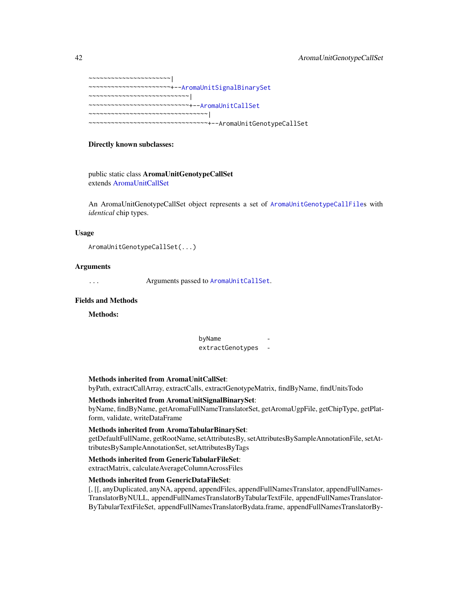| ~~~~~~~~~~~~~~~~~~~~~+--AromaUnitSignalBinarySet                                                                                                                                                                                                                                                                                                            |  |
|-------------------------------------------------------------------------------------------------------------------------------------------------------------------------------------------------------------------------------------------------------------------------------------------------------------------------------------------------------------|--|
| $\mathcal{L}_{\mathcal{N}}$ - $\mathcal{N}_{\mathcal{N}}$ - $\mathcal{N}_{\mathcal{N}}$ - $\mathcal{N}_{\mathcal{N}}$ - $\mathcal{N}_{\mathcal{N}}$ - $\mathcal{N}_{\mathcal{N}}$                                                                                                                                                                           |  |
| ~~~~~~~~~~~~~~~~~~~~~~~~~~+--AromaUnitCallSet                                                                                                                                                                                                                                                                                                               |  |
| $\mathcal{N}$ $\mathcal{N}$ $\mathcal{N}$ $\mathcal{N}$ $\mathcal{N}$ $\mathcal{N}$ $\mathcal{N}$ $\mathcal{N}$ $\mathcal{N}$ $\mathcal{N}$ $\mathcal{N}$ $\mathcal{N}$ $\mathcal{N}$ $\mathcal{N}$ $\mathcal{N}$ $\mathcal{N}$ $\mathcal{N}$ $\mathcal{N}$ $\mathcal{N}$ $\mathcal{N}$ $\mathcal{N}$ $\mathcal{N}$ $\mathcal{N}$ $\mathcal{N}$ $\mathcal{$ |  |
| ~~~~~~~~~~~~~~~~~~~~~~~~~~~~~~+--AromaUnitGenotypeCallSet                                                                                                                                                                                                                                                                                                   |  |

### Directly known subclasses:

public static class AromaUnitGenotypeCallSet extends [AromaUnitCallSet](#page-31-0)

An AromaUnitGenotypeCallSet object represents a set of [AromaUnitGenotypeCallFile](#page-38-0)s with *identical* chip types.

#### Usage

```
AromaUnitGenotypeCallSet(...)
```
### Arguments

... Arguments passed to [AromaUnitCallSet](#page-31-0).

# Fields and Methods

Methods:

byName extractGenotypes -

#### Methods inherited from AromaUnitCallSet:

byPath, extractCallArray, extractCalls, extractGenotypeMatrix, findByName, findUnitsTodo

# Methods inherited from AromaUnitSignalBinarySet:

byName, findByName, getAromaFullNameTranslatorSet, getAromaUgpFile, getChipType, getPlatform, validate, writeDataFrame

#### Methods inherited from AromaTabularBinarySet:

getDefaultFullName, getRootName, setAttributesBy, setAttributesBySampleAnnotationFile, setAttributesBySampleAnnotationSet, setAttributesByTags

#### Methods inherited from GenericTabularFileSet:

extractMatrix, calculateAverageColumnAcrossFiles

### Methods inherited from GenericDataFileSet:

[, [[, anyDuplicated, anyNA, append, appendFiles, appendFullNamesTranslator, appendFullNames-TranslatorByNULL, appendFullNamesTranslatorByTabularTextFile, appendFullNamesTranslator-ByTabularTextFileSet, appendFullNamesTranslatorBydata.frame, appendFullNamesTranslatorBy-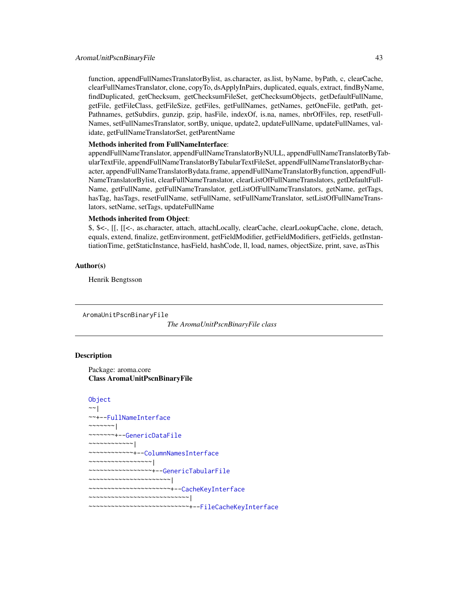function, appendFullNamesTranslatorBylist, as.character, as.list, byName, byPath, c, clearCache, clearFullNamesTranslator, clone, copyTo, dsApplyInPairs, duplicated, equals, extract, findByName, findDuplicated, getChecksum, getChecksumFileSet, getChecksumObjects, getDefaultFullName, getFile, getFileClass, getFileSize, getFiles, getFullNames, getNames, getOneFile, getPath, get-Pathnames, getSubdirs, gunzip, gzip, hasFile, indexOf, is.na, names, nbrOfFiles, rep, resetFull-Names, setFullNamesTranslator, sortBy, unique, update2, updateFullName, updateFullNames, validate, getFullNameTranslatorSet, getParentName

# Methods inherited from FullNameInterface:

appendFullNameTranslator, appendFullNameTranslatorByNULL, appendFullNameTranslatorByTabularTextFile, appendFullNameTranslatorByTabularTextFileSet, appendFullNameTranslatorBycharacter, appendFullNameTranslatorBydata.frame, appendFullNameTranslatorByfunction, appendFull-NameTranslatorBylist, clearFullNameTranslator, clearListOfFullNameTranslators, getDefaultFull-Name, getFullName, getFullNameTranslator, getListOfFullNameTranslators, getName, getTags, hasTag, hasTags, resetFullName, setFullName, setFullNameTranslator, setListOfFullNameTranslators, setName, setTags, updateFullName

### Methods inherited from Object:

\$, \$<-, [[, [[<-, as.character, attach, attachLocally, clearCache, clearLookupCache, clone, detach, equals, extend, finalize, getEnvironment, getFieldModifier, getFieldModifiers, getFields, getInstantiationTime, getStaticInstance, hasField, hashCode, ll, load, names, objectSize, print, save, asThis

#### Author(s)

Henrik Bengtsson

<span id="page-42-0"></span>AromaUnitPscnBinaryFile

*The AromaUnitPscnBinaryFile class*

#### **Description**

Package: aroma.core Class AromaUnitPscnBinaryFile

```
Object
~~|
~~+--FullNameInterface
~~~~~~~|
~~~~~~~+--GenericDataFile
~~~~~~~~~~~~|
~~~~~~~~~~~~+--ColumnNamesInterface
  ~~~~~~~~~~~~~~~~~|
~~~~~~~~~~~~~~~~~+--GenericTabularFile
   ~~~~~~~~~~~~~~~~~~~~~~|
  ~~~~~~~~~~~~~~~~~~~~~~+--CacheKeyInterface
~~~~~~~~~~~~~~~~~~~~~~~~~~~|
 ~~~~~~~~~~~~~~~~~~~~~~~~~~~+--FileCacheKeyInterface
```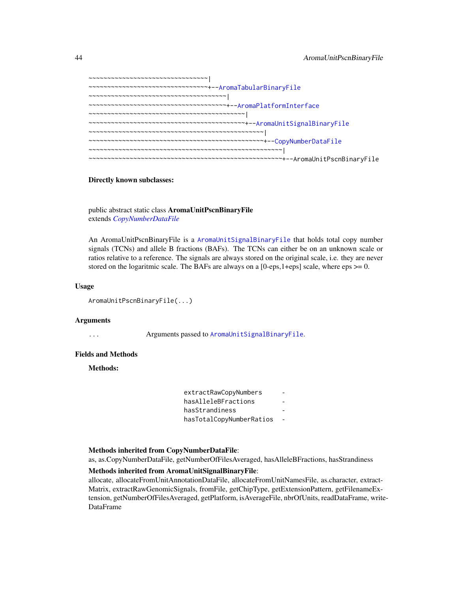```
~~~~~~~~~~~~~~~~~~~~~~~~~~~~~~~~|
~~~~~~~~~~~~~~~~~~~~~~~~~~~~~~~~+--AromaTabularBinaryFile
~~~~~~~~~~~~~~~~~~~~~~~~~~~~~~~~~~~~~|
~~~~~~~~~~~~~~~~~~~~~~~~~~~~~~~~~~~~~+--AromaPlatformInterface
~~~~~~~~~~~~~~~~~~~~~~~~~~~~~~~~~~~~~~~~~~|
~~~~~~~~~~~~~~~~~~~~~~~~~~~~~~~~~~~~~~~~~~+--AromaUnitSignalBinaryFile
~~~~~~~~~~~~~~~~~~~~~~~~~~~~~~~~~~~~~~~~~~~~~~~|
~~~~~~~~~~~~~~~~~~~~~~~~~~~~~~~~~~~~~~~~~~~~~~~+--CopyNumberDataFile
 ~~~~~~~~~~~~~~~~~~~~~~~~~~~~~~~~~~~~~~~~~~~~~~~~~~~~|
  ~~~~~~~~~~~~~~~~~~~~~~~~~~~~~~~~~~~~~~~~~~~~~~~~~~~~+--AromaUnitPscnBinaryFile
```
### Directly known subclasses:

public abstract static class AromaUnitPscnBinaryFile extends *[CopyNumberDataFile](#page-0-0)*

An AromaUnitPscnBinaryFile is a [AromaUnitSignalBinaryFile](#page-47-0) that holds total copy number signals (TCNs) and allele B fractions (BAFs). The TCNs can either be on an unknown scale or ratios relative to a reference. The signals are always stored on the original scale, i.e. they are never stored on the logaritmic scale. The BAFs are always on a  $[0$ -eps, $1$ +eps] scale, where eps  $>= 0$ .

### Usage

AromaUnitPscnBinaryFile(...)

#### Arguments

... Arguments passed to [AromaUnitSignalBinaryFile](#page-47-0).

## Fields and Methods

### Methods:

| extractRawCopyNumbers    |  |
|--------------------------|--|
| hasAlleleBFractions      |  |
| hasStrandiness           |  |
| hasTotalCopyNumberRatios |  |

### Methods inherited from CopyNumberDataFile:

as, as.CopyNumberDataFile, getNumberOfFilesAveraged, hasAlleleBFractions, hasStrandiness

#### Methods inherited from AromaUnitSignalBinaryFile:

allocate, allocateFromUnitAnnotationDataFile, allocateFromUnitNamesFile, as.character, extract-Matrix, extractRawGenomicSignals, fromFile, getChipType, getExtensionPattern, getFilenameExtension, getNumberOfFilesAveraged, getPlatform, isAverageFile, nbrOfUnits, readDataFrame, write-DataFrame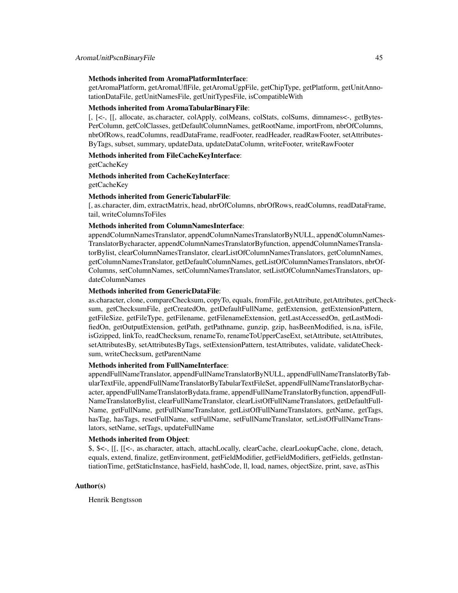### Methods inherited from AromaPlatformInterface:

getAromaPlatform, getAromaUflFile, getAromaUgpFile, getChipType, getPlatform, getUnitAnnotationDataFile, getUnitNamesFile, getUnitTypesFile, isCompatibleWith

### Methods inherited from AromaTabularBinaryFile:

[, [<-, [[, allocate, as.character, colApply, colMeans, colStats, colSums, dimnames<-, getBytes-PerColumn, getColClasses, getDefaultColumnNames, getRootName, importFrom, nbrOfColumns, nbrOfRows, readColumns, readDataFrame, readFooter, readHeader, readRawFooter, setAttributes-ByTags, subset, summary, updateData, updateDataColumn, writeFooter, writeRawFooter

# Methods inherited from FileCacheKeyInterface:

getCacheKey

# Methods inherited from CacheKeyInterface: getCacheKey

#### Methods inherited from GenericTabularFile:

[, as.character, dim, extractMatrix, head, nbrOfColumns, nbrOfRows, readColumns, readDataFrame, tail, writeColumnsToFiles

# Methods inherited from ColumnNamesInterface:

appendColumnNamesTranslator, appendColumnNamesTranslatorByNULL, appendColumnNames-TranslatorBycharacter, appendColumnNamesTranslatorByfunction, appendColumnNamesTranslatorBylist, clearColumnNamesTranslator, clearListOfColumnNamesTranslators, getColumnNames, getColumnNamesTranslator, getDefaultColumnNames, getListOfColumnNamesTranslators, nbrOf-Columns, setColumnNames, setColumnNamesTranslator, setListOfColumnNamesTranslators, updateColumnNames

#### Methods inherited from GenericDataFile:

as.character, clone, compareChecksum, copyTo, equals, fromFile, getAttribute, getAttributes, getChecksum, getChecksumFile, getCreatedOn, getDefaultFullName, getExtension, getExtensionPattern, getFileSize, getFileType, getFilename, getFilenameExtension, getLastAccessedOn, getLastModifiedOn, getOutputExtension, getPath, getPathname, gunzip, gzip, hasBeenModified, is.na, isFile, isGzipped, linkTo, readChecksum, renameTo, renameToUpperCaseExt, setAttribute, setAttributes, setAttributesBy, setAttributesByTags, setExtensionPattern, testAttributes, validate, validateChecksum, writeChecksum, getParentName

#### Methods inherited from FullNameInterface:

appendFullNameTranslator, appendFullNameTranslatorByNULL, appendFullNameTranslatorByTabularTextFile, appendFullNameTranslatorByTabularTextFileSet, appendFullNameTranslatorBycharacter, appendFullNameTranslatorBydata.frame, appendFullNameTranslatorByfunction, appendFull-NameTranslatorBylist, clearFullNameTranslator, clearListOfFullNameTranslators, getDefaultFull-Name, getFullName, getFullNameTranslator, getListOfFullNameTranslators, getName, getTags, hasTag, hasTags, resetFullName, setFullName, setFullNameTranslator, setListOfFullNameTranslators, setName, setTags, updateFullName

#### Methods inherited from Object:

\$, \$<-, [[, [[<-, as.character, attach, attachLocally, clearCache, clearLookupCache, clone, detach, equals, extend, finalize, getEnvironment, getFieldModifier, getFieldModifiers, getFields, getInstantiationTime, getStaticInstance, hasField, hashCode, ll, load, names, objectSize, print, save, asThis

### Author(s)

Henrik Bengtsson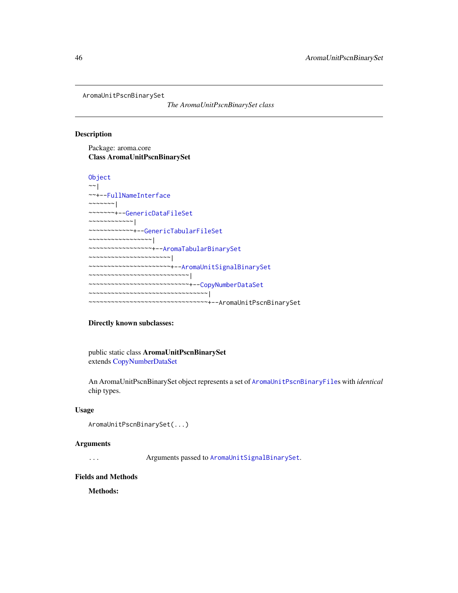<span id="page-45-0"></span>AromaUnitPscnBinarySet

*The AromaUnitPscnBinarySet class*

#### Description

Package: aroma.core Class AromaUnitPscnBinarySet

```
Object
~\sim~|
~~+--FullNameInterface
~~~~~~~|~~~~~~~+--GenericDataFileSet
~~~~~~~~~~~~|
~~~~~~~~~~~~+--GenericTabularFileSet
~~~~~~~~~~~~~~~~~|
~~~~~~~~~~~~~~~~~+--AromaTabularBinarySet
  ~~~~~~~~~~~~~~~~~~~~~~|
~~~~~~~~~~~~~~~~~~~~~~+--AromaUnitSignalBinarySet
  ~~~~~~~~~~~~~~~~~~~~~~~~~~~|
~~~~~~~~~~~~~~~~~~~~~~~~~~~+--CopyNumberDataSet
~~~~~~~~~~~~~~~~~~~~~~~~~~~~~~~~~
~~~~~~~~~~~~~~~~~~~~~~~~~~~~~~~~+--AromaUnitPscnBinarySet
```
### Directly known subclasses:

public static class AromaUnitPscnBinarySet extends [CopyNumberDataSet](#page-0-0)

An AromaUnitPscnBinarySet object represents a set of [AromaUnitPscnBinaryFile](#page-42-0)s with *identical* chip types.

#### Usage

```
AromaUnitPscnBinarySet(...)
```
#### Arguments

... Arguments passed to [AromaUnitSignalBinarySet](#page-49-0).

# Fields and Methods

Methods: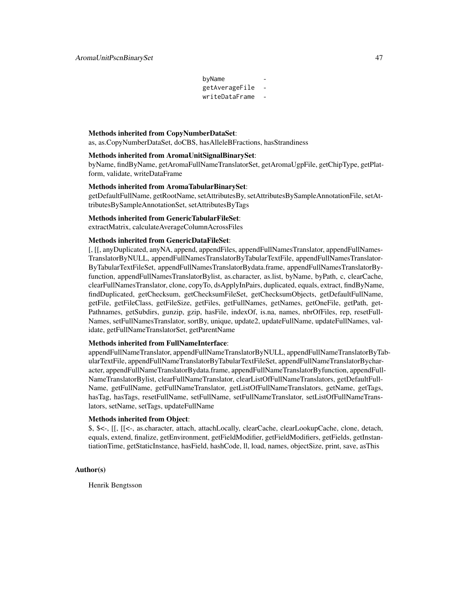byName getAverageFile writeDataFrame -

#### Methods inherited from CopyNumberDataSet:

as, as.CopyNumberDataSet, doCBS, hasAlleleBFractions, hasStrandiness

#### Methods inherited from AromaUnitSignalBinarySet:

byName, findByName, getAromaFullNameTranslatorSet, getAromaUgpFile, getChipType, getPlatform, validate, writeDataFrame

#### Methods inherited from AromaTabularBinarySet:

getDefaultFullName, getRootName, setAttributesBy, setAttributesBySampleAnnotationFile, setAttributesBySampleAnnotationSet, setAttributesByTags

### Methods inherited from GenericTabularFileSet:

extractMatrix, calculateAverageColumnAcrossFiles

#### Methods inherited from GenericDataFileSet:

[, [[, anyDuplicated, anyNA, append, appendFiles, appendFullNamesTranslator, appendFullNames-TranslatorByNULL, appendFullNamesTranslatorByTabularTextFile, appendFullNamesTranslator-ByTabularTextFileSet, appendFullNamesTranslatorBydata.frame, appendFullNamesTranslatorByfunction, appendFullNamesTranslatorBylist, as.character, as.list, byName, byPath, c, clearCache, clearFullNamesTranslator, clone, copyTo, dsApplyInPairs, duplicated, equals, extract, findByName, findDuplicated, getChecksum, getChecksumFileSet, getChecksumObjects, getDefaultFullName, getFile, getFileClass, getFileSize, getFiles, getFullNames, getNames, getOneFile, getPath, get-Pathnames, getSubdirs, gunzip, gzip, hasFile, indexOf, is.na, names, nbrOfFiles, rep, resetFull-Names, setFullNamesTranslator, sortBy, unique, update2, updateFullName, updateFullNames, validate, getFullNameTranslatorSet, getParentName

#### Methods inherited from FullNameInterface:

appendFullNameTranslator, appendFullNameTranslatorByNULL, appendFullNameTranslatorByTabularTextFile, appendFullNameTranslatorByTabularTextFileSet, appendFullNameTranslatorBycharacter, appendFullNameTranslatorBydata.frame, appendFullNameTranslatorByfunction, appendFull-NameTranslatorBylist, clearFullNameTranslator, clearListOfFullNameTranslators, getDefaultFull-Name, getFullName, getFullNameTranslator, getListOfFullNameTranslators, getName, getTags, hasTag, hasTags, resetFullName, setFullName, setFullNameTranslator, setListOfFullNameTranslators, setName, setTags, updateFullName

### Methods inherited from Object:

\$, \$<-, [[, [[<-, as.character, attach, attachLocally, clearCache, clearLookupCache, clone, detach, equals, extend, finalize, getEnvironment, getFieldModifier, getFieldModifiers, getFields, getInstantiationTime, getStaticInstance, hasField, hashCode, ll, load, names, objectSize, print, save, asThis

### Author(s)

Henrik Bengtsson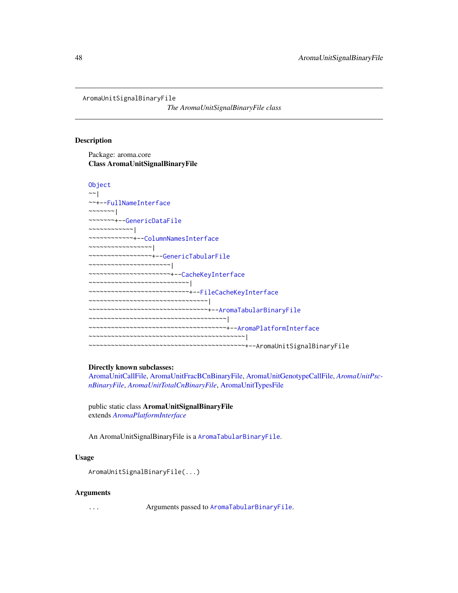<span id="page-47-0"></span>AromaUnitSignalBinaryFile

*The AromaUnitSignalBinaryFile class*

#### Description

Package: aroma.core Class AromaUnitSignalBinaryFile

```
Object
~~|
~~+--FullNameInterface
~~~~~~~|
~~~~~~~+--GenericDataFile
~~~~~~~~~~~~|
~~~~~~~~~~~~+--ColumnNamesInterface
~~~~~~~~~~~~~~~~~|
  ~~~~~~~~~~~~~~~~~+--GenericTabularFile
  ~~~~~~~~~~~~~~~~~~~~~~|
  ~~~~~~~~~~~~~~~~~~~~~~+--CacheKeyInterface
~~~~~~~~~~~~~~~~~~~~~~~~~~~|
~~~~~~~~~~~~~~~~~~~~~~~~~~~+--FileCacheKeyInterface
~~~~~~~~~~~~~~~~~~~~~~~~~~~~~~~~|
~~~~~~~~~~~~~~~~~~~~~~~~~~~~~~~~+--AromaTabularBinaryFile
~~~~~~~~~~~~~~~~~~~~~~~~~~~~~~~~~~~~~|
~~~~~~~~~~~~~~~~~~~~~~~~~~~~~~~~~~~~~+--AromaPlatformInterface
~~~~~~~~~~~~~~~~~~~~~~~~~~~~~~~~~~~~~~~~~~|
  ~~~~~~~~~~~~~~~~~~~~~~~~~~~~~~~~~~~~~~~~~~+--AromaUnitSignalBinaryFile
```
#### Directly known subclasses:

[AromaUnitCallFile,](#page-29-0) [AromaUnitFracBCnBinaryFile,](#page-33-0) [AromaUnitGenotypeCallFile,](#page-38-0) *[AromaUnitPsc](#page-42-0)[nBinaryFile](#page-42-0)*, *[AromaUnitTotalCnBinaryFile](#page-53-0)*, [AromaUnitTypesFile](#page-58-0)

public static class AromaUnitSignalBinaryFile extends *[AromaPlatformInterface](#page-21-0)*

An AromaUnitSignalBinaryFile is a [AromaTabularBinaryFile](#page-24-0).

# Usage

```
AromaUnitSignalBinaryFile(...)
```
### Arguments

... Arguments passed to [AromaTabularBinaryFile](#page-24-0).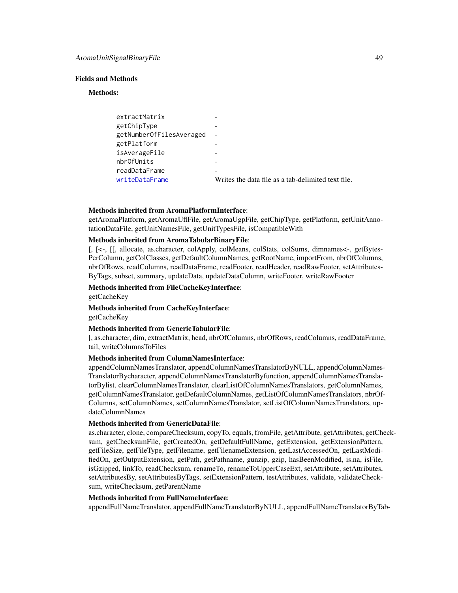#### Fields and Methods

#### Methods:

| extractMatrix            |                                                    |
|--------------------------|----------------------------------------------------|
| getChipType              |                                                    |
| getNumberOfFilesAveraged |                                                    |
| getPlatform              |                                                    |
| isAverageFile            |                                                    |
| nbrOfUnits               |                                                    |
| readDataFrame            |                                                    |
| writeDataFrame           | Writes the data file as a tab-delimited text file. |

### Methods inherited from AromaPlatformInterface:

getAromaPlatform, getAromaUflFile, getAromaUgpFile, getChipType, getPlatform, getUnitAnnotationDataFile, getUnitNamesFile, getUnitTypesFile, isCompatibleWith

#### Methods inherited from AromaTabularBinaryFile:

[, [<-, [[, allocate, as.character, colApply, colMeans, colStats, colSums, dimnames<-, getBytes-PerColumn, getColClasses, getDefaultColumnNames, getRootName, importFrom, nbrOfColumns, nbrOfRows, readColumns, readDataFrame, readFooter, readHeader, readRawFooter, setAttributes-ByTags, subset, summary, updateData, updateDataColumn, writeFooter, writeRawFooter

### Methods inherited from FileCacheKeyInterface: getCacheKey

Methods inherited from CacheKeyInterface: getCacheKey

# Methods inherited from GenericTabularFile:

[, as.character, dim, extractMatrix, head, nbrOfColumns, nbrOfRows, readColumns, readDataFrame, tail, writeColumnsToFiles

# Methods inherited from ColumnNamesInterface:

appendColumnNamesTranslator, appendColumnNamesTranslatorByNULL, appendColumnNames-TranslatorBycharacter, appendColumnNamesTranslatorByfunction, appendColumnNamesTranslatorBylist, clearColumnNamesTranslator, clearListOfColumnNamesTranslators, getColumnNames, getColumnNamesTranslator, getDefaultColumnNames, getListOfColumnNamesTranslators, nbrOf-Columns, setColumnNames, setColumnNamesTranslator, setListOfColumnNamesTranslators, updateColumnNames

# Methods inherited from GenericDataFile:

as.character, clone, compareChecksum, copyTo, equals, fromFile, getAttribute, getAttributes, getChecksum, getChecksumFile, getCreatedOn, getDefaultFullName, getExtension, getExtensionPattern, getFileSize, getFileType, getFilename, getFilenameExtension, getLastAccessedOn, getLastModifiedOn, getOutputExtension, getPath, getPathname, gunzip, gzip, hasBeenModified, is.na, isFile, isGzipped, linkTo, readChecksum, renameTo, renameToUpperCaseExt, setAttribute, setAttributes, setAttributesBy, setAttributesByTags, setExtensionPattern, testAttributes, validate, validateChecksum, writeChecksum, getParentName

#### Methods inherited from FullNameInterface:

appendFullNameTranslator, appendFullNameTranslatorByNULL, appendFullNameTranslatorByTab-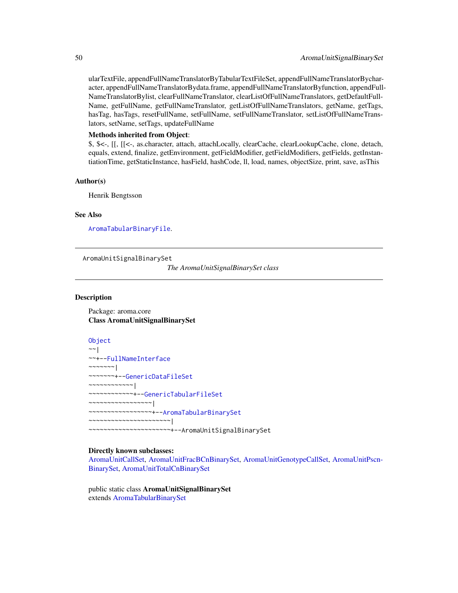ularTextFile, appendFullNameTranslatorByTabularTextFileSet, appendFullNameTranslatorBycharacter, appendFullNameTranslatorBydata.frame, appendFullNameTranslatorByfunction, appendFull-NameTranslatorBylist, clearFullNameTranslator, clearListOfFullNameTranslators, getDefaultFull-Name, getFullName, getFullNameTranslator, getListOfFullNameTranslators, getName, getTags, hasTag, hasTags, resetFullName, setFullName, setFullNameTranslator, setListOfFullNameTranslators, setName, setTags, updateFullName

# Methods inherited from Object:

\$, \$<-, [[, [[<-, as.character, attach, attachLocally, clearCache, clearLookupCache, clone, detach, equals, extend, finalize, getEnvironment, getFieldModifier, getFieldModifiers, getFields, getInstantiationTime, getStaticInstance, hasField, hashCode, ll, load, names, objectSize, print, save, asThis

#### Author(s)

Henrik Bengtsson

### See Also

[AromaTabularBinaryFile](#page-24-0).

<span id="page-49-0"></span>AromaUnitSignalBinarySet

*The AromaUnitSignalBinarySet class*

### Description

Package: aroma.core Class AromaUnitSignalBinarySet

[Object](#page-0-0) ~~| ~~+-[-FullNameInterface](#page-0-0) ~~~~~~~| ~~~~~~~+-[-GenericDataFileSet](#page-0-0) ~~~~~~~~~~~~| ~~~~~~~~~~~~+-[-GenericTabularFileSet](#page-0-0) ~~~~~~~~~~~~~~~~~| ~~~~~~~~~~~~~~~~~+-[-AromaTabularBinarySet](#page-26-0) ~~~~~~~~~~~~~~~~~~~~~~| ~~~~~~~~~~~~~~~~~~~~~~+--AromaUnitSignalBinarySet

### Directly known subclasses:

[AromaUnitCallSet,](#page-31-0) [AromaUnitFracBCnBinarySet,](#page-36-0) [AromaUnitGenotypeCallSet,](#page-40-0) [AromaUnitPscn-](#page-45-0)[BinarySet,](#page-45-0) [AromaUnitTotalCnBinarySet](#page-56-0)

public static class AromaUnitSignalBinarySet extends [AromaTabularBinarySet](#page-26-0)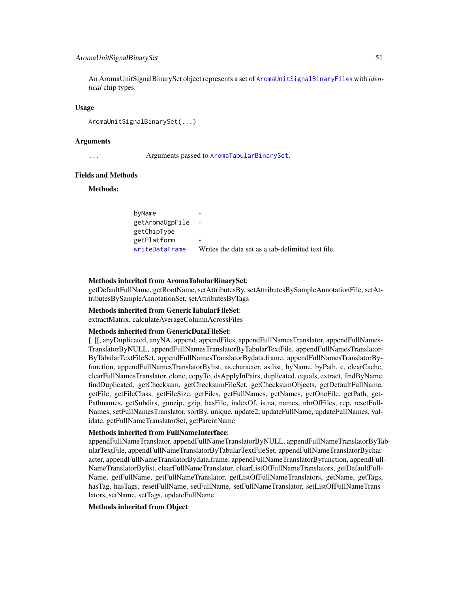### AromaUnitSignalBinarySet 51

An AromaUnitSignalBinarySet object represents a set of [AromaUnitSignalBinaryFile](#page-47-0)s with *identical* chip types.

#### Usage

AromaUnitSignalBinarySet(...)

#### Arguments

... Arguments passed to [AromaTabularBinarySet](#page-26-0).

#### Fields and Methods

#### Methods:

| byName          | -                                                 |
|-----------------|---------------------------------------------------|
| getAromaUgpFile |                                                   |
| getChipType     |                                                   |
| getPlatform     | ۰                                                 |
| writeDataFrame  | Writes the data set as a tab-delimited text file. |

#### Methods inherited from AromaTabularBinarySet:

getDefaultFullName, getRootName, setAttributesBy, setAttributesBySampleAnnotationFile, setAttributesBySampleAnnotationSet, setAttributesByTags

#### Methods inherited from GenericTabularFileSet:

extractMatrix, calculateAverageColumnAcrossFiles

#### Methods inherited from GenericDataFileSet:

[, [[, anyDuplicated, anyNA, append, appendFiles, appendFullNamesTranslator, appendFullNames-TranslatorByNULL, appendFullNamesTranslatorByTabularTextFile, appendFullNamesTranslator-ByTabularTextFileSet, appendFullNamesTranslatorBydata.frame, appendFullNamesTranslatorByfunction, appendFullNamesTranslatorBylist, as.character, as.list, byName, byPath, c, clearCache, clearFullNamesTranslator, clone, copyTo, dsApplyInPairs, duplicated, equals, extract, findByName, findDuplicated, getChecksum, getChecksumFileSet, getChecksumObjects, getDefaultFullName, getFile, getFileClass, getFileSize, getFiles, getFullNames, getNames, getOneFile, getPath, get-Pathnames, getSubdirs, gunzip, gzip, hasFile, indexOf, is.na, names, nbrOfFiles, rep, resetFull-Names, setFullNamesTranslator, sortBy, unique, update2, updateFullName, updateFullNames, validate, getFullNameTranslatorSet, getParentName

# Methods inherited from FullNameInterface:

appendFullNameTranslator, appendFullNameTranslatorByNULL, appendFullNameTranslatorByTabularTextFile, appendFullNameTranslatorByTabularTextFileSet, appendFullNameTranslatorBycharacter, appendFullNameTranslatorBydata.frame, appendFullNameTranslatorByfunction, appendFull-NameTranslatorBylist, clearFullNameTranslator, clearListOfFullNameTranslators, getDefaultFull-Name, getFullName, getFullNameTranslator, getListOfFullNameTranslators, getName, getTags, hasTag, hasTags, resetFullName, setFullName, setFullNameTranslator, setListOfFullNameTranslators, setName, setTags, updateFullName

#### Methods inherited from Object: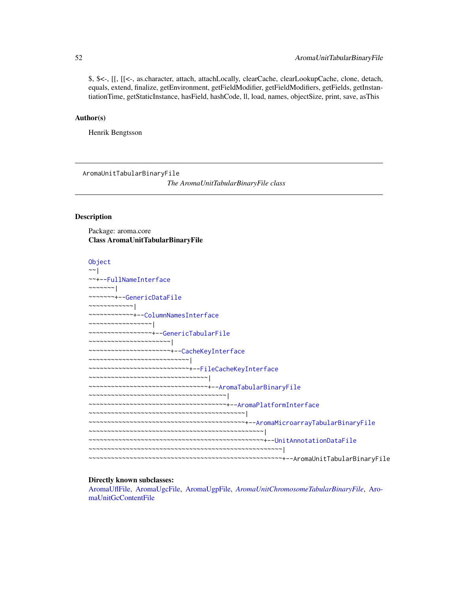\$, \$<-, [[, [[<-, as.character, attach, attachLocally, clearCache, clearLookupCache, clone, detach, equals, extend, finalize, getEnvironment, getFieldModifier, getFieldModifiers, getFields, getInstantiationTime, getStaticInstance, hasField, hashCode, ll, load, names, objectSize, print, save, asThis

#### Author(s)

Henrik Bengtsson

<span id="page-51-0"></span>AromaUnitTabularBinaryFile *The AromaUnitTabularBinaryFile class*

# Description

Package: aroma.core Class AromaUnitTabularBinaryFile

| Object                                                                           |
|----------------------------------------------------------------------------------|
|                                                                                  |
| ~~+--FullNameInterface                                                           |
| $\sim$ $\sim$ $\sim$ $\sim$ $\sim$ $\sim$ $\sim$                                 |
| ~~~~~~~+--GenericDataFile                                                        |
|                                                                                  |
| ~~~~~~~~~~~+--ColumnNamesInterface                                               |
| $\cdots \cdots \cdots \cdots \cdots \cdots \cdots \cdots \cdots$                 |
| ~~~~~~~~~~~~~~~~+--GenericTabularFile                                            |
| $\cdots \cdots \cdots \cdots \cdots \cdots \cdots \cdots \cdots \cdots$          |
| ~~~~~~~~~~~~~~~~~~~~~+--CacheKeyInterface                                        |
| $\cdots\cdots\cdots\cdots\cdots\cdots\cdots\cdots\cdots\cdots\cdots\cdots\cdots$ |
| ~~~~~~~~~~~~~~~~~~~~~~~~~~+--FileCacheKeyInterface                               |
|                                                                                  |
| ~~~~~~~~~~~~~~~~~~~~~~~~~~~~~~+--AromaTabularBinaryFile                          |
| $\cdots$                                                                         |
| ~~~~~~~~~~~~~~~~~~~~~~~~~~~~~~~~~~~+--AromaPlatformInterface                     |
| $\mathcal{N}$                                                                    |
|                                                                                  |
|                                                                                  |
|                                                                                  |
|                                                                                  |
|                                                                                  |

#### Directly known subclasses:

[AromaUflFile,](#page-0-0) [AromaUgcFile,](#page-0-0) [AromaUgpFile,](#page-0-0) *[AromaUnitChromosomeTabularBinaryFile](#page-0-0)*, [Aro](#page-0-0)[maUnitGcContentFile](#page-0-0)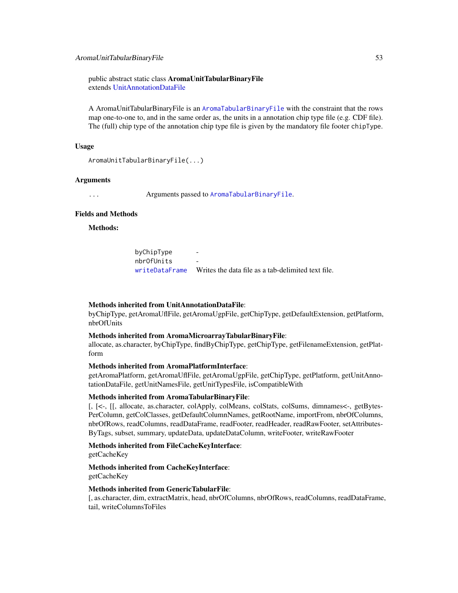#### AromaUnitTabularBinaryFile 53

public abstract static class AromaUnitTabularBinaryFile extends [UnitAnnotationDataFile](#page-105-0)

A AromaUnitTabularBinaryFile is an [AromaTabularBinaryFile](#page-24-0) with the constraint that the rows map one-to-one to, and in the same order as, the units in a annotation chip type file (e.g. CDF file). The (full) chip type of the annotation chip type file is given by the mandatory file footer chipType.

### Usage

```
AromaUnitTabularBinaryFile(...)
```
### Arguments

... Arguments passed to [AromaTabularBinaryFile](#page-24-0).

# Fields and Methods

Methods:

byChipType nbrOfUnits [writeDataFrame](#page-0-0) Writes the data file as a tab-delimited text file.

### Methods inherited from UnitAnnotationDataFile:

byChipType, getAromaUflFile, getAromaUgpFile, getChipType, getDefaultExtension, getPlatform, nbrOfUnits

### Methods inherited from AromaMicroarrayTabularBinaryFile:

allocate, as.character, byChipType, findByChipType, getChipType, getFilenameExtension, getPlatform

# Methods inherited from AromaPlatformInterface:

getAromaPlatform, getAromaUflFile, getAromaUgpFile, getChipType, getPlatform, getUnitAnnotationDataFile, getUnitNamesFile, getUnitTypesFile, isCompatibleWith

#### Methods inherited from AromaTabularBinaryFile:

[, [<-, [[, allocate, as.character, colApply, colMeans, colStats, colSums, dimnames<-, getBytes-PerColumn, getColClasses, getDefaultColumnNames, getRootName, importFrom, nbrOfColumns, nbrOfRows, readColumns, readDataFrame, readFooter, readHeader, readRawFooter, setAttributes-ByTags, subset, summary, updateData, updateDataColumn, writeFooter, writeRawFooter

### Methods inherited from FileCacheKeyInterface:

getCacheKey

# Methods inherited from CacheKeyInterface: getCacheKey

#### Methods inherited from GenericTabularFile:

[, as.character, dim, extractMatrix, head, nbrOfColumns, nbrOfRows, readColumns, readDataFrame, tail, writeColumnsToFiles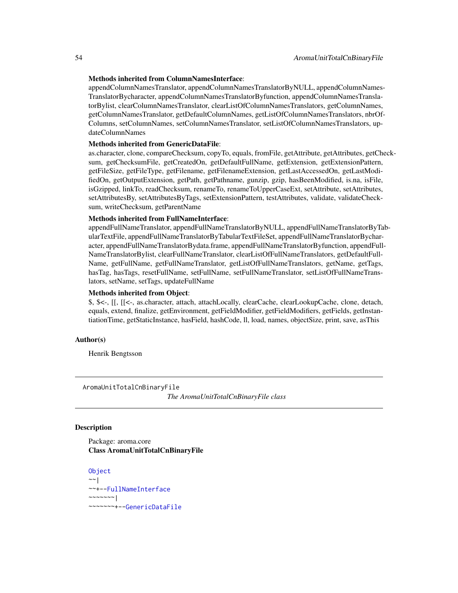### Methods inherited from ColumnNamesInterface:

appendColumnNamesTranslator, appendColumnNamesTranslatorByNULL, appendColumnNames-TranslatorBycharacter, appendColumnNamesTranslatorByfunction, appendColumnNamesTranslatorBylist, clearColumnNamesTranslator, clearListOfColumnNamesTranslators, getColumnNames, getColumnNamesTranslator, getDefaultColumnNames, getListOfColumnNamesTranslators, nbrOf-Columns, setColumnNames, setColumnNamesTranslator, setListOfColumnNamesTranslators, updateColumnNames

#### Methods inherited from GenericDataFile:

as.character, clone, compareChecksum, copyTo, equals, fromFile, getAttribute, getAttributes, getChecksum, getChecksumFile, getCreatedOn, getDefaultFullName, getExtension, getExtensionPattern, getFileSize, getFileType, getFilename, getFilenameExtension, getLastAccessedOn, getLastModifiedOn, getOutputExtension, getPath, getPathname, gunzip, gzip, hasBeenModified, is.na, isFile, isGzipped, linkTo, readChecksum, renameTo, renameToUpperCaseExt, setAttribute, setAttributes, setAttributesBy, setAttributesByTags, setExtensionPattern, testAttributes, validate, validateChecksum, writeChecksum, getParentName

#### Methods inherited from FullNameInterface:

appendFullNameTranslator, appendFullNameTranslatorByNULL, appendFullNameTranslatorByTabularTextFile, appendFullNameTranslatorByTabularTextFileSet, appendFullNameTranslatorBycharacter, appendFullNameTranslatorBydata.frame, appendFullNameTranslatorByfunction, appendFull-NameTranslatorBylist, clearFullNameTranslator, clearListOfFullNameTranslators, getDefaultFull-Name, getFullName, getFullNameTranslator, getListOfFullNameTranslators, getName, getTags, hasTag, hasTags, resetFullName, setFullName, setFullNameTranslator, setListOfFullNameTranslators, setName, setTags, updateFullName

### Methods inherited from Object:

\$, \$<-, [[, [[<-, as.character, attach, attachLocally, clearCache, clearLookupCache, clone, detach, equals, extend, finalize, getEnvironment, getFieldModifier, getFieldModifiers, getFields, getInstantiationTime, getStaticInstance, hasField, hashCode, ll, load, names, objectSize, print, save, asThis

#### Author(s)

Henrik Bengtsson

<span id="page-53-0"></span>AromaUnitTotalCnBinaryFile

*The AromaUnitTotalCnBinaryFile class*

# Description

Package: aroma.core Class AromaUnitTotalCnBinaryFile

**[Object](#page-0-0)**  $\sim$   $\sim$  | ~~+-[-FullNameInterface](#page-0-0)  $~\sim$   $~\sim$   $~\sim$   $~\sim$   $~\sim$   $~\sim$   $~\sim$ ~~~~~~~+-[-GenericDataFile](#page-0-0)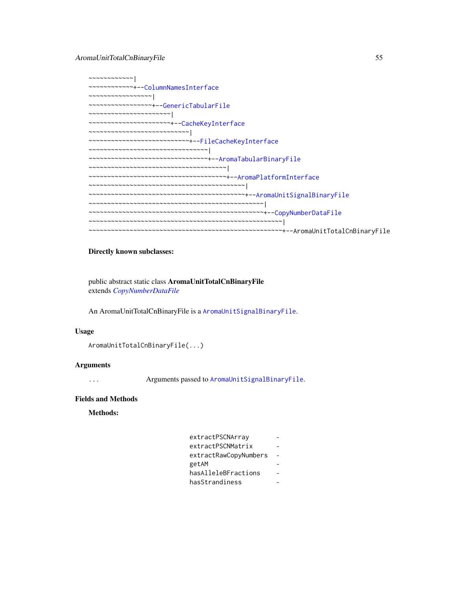~~~~~~~~~~~~| ~~~~~~~~~~~~+-[-ColumnNamesInterface](#page-0-0) ~~~~~~~~~~~~~~~~~| ~~~~~~~~~~~~~~~~~+-[-GenericTabularFile](#page-0-0) ~~~~~~~~~~~~~~~~~~~~~~| ~~~~~~~~~~~~~~~~~~~~~~+-[-CacheKeyInterface](#page-0-0) ~~~~~~~~~~~~~~~~~~~~~~~~~~~| ~~~~~~~~~~~~~~~~~~~~~~~~~~~+-[-FileCacheKeyInterface](#page-0-0) ~~~~~~~~~~~~~~~~~~~~~~~~~~~~~~~~| ~~~~~~~~~~~~~~~~~~~~~~~~~~~~~~~~+-[-AromaTabularBinaryFile](#page-24-0) ~~~~~~~~~~~~~~~~~~~~~~~~~~~~~~~~~~~~~| ~~~~~~~~~~~~~~~~~~~~~~~~~~~~~~~~~~~~~+-[-AromaPlatformInterface](#page-21-0) ~~~~~~~~~~~~~~~~~~~~~~~~~~~~~~~~~~~~~~~~~~| ~~~~~~~~~~~~~~~~~~~~~~~~~~~~~~~~~~~~~~~~~~+-[-AromaUnitSignalBinaryFile](#page-47-0) ~~~~~~~~~~~~~~~~~~~~~~~~~~~~~~~~~~~~~~~~~~~~~~~| ~~~~~~~~~~~~~~~~~~~~~~~~~~~~~~~~~~~~~~~~~~~~~~~+-[-CopyNumberDataFile](#page-0-0) ~~~~~~~~~~~~~~~~~~~~~~~~~~~~~~~~~~~~~~~~~~~~~~~~~~~~| ~~~~~~~~~~~~~~~~~~~~~~~~~~~~~~~~~~~~~~~~~~~~~~~~~~~~+--AromaUnitTotalCnBinaryFile

# Directly known subclasses:

public abstract static class AromaUnitTotalCnBinaryFile extends *[CopyNumberDataFile](#page-0-0)*

An AromaUnitTotalCnBinaryFile is a [AromaUnitSignalBinaryFile](#page-47-0).

#### Usage

```
AromaUnitTotalCnBinaryFile(...)
```
### Arguments

... Arguments passed to [AromaUnitSignalBinaryFile](#page-47-0).

### Fields and Methods

Methods:

| extractPSCNArray      |  |
|-----------------------|--|
| extractPSCNMatrix     |  |
| extractRawCopyNumbers |  |
| getAM                 |  |
| hasAlleleBFractions   |  |
| hasStrandiness        |  |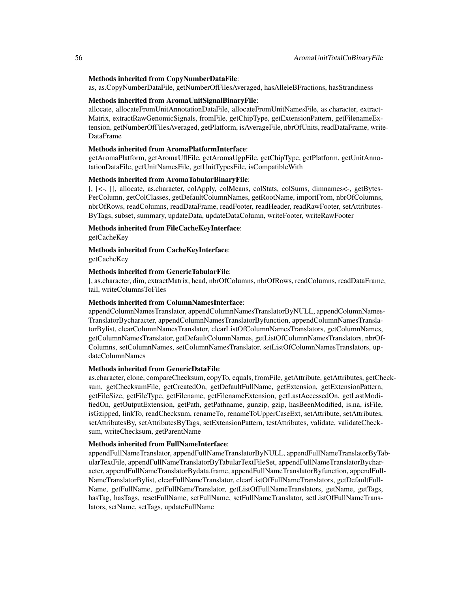### Methods inherited from CopyNumberDataFile:

as, as.CopyNumberDataFile, getNumberOfFilesAveraged, hasAlleleBFractions, hasStrandiness

#### Methods inherited from AromaUnitSignalBinaryFile:

allocate, allocateFromUnitAnnotationDataFile, allocateFromUnitNamesFile, as.character, extract-Matrix, extractRawGenomicSignals, fromFile, getChipType, getExtensionPattern, getFilenameExtension, getNumberOfFilesAveraged, getPlatform, isAverageFile, nbrOfUnits, readDataFrame, write-DataFrame

# Methods inherited from AromaPlatformInterface:

getAromaPlatform, getAromaUflFile, getAromaUgpFile, getChipType, getPlatform, getUnitAnnotationDataFile, getUnitNamesFile, getUnitTypesFile, isCompatibleWith

#### Methods inherited from AromaTabularBinaryFile:

[, [<-, [[, allocate, as.character, colApply, colMeans, colStats, colSums, dimnames<-, getBytes-PerColumn, getColClasses, getDefaultColumnNames, getRootName, importFrom, nbrOfColumns, nbrOfRows, readColumns, readDataFrame, readFooter, readHeader, readRawFooter, setAttributes-ByTags, subset, summary, updateData, updateDataColumn, writeFooter, writeRawFooter

#### Methods inherited from FileCacheKeyInterface:

getCacheKey

Methods inherited from CacheKeyInterface: getCacheKey

#### Methods inherited from GenericTabularFile:

[, as.character, dim, extractMatrix, head, nbrOfColumns, nbrOfRows, readColumns, readDataFrame, tail, writeColumnsToFiles

#### Methods inherited from ColumnNamesInterface:

appendColumnNamesTranslator, appendColumnNamesTranslatorByNULL, appendColumnNames-TranslatorBycharacter, appendColumnNamesTranslatorByfunction, appendColumnNamesTranslatorBylist, clearColumnNamesTranslator, clearListOfColumnNamesTranslators, getColumnNames, getColumnNamesTranslator, getDefaultColumnNames, getListOfColumnNamesTranslators, nbrOf-Columns, setColumnNames, setColumnNamesTranslator, setListOfColumnNamesTranslators, updateColumnNames

#### Methods inherited from GenericDataFile:

as.character, clone, compareChecksum, copyTo, equals, fromFile, getAttribute, getAttributes, getChecksum, getChecksumFile, getCreatedOn, getDefaultFullName, getExtension, getExtensionPattern, getFileSize, getFileType, getFilename, getFilenameExtension, getLastAccessedOn, getLastModifiedOn, getOutputExtension, getPath, getPathname, gunzip, gzip, hasBeenModified, is.na, isFile, isGzipped, linkTo, readChecksum, renameTo, renameToUpperCaseExt, setAttribute, setAttributes, setAttributesBy, setAttributesByTags, setExtensionPattern, testAttributes, validate, validateChecksum, writeChecksum, getParentName

#### Methods inherited from FullNameInterface:

appendFullNameTranslator, appendFullNameTranslatorByNULL, appendFullNameTranslatorByTabularTextFile, appendFullNameTranslatorByTabularTextFileSet, appendFullNameTranslatorBycharacter, appendFullNameTranslatorBydata.frame, appendFullNameTranslatorByfunction, appendFull-NameTranslatorBylist, clearFullNameTranslator, clearListOfFullNameTranslators, getDefaultFull-Name, getFullName, getFullNameTranslator, getListOfFullNameTranslators, getName, getTags, hasTag, hasTags, resetFullName, setFullName, setFullNameTranslator, setListOfFullNameTranslators, setName, setTags, updateFullName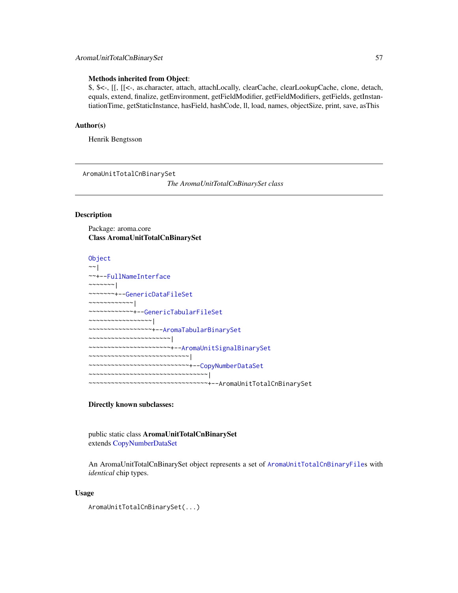# AromaUnitTotalCnBinarySet 57

#### Methods inherited from Object:

\$, \$<-, [[, [[<-, as.character, attach, attachLocally, clearCache, clearLookupCache, clone, detach, equals, extend, finalize, getEnvironment, getFieldModifier, getFieldModifiers, getFields, getInstantiationTime, getStaticInstance, hasField, hashCode, ll, load, names, objectSize, print, save, asThis

#### Author(s)

Henrik Bengtsson

<span id="page-56-0"></span>AromaUnitTotalCnBinarySet

*The AromaUnitTotalCnBinarySet class*

# Description

Package: aroma.core Class AromaUnitTotalCnBinarySet

```
Object
~\sim~|
~~+--FullNameInterface
\sim\sim\sim\sim\sim\sim~~~~~~~+--GenericDataFileSet
~~~~~~~~~~~~|
~~~~~~~~~~~~+--GenericTabularFileSet
~~~~~~~~~~~~~~~~~|
~~~~~~~~~~~~~~~~~+--AromaTabularBinarySet
~~~~~~~~~~~~~~~~~~~~~~|
~~~~~~~~~~~~~~~~~~~~~~+--AromaUnitSignalBinarySet
~~~~~~~~~~~~~~~~~~~~~~~~~~~|
~~~~~~~~~~~~~~~~~~~~~~~~~~~+--CopyNumberDataSet
~~~~~~~~~~~~~~~~~~~~~~~~~~~~~~~~
    ~~~~~~~~~~~~~~~~~~~~~~~~~~~~~~~~+--AromaUnitTotalCnBinarySet
```
#### Directly known subclasses:

public static class AromaUnitTotalCnBinarySet extends [CopyNumberDataSet](#page-0-0)

An AromaUnitTotalCnBinarySet object represents a set of [AromaUnitTotalCnBinaryFile](#page-53-0)s with *identical* chip types.

### Usage

AromaUnitTotalCnBinarySet(...)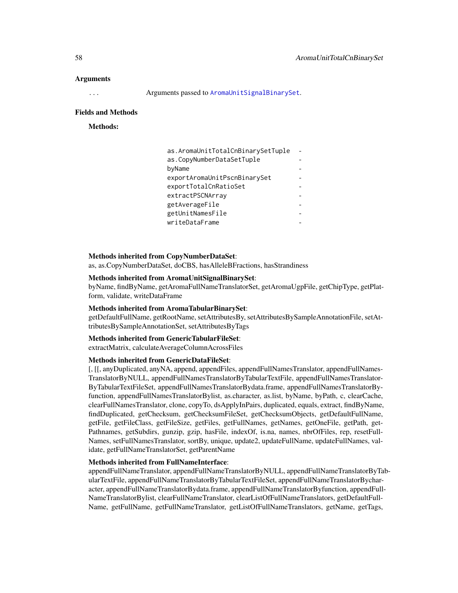#### Arguments

... Arguments passed to [AromaUnitSignalBinarySet](#page-49-0).

#### Fields and Methods

Methods:

| as.AromaUnitTotalCnBinarySetTuple |  |
|-----------------------------------|--|
| as.CopyNumberDataSetTuple         |  |
| byName                            |  |
| exportAromaUnitPscnBinarySet      |  |
| exportTotalCnRatioSet             |  |
| extractPSCNArrav                  |  |
| getAverageFile                    |  |
| getUnitNamesFile                  |  |
| writeDataFrame                    |  |

### Methods inherited from CopyNumberDataSet:

as, as.CopyNumberDataSet, doCBS, hasAlleleBFractions, hasStrandiness

#### Methods inherited from AromaUnitSignalBinarySet:

byName, findByName, getAromaFullNameTranslatorSet, getAromaUgpFile, getChipType, getPlatform, validate, writeDataFrame

### Methods inherited from AromaTabularBinarySet:

getDefaultFullName, getRootName, setAttributesBy, setAttributesBySampleAnnotationFile, setAttributesBySampleAnnotationSet, setAttributesByTags

#### Methods inherited from GenericTabularFileSet:

extractMatrix, calculateAverageColumnAcrossFiles

#### Methods inherited from GenericDataFileSet:

[, [[, anyDuplicated, anyNA, append, appendFiles, appendFullNamesTranslator, appendFullNames-TranslatorByNULL, appendFullNamesTranslatorByTabularTextFile, appendFullNamesTranslator-ByTabularTextFileSet, appendFullNamesTranslatorBydata.frame, appendFullNamesTranslatorByfunction, appendFullNamesTranslatorBylist, as.character, as.list, byName, byPath, c, clearCache, clearFullNamesTranslator, clone, copyTo, dsApplyInPairs, duplicated, equals, extract, findByName, findDuplicated, getChecksum, getChecksumFileSet, getChecksumObjects, getDefaultFullName, getFile, getFileClass, getFileSize, getFiles, getFullNames, getNames, getOneFile, getPath, get-Pathnames, getSubdirs, gunzip, gzip, hasFile, indexOf, is.na, names, nbrOfFiles, rep, resetFull-Names, setFullNamesTranslator, sortBy, unique, update2, updateFullName, updateFullNames, validate, getFullNameTranslatorSet, getParentName

#### Methods inherited from FullNameInterface:

appendFullNameTranslator, appendFullNameTranslatorByNULL, appendFullNameTranslatorByTabularTextFile, appendFullNameTranslatorByTabularTextFileSet, appendFullNameTranslatorBycharacter, appendFullNameTranslatorBydata.frame, appendFullNameTranslatorByfunction, appendFull-NameTranslatorBylist, clearFullNameTranslator, clearListOfFullNameTranslators, getDefaultFull-Name, getFullName, getFullNameTranslator, getListOfFullNameTranslators, getName, getTags,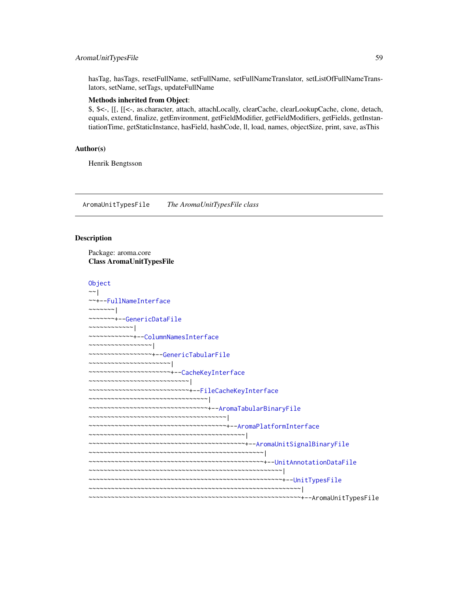# AromaUnitTypesFile 59

hasTag, hasTags, resetFullName, setFullName, setFullNameTranslator, setListOfFullNameTranslators, setName, setTags, updateFullName

#### Methods inherited from Object:

\$, \$<-, [[, [[<-, as.character, attach, attachLocally, clearCache, clearLookupCache, clone, detach, equals, extend, finalize, getEnvironment, getFieldModifier, getFieldModifiers, getFields, getInstantiationTime, getStaticInstance, hasField, hashCode, ll, load, names, objectSize, print, save, asThis

# Author(s)

Henrik Bengtsson

<span id="page-58-0"></span>AromaUnitTypesFile *The AromaUnitTypesFile class*

#### Description

Package: aroma.core Class AromaUnitTypesFile

```
Object
~~|
~~+--FullNameInterface
~\sim ~\sim ~\sim ~\sim ~\sim ~\sim ~\sim~~~~~~~+--GenericDataFile
~~~~~~~~~~~~|
~~~~~~~~~~~~+--ColumnNamesInterface
~~~~~~~~~~~~~~~~~|
 ~~~~~~~~~~~~~~~~~+--GenericTabularFile
~~~~~~~~~~~~~~~~~~~~~~|
~~~~~~~~~~~~~~~~~~~~~~+--CacheKeyInterface
~~~~~~~~~~~~~~~~~~~~~~~~~~~|
  ~~~~~~~~~~~~~~~~~~~~~~~~~~~+--FileCacheKeyInterface
  ~~~~~~~~~~~~~~~~~~~~~~~~~~~~~~~~|
  ~~~~~~~~~~~~~~~~~~~~~~~~~~~~~~~~+--AromaTabularBinaryFile
 ~~~~~~~~~~~~~~~~~~~~~~~~~~~~~~~~~~~~~|
~~~~~~~~~~~~~~~~~~~~~~~~~~~~~~~~~~~~~+--AromaPlatformInterface
  ~~~~~~~~~~~~~~~~~~~~~~~~~~~~~~~~~~~~~~~~~~|
~~~~~~~~~~~~~~~~~~~~~~~~~~~~~~~~~~~~~~~~~~+--AromaUnitSignalBinaryFile
~~~~~~~~~~~~~~~~~~~~~~~~~~~~~~~~~~~~~~~~~~~~~~~|
 ~~~~~~~~~~~~~~~~~~~~~~~~~~~~~~~~~~~~~~~~~~~~~~~+--UnitAnnotationDataFile
   ~~~~~~~~~~~~~~~~~~~~~~~~~~~~~~~~~~~~~~~~~~~~~~~~~~~~|
   ~~~~~~~~~~~~~~~~~~~~~~~~~~~~~~~~~~~~~~~~~~~~~~~~~~~~+--UnitTypesFile
   ~~~~~~~~~~~~~~~~~~~~~~~~~~~~~~~~~~~~~~~~~~~~~~~~~~~~~~~~~|
  ~~~~~~~~~~~~~~~~~~~~~~~~~~~~~~~~~~~~~~~~~~~~~~~~~~~~~~~~~+--AromaUnitTypesFile
```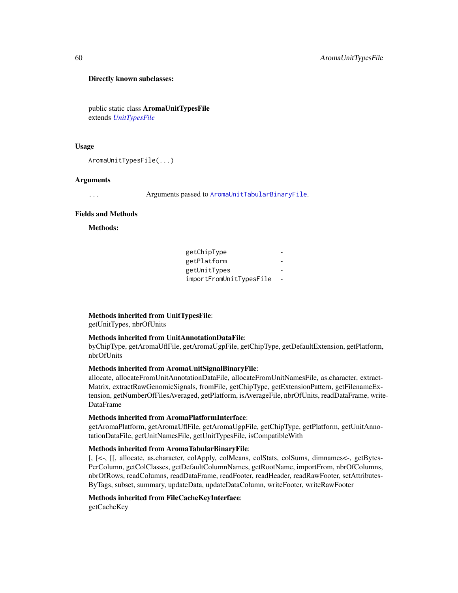#### Directly known subclasses:

public static class AromaUnitTypesFile extends *[UnitTypesFile](#page-107-0)*

### Usage

```
AromaUnitTypesFile(...)
```
# Arguments

... Arguments passed to [AromaUnitTabularBinaryFile](#page-51-0).

# Fields and Methods

Methods:

| getChipType             |  |
|-------------------------|--|
| getPlatform             |  |
| getUnitTypes            |  |
| importFromUnitTypesFile |  |

#### Methods inherited from UnitTypesFile:

getUnitTypes, nbrOfUnits

# Methods inherited from UnitAnnotationDataFile:

byChipType, getAromaUflFile, getAromaUgpFile, getChipType, getDefaultExtension, getPlatform, nbrOfUnits

### Methods inherited from AromaUnitSignalBinaryFile:

allocate, allocateFromUnitAnnotationDataFile, allocateFromUnitNamesFile, as.character, extract-Matrix, extractRawGenomicSignals, fromFile, getChipType, getExtensionPattern, getFilenameExtension, getNumberOfFilesAveraged, getPlatform, isAverageFile, nbrOfUnits, readDataFrame, write-DataFrame

# Methods inherited from AromaPlatformInterface:

getAromaPlatform, getAromaUflFile, getAromaUgpFile, getChipType, getPlatform, getUnitAnnotationDataFile, getUnitNamesFile, getUnitTypesFile, isCompatibleWith

# Methods inherited from AromaTabularBinaryFile:

[, [<-, [[, allocate, as.character, colApply, colMeans, colStats, colSums, dimnames<-, getBytes-PerColumn, getColClasses, getDefaultColumnNames, getRootName, importFrom, nbrOfColumns, nbrOfRows, readColumns, readDataFrame, readFooter, readHeader, readRawFooter, setAttributes-ByTags, subset, summary, updateData, updateDataColumn, writeFooter, writeRawFooter

#### Methods inherited from FileCacheKeyInterface:

getCacheKey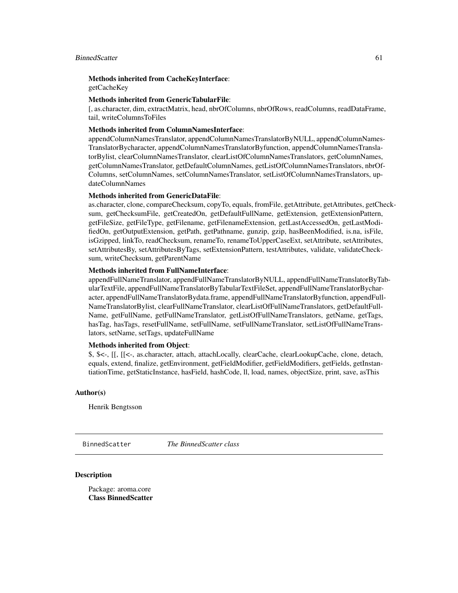#### BinnedScatter 61

Methods inherited from CacheKeyInterface: getCacheKey

#### Methods inherited from GenericTabularFile:

[, as.character, dim, extractMatrix, head, nbrOfColumns, nbrOfRows, readColumns, readDataFrame, tail, writeColumnsToFiles

#### Methods inherited from ColumnNamesInterface:

appendColumnNamesTranslator, appendColumnNamesTranslatorByNULL, appendColumnNames-TranslatorBycharacter, appendColumnNamesTranslatorByfunction, appendColumnNamesTranslatorBylist, clearColumnNamesTranslator, clearListOfColumnNamesTranslators, getColumnNames, getColumnNamesTranslator, getDefaultColumnNames, getListOfColumnNamesTranslators, nbrOf-Columns, setColumnNames, setColumnNamesTranslator, setListOfColumnNamesTranslators, updateColumnNames

#### Methods inherited from GenericDataFile:

as.character, clone, compareChecksum, copyTo, equals, fromFile, getAttribute, getAttributes, getChecksum, getChecksumFile, getCreatedOn, getDefaultFullName, getExtension, getExtensionPattern, getFileSize, getFileType, getFilename, getFilenameExtension, getLastAccessedOn, getLastModifiedOn, getOutputExtension, getPath, getPathname, gunzip, gzip, hasBeenModified, is.na, isFile, isGzipped, linkTo, readChecksum, renameTo, renameToUpperCaseExt, setAttribute, setAttributes, setAttributesBy, setAttributesByTags, setExtensionPattern, testAttributes, validate, validateChecksum, writeChecksum, getParentName

### Methods inherited from FullNameInterface:

appendFullNameTranslator, appendFullNameTranslatorByNULL, appendFullNameTranslatorByTabularTextFile, appendFullNameTranslatorByTabularTextFileSet, appendFullNameTranslatorBycharacter, appendFullNameTranslatorBydata.frame, appendFullNameTranslatorByfunction, appendFull-NameTranslatorBylist, clearFullNameTranslator, clearListOfFullNameTranslators, getDefaultFull-Name, getFullName, getFullNameTranslator, getListOfFullNameTranslators, getName, getTags, hasTag, hasTags, resetFullName, setFullName, setFullNameTranslator, setListOfFullNameTranslators, setName, setTags, updateFullName

# Methods inherited from Object:

\$, \$<-, [[, [[<-, as.character, attach, attachLocally, clearCache, clearLookupCache, clone, detach, equals, extend, finalize, getEnvironment, getFieldModifier, getFieldModifiers, getFields, getInstantiationTime, getStaticInstance, hasField, hashCode, ll, load, names, objectSize, print, save, asThis

#### Author(s)

Henrik Bengtsson

BinnedScatter *The BinnedScatter class*

### **Description**

Package: aroma.core Class BinnedScatter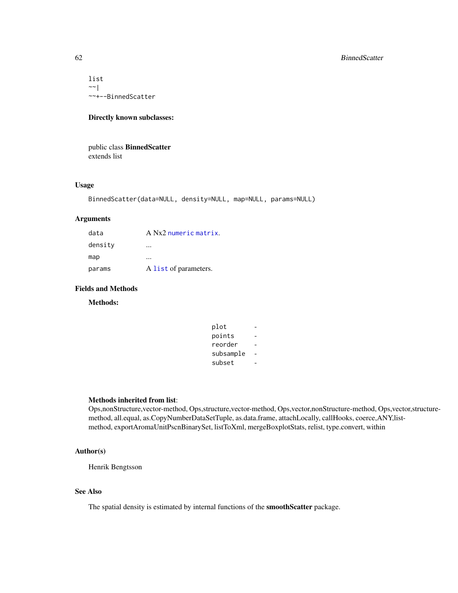list  $\sim$   $\sim$  | ~~+--BinnedScatter

# Directly known subclasses:

public class BinnedScatter extends list

# Usage

```
BinnedScatter(data=NULL, density=NULL, map=NULL, params=NULL)
```
# Arguments

| data    | A Nx2 numeric matrix. |
|---------|-----------------------|
| density |                       |
| map     |                       |
| params  | A list of parameters. |

# Fields and Methods

Methods:

| plot      |  |
|-----------|--|
| points    |  |
| reorder   |  |
| subsample |  |
| subset    |  |

# Methods inherited from list:

Ops,nonStructure,vector-method, Ops,structure,vector-method, Ops,vector,nonStructure-method, Ops,vector,structuremethod, all.equal, as.CopyNumberDataSetTuple, as.data.frame, attachLocally, callHooks, coerce,ANY,listmethod, exportAromaUnitPscnBinarySet, listToXml, mergeBoxplotStats, relist, type.convert, within

### Author(s)

Henrik Bengtsson

# See Also

The spatial density is estimated by internal functions of the smoothScatter package.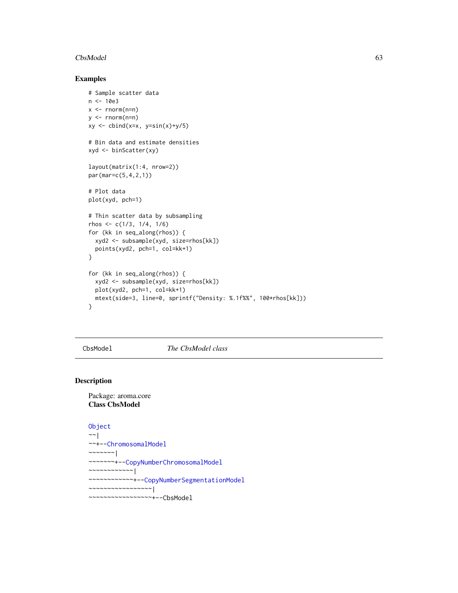#### $CbsModel$  63

### Examples

```
# Sample scatter data
n < -10e3x < - rnorm(n=n)
y \le - rnorm(n=n)xy \leftarrow \text{cbind}(x=x, y=\sin(x)+y/5)# Bin data and estimate densities
xyd <- binScatter(xy)
layout(matrix(1:4, nrow=2))
par(mar=c(5,4,2,1))
# Plot data
plot(xyd, pch=1)
# Thin scatter data by subsampling
rhos <- c(1/3, 1/4, 1/6)
for (kk in seq_along(rhos)) {
  xyd2 <- subsample(xyd, size=rhos[kk])
  points(xyd2, pch=1, col=kk+1)
}
for (kk in seq_along(rhos)) {
  xyd2 <- subsample(xyd, size=rhos[kk])
  plot(xyd2, pch=1, col=kk+1)
  mtext(side=3, line=0, sprintf("Density: %.1f%%", 100*rhos[kk]))
}
```
<span id="page-62-0"></span>CbsModel *The CbsModel class*

#### Description

# Package: aroma.core Class CbsModel

```
Object
~\sim~~~+--ChromosomalModel
~\sim ~\sim ~\sim ~\sim ~\sim ~\sim ~\sim ~\sim ~\sim ~\sim ~\sim ~\sim ~\sim ~\sim ~\sim ~\sim ~\sim ~\sim ~\sim ~\sim ~\sim ~\sim ~\sim ~\sim ~\sim ~\sim ~\sim ~\sim ~\sim ~\sim ~\sim ~\sim ~\sim ~\sim ~\sim ~\sim ~\sim~~~~~~~+--CopyNumberChromosomalModel
~~~~~~~~~~~~|
~~~~~~~~~~~~+--CopyNumberSegmentationModel
~~~~~~~~~~~~~~~~~|
~~~~~~~~~~~~~~~~~+--CbsModel
```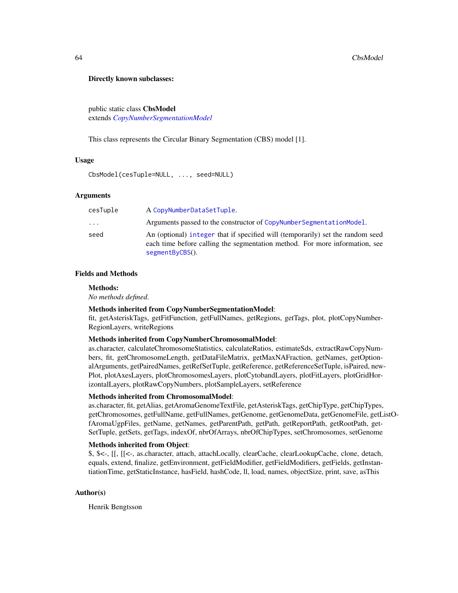#### Directly known subclasses:

public static class CbsModel extends *[CopyNumberSegmentationModel](#page-73-0)*

This class represents the Circular Binary Segmentation (CBS) model [1].

#### Usage

CbsModel(cesTuple=NULL, ..., seed=NULL)

### Arguments

| cesTuple | A CopyNumberDataSetTuple.                                                                                                                                                        |
|----------|----------------------------------------------------------------------------------------------------------------------------------------------------------------------------------|
| $\ddots$ | Arguments passed to the constructor of CopyNumberSegmentationModel.                                                                                                              |
| seed     | An (optional) integer that if specified will (temporarily) set the random seed<br>each time before calling the segmentation method. For more information, see<br>segmentByCBS(). |

### Fields and Methods

#### Methods:

*No methods defined*.

# Methods inherited from CopyNumberSegmentationModel:

fit, getAsteriskTags, getFitFunction, getFullNames, getRegions, getTags, plot, plotCopyNumber-RegionLayers, writeRegions

#### Methods inherited from CopyNumberChromosomalModel:

as.character, calculateChromosomeStatistics, calculateRatios, estimateSds, extractRawCopyNumbers, fit, getChromosomeLength, getDataFileMatrix, getMaxNAFraction, getNames, getOptionalArguments, getPairedNames, getRefSetTuple, getReference, getReferenceSetTuple, isPaired, new-Plot, plotAxesLayers, plotChromosomesLayers, plotCytobandLayers, plotFitLayers, plotGridHorizontalLayers, plotRawCopyNumbers, plotSampleLayers, setReference

#### Methods inherited from ChromosomalModel:

as.character, fit, getAlias, getAromaGenomeTextFile, getAsteriskTags, getChipType, getChipTypes, getChromosomes, getFullName, getFullNames, getGenome, getGenomeData, getGenomeFile, getListOfAromaUgpFiles, getName, getNames, getParentPath, getPath, getReportPath, getRootPath, get-SetTuple, getSets, getTags, indexOf, nbrOfArrays, nbrOfChipTypes, setChromosomes, setGenome

### Methods inherited from Object:

\$, \$<-, [[, [[<-, as.character, attach, attachLocally, clearCache, clearLookupCache, clone, detach, equals, extend, finalize, getEnvironment, getFieldModifier, getFieldModifiers, getFields, getInstantiationTime, getStaticInstance, hasField, hashCode, ll, load, names, objectSize, print, save, asThis

#### Author(s)

Henrik Bengtsson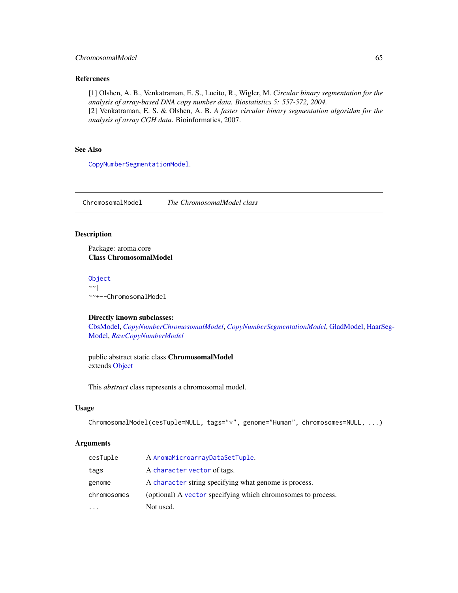# ChromosomalModel 65

# References

[1] Olshen, A. B., Venkatraman, E. S., Lucito, R., Wigler, M. *Circular binary segmentation for the analysis of array-based DNA copy number data. Biostatistics 5: 557-572, 2004.* [2] Venkatraman, E. S. & Olshen, A. B. *A faster circular binary segmentation algorithm for the analysis of array CGH data*. Bioinformatics, 2007.

# See Also

[CopyNumberSegmentationModel](#page-73-0).

<span id="page-64-0"></span>ChromosomalModel *The ChromosomalModel class*

# Description

Package: aroma.core Class ChromosomalModel

### [Object](#page-0-0)  $~\sim~$ |

~~+--ChromosomalModel

#### Directly known subclasses:

[CbsModel,](#page-62-0) *[CopyNumberChromosomalModel](#page-72-0)*, *[CopyNumberSegmentationModel](#page-73-0)*, [GladModel,](#page-77-0) [HaarS](#page-79-0)eg-[Model,](#page-79-0) *[RawCopyNumberModel](#page-88-0)*

public abstract static class ChromosomalModel extends [Object](#page-0-0)

This *abstract* class represents a chromosomal model.

#### Usage

```
ChromosomalModel(cesTuple=NULL, tags="*", genome="Human", chromosomes=NULL, ...)
```
#### Arguments

| cesTuple    | A AromaMicroarrayDataSetTuple.                               |
|-------------|--------------------------------------------------------------|
| tags        | A character vector of tags.                                  |
| genome      | A character string specifying what genome is process.        |
| chromosomes | (optional) A vector specifying which chromosomes to process. |
|             | Not used.                                                    |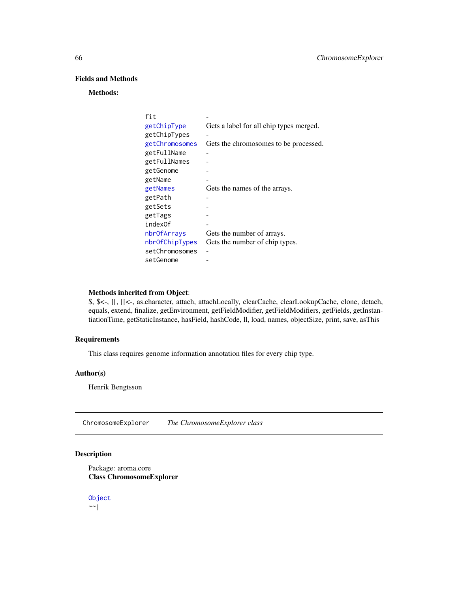# Fields and Methods

## Methods:

| fit            |                                         |
|----------------|-----------------------------------------|
| getChipType    | Gets a label for all chip types merged. |
| getChipTypes   |                                         |
| getChromosomes | Gets the chromosomes to be processed.   |
| getFullName    |                                         |
| getFullNames   |                                         |
| getGenome      |                                         |
| getName        |                                         |
| getNames       | Gets the names of the arrays.           |
| getPath        |                                         |
| getSets        |                                         |
| getTags        |                                         |
| index0f        |                                         |
| nbr0fArrays    | Gets the number of arrays.              |
| nbrOfChipTypes | Gets the number of chip types.          |
| setChromosomes |                                         |
| setGenome      |                                         |
|                |                                         |

### Methods inherited from Object:

\$, \$<-, [[, [[<-, as.character, attach, attachLocally, clearCache, clearLookupCache, clone, detach, equals, extend, finalize, getEnvironment, getFieldModifier, getFieldModifiers, getFields, getInstantiationTime, getStaticInstance, hasField, hashCode, ll, load, names, objectSize, print, save, asThis

# Requirements

This class requires genome information annotation files for every chip type.

### Author(s)

Henrik Bengtsson

ChromosomeExplorer *The ChromosomeExplorer class*

### Description

Package: aroma.core Class ChromosomeExplorer

[Object](#page-0-0)  $~~\sim~$ |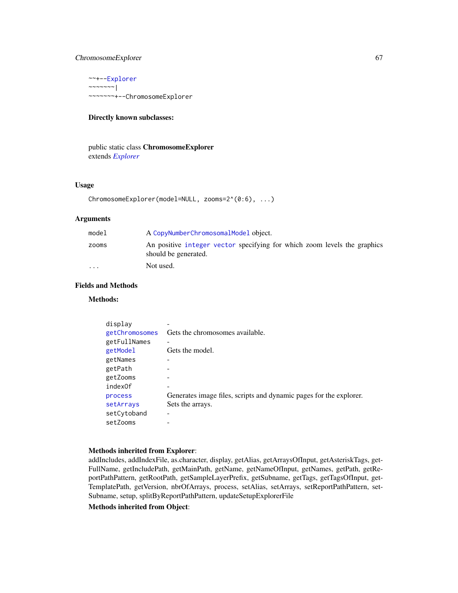# ChromosomeExplorer 67

~~+-[-Explorer](#page-76-0) ~~~~~~~| ~~~~~~~+--ChromosomeExplorer

# Directly known subclasses:

public static class ChromosomeExplorer extends *[Explorer](#page-76-0)*

# Usage

```
ChromosomeExplorer(model=NULL, zooms=2^(0:6), ...)
```
# Arguments

| model                   | A CopyNumberChromosomalModel object.                                                             |
|-------------------------|--------------------------------------------------------------------------------------------------|
| zooms                   | An positive integer vector specifying for which zoom levels the graphics<br>should be generated. |
| $\cdot$ $\cdot$ $\cdot$ | Not used.                                                                                        |

### Fields and Methods

# Methods:

| display        |                                                                    |
|----------------|--------------------------------------------------------------------|
| getChromosomes | Gets the chromosomes available.                                    |
| getFullNames   |                                                                    |
| getModel       | Gets the model.                                                    |
| getNames       |                                                                    |
| getPath        |                                                                    |
| getZooms       |                                                                    |
| index0f        |                                                                    |
| process        | Generates image files, scripts and dynamic pages for the explorer. |
| setArrays      | Sets the arrays.                                                   |
| setCytoband    |                                                                    |
| setZooms       |                                                                    |

#### Methods inherited from Explorer:

addIncludes, addIndexFile, as.character, display, getAlias, getArraysOfInput, getAsteriskTags, get-FullName, getIncludePath, getMainPath, getName, getNameOfInput, getNames, getPath, getReportPathPattern, getRootPath, getSampleLayerPrefix, getSubname, getTags, getTagsOfInput, get-TemplatePath, getVersion, nbrOfArrays, process, setAlias, setArrays, setReportPathPattern, set-Subname, setup, splitByReportPathPattern, updateSetupExplorerFile

Methods inherited from Object: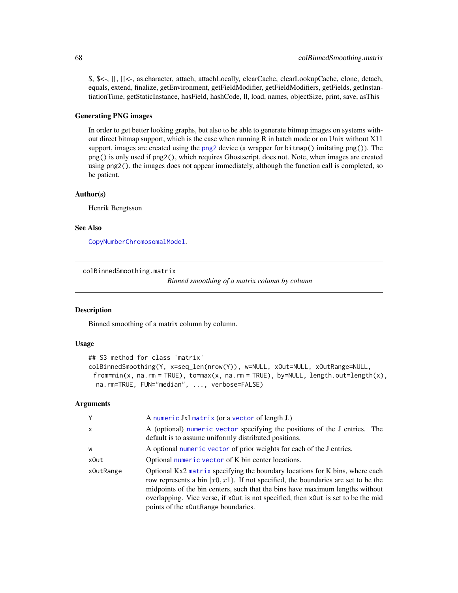\$, \$<-, [[, [[<-, as.character, attach, attachLocally, clearCache, clearLookupCache, clone, detach, equals, extend, finalize, getEnvironment, getFieldModifier, getFieldModifiers, getFields, getInstantiationTime, getStaticInstance, hasField, hashCode, ll, load, names, objectSize, print, save, asThis

### Generating PNG images

In order to get better looking graphs, but also to be able to generate bitmap images on systems without direct bitmap support, which is the case when running R in batch mode or on Unix without X11 support, images are created using the [png2](#page-0-0) device (a wrapper for bitmap() imitating png()). The png() is only used if png2(), which requires Ghostscript, does not. Note, when images are created using png2(), the images does not appear immediately, although the function call is completed, so be patient.

# Author(s)

Henrik Bengtsson

# See Also

[CopyNumberChromosomalModel](#page-72-0).

colBinnedSmoothing.matrix

*Binned smoothing of a matrix column by column*

### **Description**

Binned smoothing of a matrix column by column.

#### Usage

```
## S3 method for class 'matrix'
colBinnedSmoothing(Y, x=seq_len(nrow(Y)), w=NULL, xOut=NULL, xOutRange=NULL,
 from = min(x, na, rm = TRUE), to = max(x, na, rm = TRUE), by = NULL, length.out = length(x),na.rm=TRUE, FUN="median", ..., verbose=FALSE)
```
# Arguments

| γ         | A numeric JxI matrix (or a vector of length J.)                                                                                                                                                                                                                                                                                                                                   |
|-----------|-----------------------------------------------------------------------------------------------------------------------------------------------------------------------------------------------------------------------------------------------------------------------------------------------------------------------------------------------------------------------------------|
|           |                                                                                                                                                                                                                                                                                                                                                                                   |
| x         | A (optional) numeric vector specifying the positions of the J entries. The<br>default is to assume uniformly distributed positions.                                                                                                                                                                                                                                               |
| W         | A optional numeric vector of prior weights for each of the J entries.                                                                                                                                                                                                                                                                                                             |
| x0ut      | Optional numeric vector of K bin center locations.                                                                                                                                                                                                                                                                                                                                |
| x0utRange | Optional Kx2 matrix specifying the boundary locations for K bins, where each<br>row represents a bin $[x0, x1)$ . If not specified, the boundaries are set to be the<br>midpoints of the bin centers, such that the bins have maximum lengths without<br>overlapping. Vice verse, if x0ut is not specified, then x0ut is set to be the mid<br>points of the x0utRange boundaries. |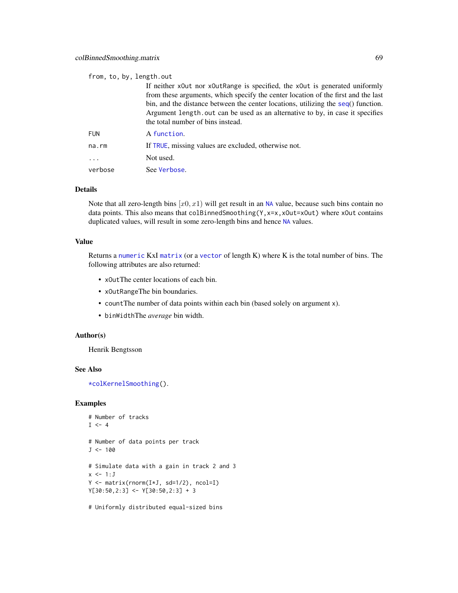#### from, to, by, length.out

If neither xOut nor xOutRange is specified, the xOut is generated uniformly from these arguments, which specify the center location of the first and the last bin, and the distance between the center locations, utilizing the [seq](#page-0-0)() function. Argument length.out can be used as an alternative to by, in case it specifies the total number of bins instead.

| <b>FUN</b>              | A function.                                          |
|-------------------------|------------------------------------------------------|
| na.rm                   | If TRUE, missing values are excluded, otherwise not. |
| $\cdot$ $\cdot$ $\cdot$ | Not used.                                            |
| verbose                 | See Verbose.                                         |

### Details

Note that all zero-length bins  $[x0, x1)$  will get result in an [NA](#page-0-0) value, because such bins contain no data points. This also means that colBinnedSmoothing(Y, x=x, xOut=xOut) where xOut contains duplicated values, will result in some zero-length bins and hence [NA](#page-0-0) values.

#### Value

Returns a [numeric](#page-0-0) KxI [matrix](#page-0-0) (or a [vector](#page-0-0) of length K) where K is the total number of bins. The following attributes are also returned:

- xOutThe center locations of each bin.
- xOutRangeThe bin boundaries.
- countThe number of data points within each bin (based solely on argument x).
- binWidthThe *average* bin width.

#### Author(s)

Henrik Bengtsson

#### See Also

[\\*colKernelSmoothing\(](#page-0-0)).

# Examples

```
# Number of tracks
I \leftarrow 4# Number of data points per track
J < -100# Simulate data with a gain in track 2 and 3
x \le -1:JY <- matrix(rnorm(I*J, sd=1/2), ncol=I)
Y[30:50,2:3] <- Y[30:50,2:3] + 3
```
# Uniformly distributed equal-sized bins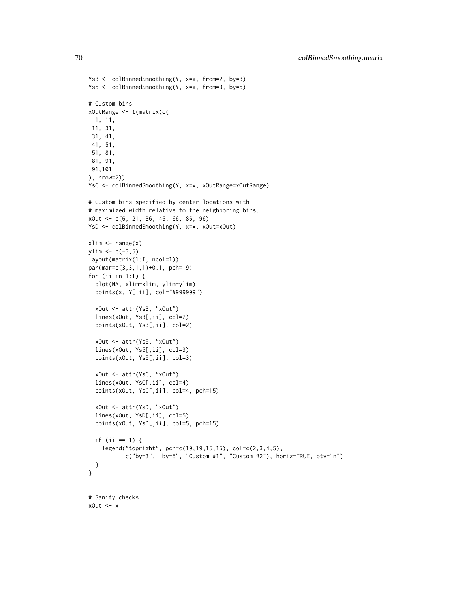```
Ys3 <- colBinnedSmoothing(Y, x=x, from=2, by=3)
Ys5 <- colBinnedSmoothing(Y, x=x, from=3, by=5)
# Custom bins
xOutRange <- t(matrix(c(
 1, 11,
 11, 31,
 31, 41,
 41, 51,
 51, 81,
 81, 91,
 91,101
), nrow=2))
YsC <- colBinnedSmoothing(Y, x=x, xOutRange=xOutRange)
# Custom bins specified by center locations with
# maximized width relative to the neighboring bins.
xOut <- c(6, 21, 36, 46, 66, 86, 96)
YsD <- colBinnedSmoothing(Y, x=x, xOut=xOut)
xlim < -r</math>vlim < -c(-3,5)layout(matrix(1:I, ncol=1))
par(mar=c(3,3,1,1)+0.1, pch=19)
for (ii in 1:I) {
  plot(NA, xlim=xlim, ylim=ylim)
  points(x, Y[,ii], col="#999999")
  xOut <- attr(Ys3, "xOut")
  lines(xOut, Ys3[,ii], col=2)
  points(xOut, Ys3[,ii], col=2)
  xOut <- attr(Ys5, "xOut")
  lines(xOut, Ys5[,ii], col=3)
  points(xOut, Ys5[,ii], col=3)
  xOut <- attr(YsC, "xOut")
  lines(xOut, YsC[,ii], col=4)
  points(xOut, YsC[,ii], col=4, pch=15)
  xOut <- attr(YsD, "xOut")
  lines(xOut, YsD[,ii], col=5)
  points(xOut, YsD[,ii], col=5, pch=15)
  if (ii == 1) {
    legend("topright", pch=c(19,19,15,15), col=c(2,3,4,5),
           c("by=3", "by=5", "Custom #1", "Custom #2"), horiz=TRUE, bty="n")
  }
}
# Sanity checks
xOut <- x
```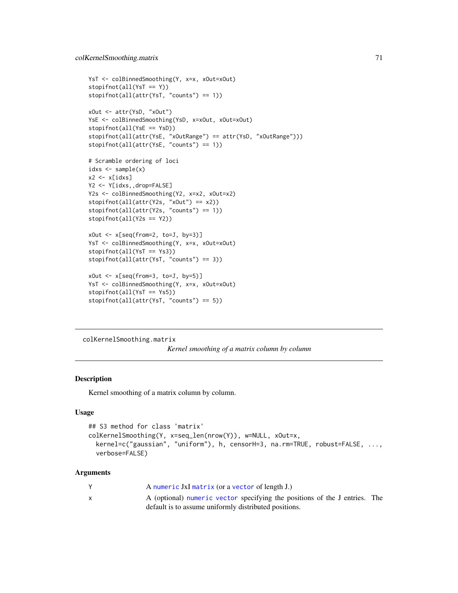```
YsT <- colBinnedSmoothing(Y, x=x, xOut=xOut)
stopifnot(all(YsT == Y))
stopifnot(all(attr(YsT, "counts") == 1))
xOut <- attr(YsD, "xOut")
YsE <- colBinnedSmoothing(YsD, x=xOut, xOut=xOut)
stopifnot(all(YsE == YsD))
stopifnot(all(attr(YsE, "xOutRange") == attr(YsD, "xOutRange")))
stopifnot(all(attr(YsE, "counts") == 1))
# Scramble ordering of loci
idxs < -sample(x)x2 \leftarrow x[idxs]Y2 <- Y[idxs,,drop=FALSE]
Y2s <- colBinnedSmoothing(Y2, x=x2, xOut=x2)
stopifnot(all(attr(Y2s, "xOut") == x2))
stopifnot(all(attr(Y2s, "counts") == 1))
stopifnot(all(Y2s == Y2))
xOut \leftarrow x[seq(from=2, to=J, by=3)]YsT <- colBinnedSmoothing(Y, x=x, xOut=xOut)
stopifnot(all(YsT == Ys3))
stopifnot(all(attr(YsT, "counts") == 3))
xOut <- x[seq(from=3, to=J, by=5)]
YsT <- colBinnedSmoothing(Y, x=x, xOut=xOut)
stopifnot(all(YsT == Ys5))
stopifnot(all(attr(YsT, "counts") == 5))
```
colKernelSmoothing.matrix

*Kernel smoothing of a matrix column by column*

### Description

Kernel smoothing of a matrix column by column.

### Usage

```
## S3 method for class 'matrix'
colKernelSmoothing(Y, x=seq_len(nrow(Y)), w=NULL, xOut=x,
 kernel=c("gaussian", "uniform"), h, censorH=3, na.rm=TRUE, robust=FALSE, ...,
  verbose=FALSE)
```
#### Arguments

| A numeric JxI matrix (or a vector of length J.)                            |  |
|----------------------------------------------------------------------------|--|
| A (optional) numeric vector specifying the positions of the J entries. The |  |
| default is to assume uniformly distributed positions.                      |  |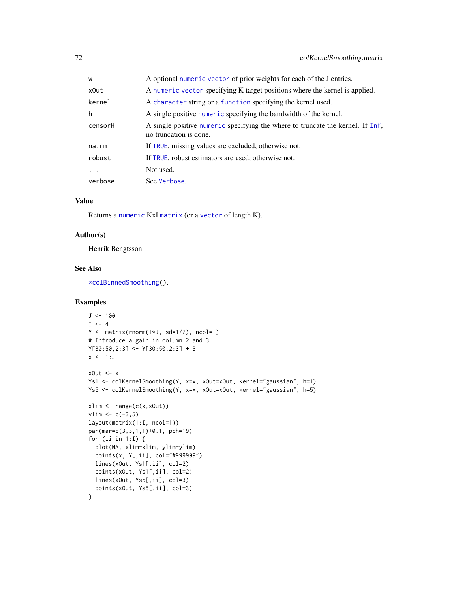| W        | A optional numeric vector of prior weights for each of the J entries.                                    |
|----------|----------------------------------------------------------------------------------------------------------|
| x0ut     | A numeric vector specifying K target positions where the kernel is applied.                              |
| kernel   | A character string or a function specifying the kernel used.                                             |
| h        | A single positive numeric specifying the bandwidth of the kernel.                                        |
| censorH  | A single positive numeric specifying the where to truncate the kernel. If Inf,<br>no truncation is done. |
| na.rm    | If TRUE, missing values are excluded, otherwise not.                                                     |
| robust   | If TRUE, robust estimators are used, otherwise not.                                                      |
| $\ddots$ | Not used.                                                                                                |
| verbose  | See Verbose.                                                                                             |

# Value

Returns a [numeric](#page-0-0) KxI [matrix](#page-0-0) (or a [vector](#page-0-0) of length K).

# Author(s)

Henrik Bengtsson

### See Also

[\\*colBinnedSmoothing\(](#page-0-0)).

#### Examples

```
J < -100I \le -4Y <- matrix(rnorm(I*J, sd=1/2), ncol=I)
# Introduce a gain in column 2 and 3
Y[30:50,2:3] <- Y[30:50,2:3] + 3
x \leftarrow 1:JxOut <- x
Ys1 <- colKernelSmoothing(Y, x=x, xOut=xOut, kernel="gaussian", h=1)
Ys5 <- colKernelSmoothing(Y, x=x, xOut=xOut, kernel="gaussian", h=5)
xlim <- range(c(x,xOut))
ylim < -c(-3,5)layout(matrix(1:I, ncol=1))
par(mar=c(3,3,1,1)+0.1, pch=19)
for (ii in 1:I) {
  plot(NA, xlim=xlim, ylim=ylim)
  points(x, Y[,ii], col="#999999")
  lines(xOut, Ys1[,ii], col=2)
  points(xOut, Ys1[,ii], col=2)
  lines(xOut, Ys5[,ii], col=3)
  points(xOut, Ys5[,ii], col=3)
}
```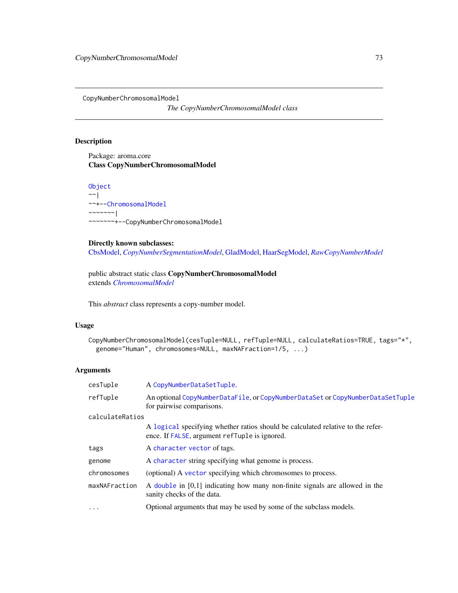<span id="page-72-0"></span>CopyNumberChromosomalModel

*The CopyNumberChromosomalModel class*

# Description

Package: aroma.core Class CopyNumberChromosomalModel

[Object](#page-0-0)  $~\sim~$ | ~~+-[-ChromosomalModel](#page-64-0) ~~~~~~~ $\vert$ ~~~~~~~+--CopyNumberChromosomalModel

# Directly known subclasses:

[CbsModel,](#page-62-0) *[CopyNumberSegmentationModel](#page-73-0)*, [GladModel,](#page-77-0) [HaarSegModel,](#page-79-0) *[RawCopyNumberModel](#page-88-0)*

public abstract static class CopyNumberChromosomalModel extends *[ChromosomalModel](#page-64-0)*

This *abstract* class represents a copy-number model.

# Usage

```
CopyNumberChromosomalModel(cesTuple=NULL, refTuple=NULL, calculateRatios=TRUE, tags="*",
 genome="Human", chromosomes=NULL, maxNAFraction=1/5, ...)
```
# Arguments

| cesTuple        | A CopyNumberDataSetTuple.                                                                                                        |
|-----------------|----------------------------------------------------------------------------------------------------------------------------------|
| refTuple        | An optional CopyNumberDataFile, or CopyNumberDataSet or CopyNumberDataSetTuple<br>for pairwise comparisons.                      |
| calculateRatios |                                                                                                                                  |
|                 | A logical specifying whether ratios should be calculated relative to the refer-<br>ence. If FALSE, argument refTuple is ignored. |
| tags            | A character vector of tags.                                                                                                      |
| genome          | A character string specifying what genome is process.                                                                            |
| chromosomes     | (optional) A vector specifying which chromosomes to process.                                                                     |
| maxNAFraction   | A double in [0,1] indicating how many non-finite signals are allowed in the<br>sanity checks of the data.                        |
| .               | Optional arguments that may be used by some of the subclass models.                                                              |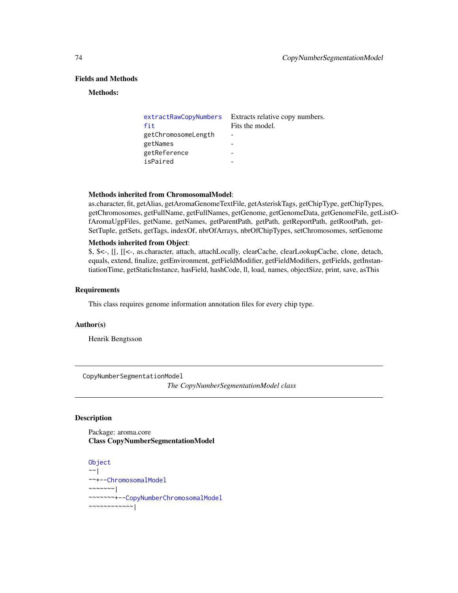# Fields and Methods

#### Methods:

| extractRawCopyNumbers | Extracts relative copy numbers. |
|-----------------------|---------------------------------|
| fit                   | Fits the model.                 |
| getChromosomeLength   |                                 |
| getNames              |                                 |
| getReference          |                                 |
| isPaired              |                                 |

#### Methods inherited from ChromosomalModel:

as.character, fit, getAlias, getAromaGenomeTextFile, getAsteriskTags, getChipType, getChipTypes, getChromosomes, getFullName, getFullNames, getGenome, getGenomeData, getGenomeFile, getListOfAromaUgpFiles, getName, getNames, getParentPath, getPath, getReportPath, getRootPath, get-SetTuple, getSets, getTags, indexOf, nbrOfArrays, nbrOfChipTypes, setChromosomes, setGenome

# Methods inherited from Object:

\$, \$<-, [[, [[<-, as.character, attach, attachLocally, clearCache, clearLookupCache, clone, detach, equals, extend, finalize, getEnvironment, getFieldModifier, getFieldModifiers, getFields, getInstantiationTime, getStaticInstance, hasField, hashCode, ll, load, names, objectSize, print, save, asThis

### Requirements

This class requires genome information annotation files for every chip type.

# Author(s)

Henrik Bengtsson

<span id="page-73-0"></span>CopyNumberSegmentationModel

*The CopyNumberSegmentationModel class*

### Description

Package: aroma.core Class CopyNumberSegmentationModel

```
Object
~~|
~~+--ChromosomalModel
~\sim ~\sim ~\sim ~\sim ~\sim ~\sim ~\sim~~~~~~~+--CopyNumberChromosomalModel
~~~~~~~~~~~~|
```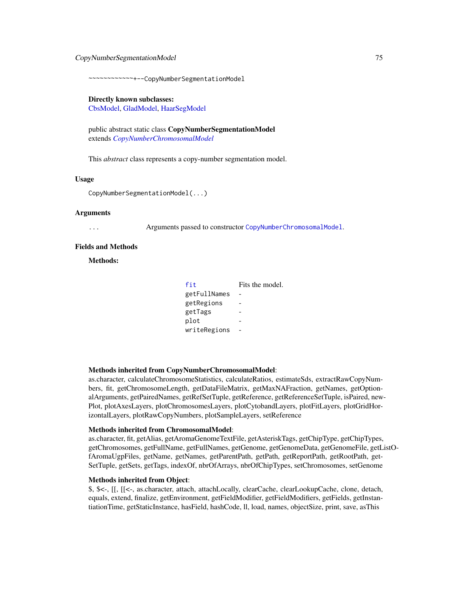# CopyNumberSegmentationModel 75

~~~~~~~~~~~~+--CopyNumberSegmentationModel

#### Directly known subclasses:

[CbsModel,](#page-62-0) [GladModel,](#page-77-0) [HaarSegModel](#page-79-0)

public abstract static class CopyNumberSegmentationModel extends *[CopyNumberChromosomalModel](#page-72-0)*

This *abstract* class represents a copy-number segmentation model.

#### Usage

CopyNumberSegmentationModel(...)

#### Arguments

... Arguments passed to constructor [CopyNumberChromosomalModel](#page-72-0).

#### Fields and Methods

Methods:

| fit          | Fits the model. |
|--------------|-----------------|
| getFullNames |                 |
| getRegions   |                 |
| getTags      |                 |
| plot         |                 |
| writeRegions |                 |

#### Methods inherited from CopyNumberChromosomalModel:

as.character, calculateChromosomeStatistics, calculateRatios, estimateSds, extractRawCopyNumbers, fit, getChromosomeLength, getDataFileMatrix, getMaxNAFraction, getNames, getOptionalArguments, getPairedNames, getRefSetTuple, getReference, getReferenceSetTuple, isPaired, new-Plot, plotAxesLayers, plotChromosomesLayers, plotCytobandLayers, plotFitLayers, plotGridHorizontalLayers, plotRawCopyNumbers, plotSampleLayers, setReference

#### Methods inherited from ChromosomalModel:

as.character, fit, getAlias, getAromaGenomeTextFile, getAsteriskTags, getChipType, getChipTypes, getChromosomes, getFullName, getFullNames, getGenome, getGenomeData, getGenomeFile, getListOfAromaUgpFiles, getName, getNames, getParentPath, getPath, getReportPath, getRootPath, get-SetTuple, getSets, getTags, indexOf, nbrOfArrays, nbrOfChipTypes, setChromosomes, setGenome

#### Methods inherited from Object:

\$, \$<-, [[, [[<-, as.character, attach, attachLocally, clearCache, clearLookupCache, clone, detach, equals, extend, finalize, getEnvironment, getFieldModifier, getFieldModifiers, getFields, getInstantiationTime, getStaticInstance, hasField, hashCode, ll, load, names, objectSize, print, save, asThis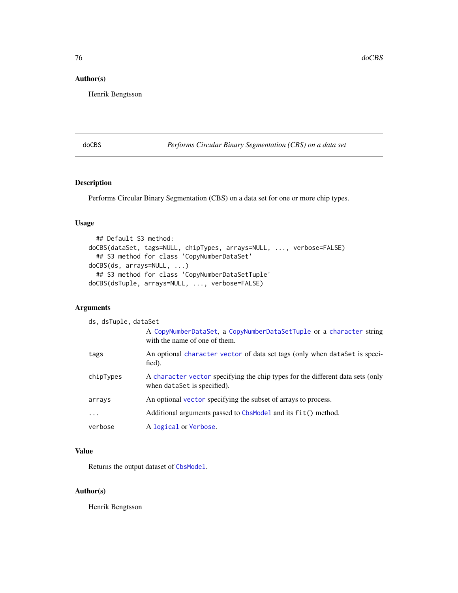# Author(s)

Henrik Bengtsson

# doCBS *Performs Circular Binary Segmentation (CBS) on a data set*

# Description

Performs Circular Binary Segmentation (CBS) on a data set for one or more chip types.

# Usage

```
## Default S3 method:
doCBS(dataSet, tags=NULL, chipTypes, arrays=NULL, ..., verbose=FALSE)
  ## S3 method for class 'CopyNumberDataSet'
doCBS(ds, arrays=NULL, ...)
  ## S3 method for class 'CopyNumberDataSetTuple'
doCBS(dsTuple, arrays=NULL, ..., verbose=FALSE)
```
# Arguments

| ds, dsTuple, dataSet |                                                                                                               |
|----------------------|---------------------------------------------------------------------------------------------------------------|
|                      | A CopyNumberDataSet, a CopyNumberDataSetTuple or a character string<br>with the name of one of them.          |
| tags                 | An optional character vector of data set tags (only when dataSet is speci-<br>fied).                          |
| chipTypes            | A character vector specifying the chip types for the different data sets (only<br>when dataSet is specified). |
| arrays               | An optional vector specifying the subset of arrays to process.                                                |
| .                    | Additional arguments passed to CbsModel and its fit() method.                                                 |
| verbose              | A logical or Verbose.                                                                                         |

# Value

Returns the output dataset of [CbsModel](#page-62-0).

## Author(s)

Henrik Bengtsson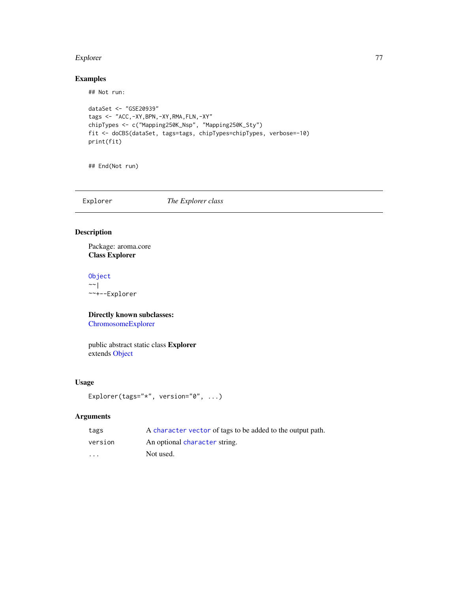#### Explorer 77

# Examples

## Not run:

```
dataSet <- "GSE20939"
tags <- "ACC,-XY,BPN,-XY,RMA,FLN,-XY"
chipTypes <- c("Mapping250K_Nsp", "Mapping250K_Sty")
fit <- doCBS(dataSet, tags=tags, chipTypes=chipTypes, verbose=-10)
print(fit)
```
## End(Not run)

Explorer *The Explorer class*

# Description

Package: aroma.core Class Explorer

[Object](#page-0-0)  $~~\sim~$ | ~~+--Explorer

Directly known subclasses:

[ChromosomeExplorer](#page-65-0)

public abstract static class Explorer extends [Object](#page-0-0)

# Usage

```
Explorer(tags="*", version="0", ...)
```
# Arguments

| tags    | A character vector of tags to be added to the output path. |
|---------|------------------------------------------------------------|
| version | An optional character string.                              |
| $\cdot$ | Not used.                                                  |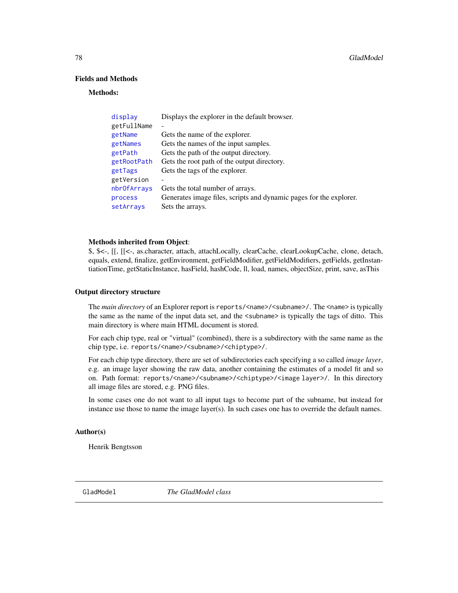# Fields and Methods

#### Methods:

| display     | Displays the explorer in the default browser.                      |
|-------------|--------------------------------------------------------------------|
| getFullName |                                                                    |
| getName     | Gets the name of the explorer.                                     |
| getNames    | Gets the names of the input samples.                               |
| getPath     | Gets the path of the output directory.                             |
| getRootPath | Gets the root path of the output directory.                        |
| getTags     | Gets the tags of the explorer.                                     |
| getVersion  |                                                                    |
| nbrOfArrays | Gets the total number of arrays.                                   |
| process     | Generates image files, scripts and dynamic pages for the explorer. |
| setArrays   | Sets the arrays.                                                   |

# Methods inherited from Object:

\$, \$<-, [[, [[<-, as.character, attach, attachLocally, clearCache, clearLookupCache, clone, detach, equals, extend, finalize, getEnvironment, getFieldModifier, getFieldModifiers, getFields, getInstantiationTime, getStaticInstance, hasField, hashCode, ll, load, names, objectSize, print, save, asThis

### Output directory structure

The *main directory* of an Explorer report is reports/<name>/<subname>/. The <name> is typically the same as the name of the input data set, and the <subname> is typically the tags of ditto. This main directory is where main HTML document is stored.

For each chip type, real or "virtual" (combined), there is a subdirectory with the same name as the chip type, i.e. reports/<name>/<subname>/<chiptype>/.

For each chip type directory, there are set of subdirectories each specifying a so called *image layer*, e.g. an image layer showing the raw data, another containing the estimates of a model fit and so on. Path format: reports/<name>/<subname>/<chiptype>/<image layer>/. In this directory all image files are stored, e.g. PNG files.

In some cases one do not want to all input tags to become part of the subname, but instead for instance use those to name the image layer(s). In such cases one has to override the default names.

# Author(s)

Henrik Bengtsson

<span id="page-77-0"></span>GladModel *The GladModel class*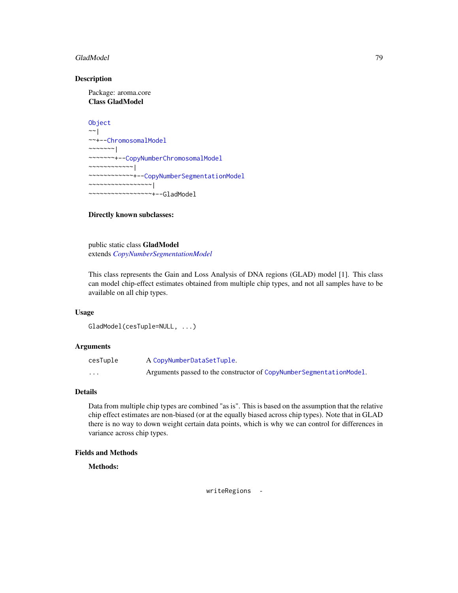### GladModel 79

### Description

Package: aroma.core Class GladModel

```
Object
~\sim~~~+--ChromosomalModel
~\sim ~\sim ~\sim ~\sim ~\sim ~\sim ~\sim ~\sim ~\sim ~\sim ~\sim ~\sim ~\sim ~\sim ~\sim ~\sim ~\sim ~\sim ~\sim ~\sim ~\sim ~\sim ~\sim ~\sim ~\sim ~\sim ~\sim ~\sim ~\sim ~\sim ~\sim ~\sim ~\sim ~\sim ~\sim ~\sim ~\sim~~~~~~~+--CopyNumberChromosomalModel
~~~~~~~~~~~~|
~~~~~~~~~~~~+--CopyNumberSegmentationModel
~~~~~~~~~~~~~~~~~|
     ~~~~~~~~~~~~~~~~~+--GladModel
```
# Directly known subclasses:

public static class GladModel extends *[CopyNumberSegmentationModel](#page-73-0)*

This class represents the Gain and Loss Analysis of DNA regions (GLAD) model [1]. This class can model chip-effect estimates obtained from multiple chip types, and not all samples have to be available on all chip types.

### Usage

```
GladModel(cesTuple=NULL, ...)
```
# Arguments

| cesTuple | A CopyNumberDataSetTuple.                                           |
|----------|---------------------------------------------------------------------|
| $\cdots$ | Arguments passed to the constructor of CopyNumberSegmentationModel. |

# Details

Data from multiple chip types are combined "as is". This is based on the assumption that the relative chip effect estimates are non-biased (or at the equally biased across chip types). Note that in GLAD there is no way to down weight certain data points, which is why we can control for differences in variance across chip types.

# Fields and Methods

Methods:

writeRegions -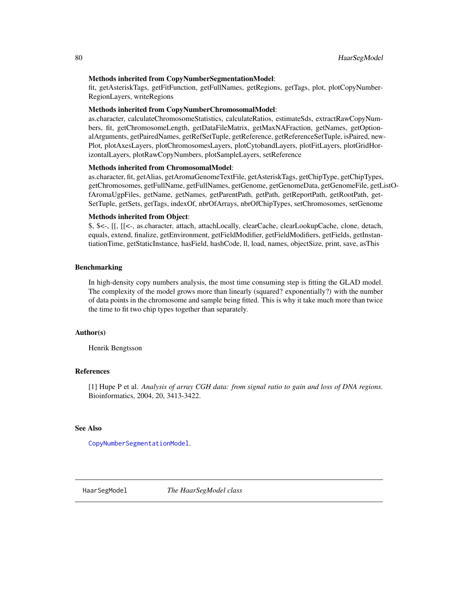### Methods inherited from CopyNumberSegmentationModel:

fit, getAsteriskTags, getFitFunction, getFullNames, getRegions, getTags, plot, plotCopyNumber-RegionLayers, writeRegions

### Methods inherited from CopyNumberChromosomalModel:

as.character, calculateChromosomeStatistics, calculateRatios, estimateSds, extractRawCopyNumbers, fit, getChromosomeLength, getDataFileMatrix, getMaxNAFraction, getNames, getOptionalArguments, getPairedNames, getRefSetTuple, getReference, getReferenceSetTuple, isPaired, new-Plot, plotAxesLayers, plotChromosomesLayers, plotCytobandLayers, plotFitLayers, plotGridHorizontalLayers, plotRawCopyNumbers, plotSampleLayers, setReference

### Methods inherited from ChromosomalModel:

as.character, fit, getAlias, getAromaGenomeTextFile, getAsteriskTags, getChipType, getChipTypes, getChromosomes, getFullName, getFullNames, getGenome, getGenomeData, getGenomeFile, getListOfAromaUgpFiles, getName, getNames, getParentPath, getPath, getReportPath, getRootPath, get-SetTuple, getSets, getTags, indexOf, nbrOfArrays, nbrOfChipTypes, setChromosomes, setGenome

### Methods inherited from Object:

\$, \$<-, [[, [[<-, as.character, attach, attachLocally, clearCache, clearLookupCache, clone, detach, equals, extend, finalize, getEnvironment, getFieldModifier, getFieldModifiers, getFields, getInstantiationTime, getStaticInstance, hasField, hashCode, ll, load, names, objectSize, print, save, asThis

# Benchmarking

In high-density copy numbers analysis, the most time consuming step is fitting the GLAD model. The complexity of the model grows more than linearly (squared? exponentially?) with the number of data points in the chromosome and sample being fitted. This is why it take much more than twice the time to fit two chip types together than separately.

## Author(s)

Henrik Bengtsson

#### References

[1] Hupe P et al. *Analysis of array CGH data: from signal ratio to gain and loss of DNA regions*. Bioinformatics, 2004, 20, 3413-3422.

# See Also

[CopyNumberSegmentationModel](#page-73-0).

<span id="page-79-0"></span>HaarSegModel *The HaarSegModel class*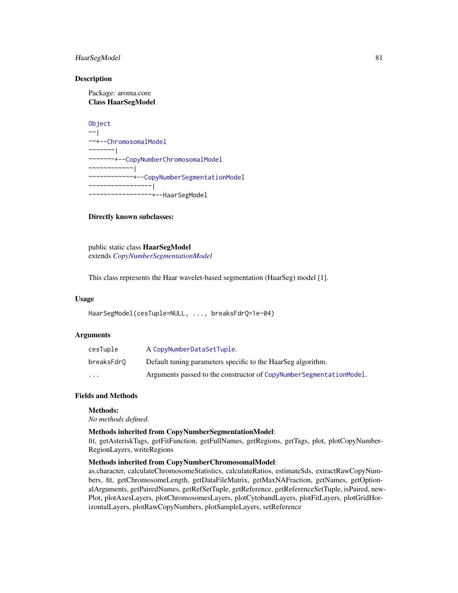# HaarSegModel 81

### **Description**

Package: aroma.core Class HaarSegModel

```
Object
~\sim~~~+--ChromosomalModel
~\sim ~\sim ~\sim ~\sim ~\sim ~\sim ~\sim~~~~~~~+--CopyNumberChromosomalModel
~~~~~~~~~~~~|
~~~~~~~~~~~~+--CopyNumberSegmentationModel
~~~~~~~~~~~~~~~~~|
  ~~~~~~~~~~~~~~~~~+--HaarSegModel
```
### Directly known subclasses:

public static class HaarSegModel extends *[CopyNumberSegmentationModel](#page-73-0)*

This class represents the Haar wavelet-based segmentation (HaarSeg) model [1].

### Usage

```
HaarSegModel(cesTuple=NULL, ..., breaksFdrQ=1e-04)
```
### Arguments

| cesTuple                | A CopyNumberDataSetTuple.                                           |
|-------------------------|---------------------------------------------------------------------|
| breaksFdr0              | Default tuning parameters specific to the HaarSeg algorithm.        |
| $\cdot$ $\cdot$ $\cdot$ | Arguments passed to the constructor of CopyNumberSegmentationModel. |

# Fields and Methods

#### Methods:

*No methods defined*.

### Methods inherited from CopyNumberSegmentationModel:

fit, getAsteriskTags, getFitFunction, getFullNames, getRegions, getTags, plot, plotCopyNumber-RegionLayers, writeRegions

### Methods inherited from CopyNumberChromosomalModel:

as.character, calculateChromosomeStatistics, calculateRatios, estimateSds, extractRawCopyNumbers, fit, getChromosomeLength, getDataFileMatrix, getMaxNAFraction, getNames, getOptionalArguments, getPairedNames, getRefSetTuple, getReference, getReferenceSetTuple, isPaired, new-Plot, plotAxesLayers, plotChromosomesLayers, plotCytobandLayers, plotFitLayers, plotGridHorizontalLayers, plotRawCopyNumbers, plotSampleLayers, setReference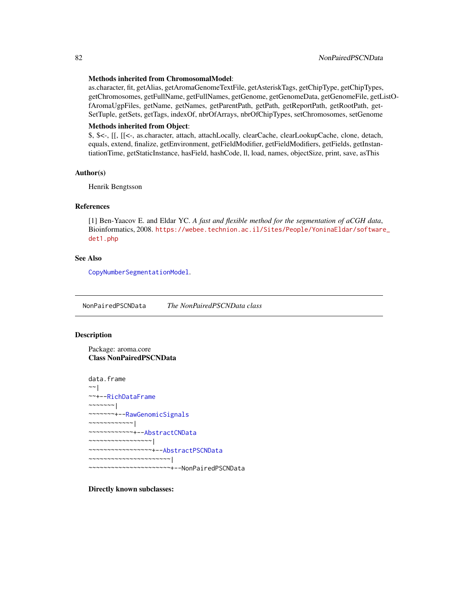#### Methods inherited from ChromosomalModel:

as.character, fit, getAlias, getAromaGenomeTextFile, getAsteriskTags, getChipType, getChipTypes, getChromosomes, getFullName, getFullNames, getGenome, getGenomeData, getGenomeFile, getListOfAromaUgpFiles, getName, getNames, getParentPath, getPath, getReportPath, getRootPath, get-SetTuple, getSets, getTags, indexOf, nbrOfArrays, nbrOfChipTypes, setChromosomes, setGenome

### Methods inherited from Object:

\$, \$<-, [[, [[<-, as.character, attach, attachLocally, clearCache, clearLookupCache, clone, detach, equals, extend, finalize, getEnvironment, getFieldModifier, getFieldModifiers, getFields, getInstantiationTime, getStaticInstance, hasField, hashCode, ll, load, names, objectSize, print, save, asThis

# Author(s)

Henrik Bengtsson

# References

[1] Ben-Yaacov E. and Eldar YC. *A fast and flexible method for the segmentation of aCGH data*, Bioinformatics, 2008. [https://webee.technion.ac.il/Sites/People/YoninaEldar/software](https://webee.technion.ac.il/Sites/People/YoninaEldar/software_det1.php)\_ [det1.php](https://webee.technion.ac.il/Sites/People/YoninaEldar/software_det1.php)

### See Also

[CopyNumberSegmentationModel](#page-73-0).

<span id="page-81-0"></span>NonPairedPSCNData *The NonPairedPSCNData class*

### Description

Package: aroma.core Class NonPairedPSCNData

data.frame ~~| ~~+-[-RichDataFrame](#page-0-0)  $~\sim$   $~\sim$   $~\sim$   $~\sim$   $~\sim$   $~\sim$   $~\sim$ ~~~~~~~+-[-RawGenomicSignals](#page-93-0) ~~~~~~~~~~~~| ~~~~~~~~~~~~+-[-AbstractCNData](#page-3-0) ~~~~~~~~~~~~~~~~~| ~~~~~~~~~~~~~~~~~+-[-AbstractPSCNData](#page-5-0) ~~~~~~~~~~~~~~~~~~~~~~| ~~~~~~~~~~~~~~~~~~~~~~+--NonPairedPSCNData

Directly known subclasses: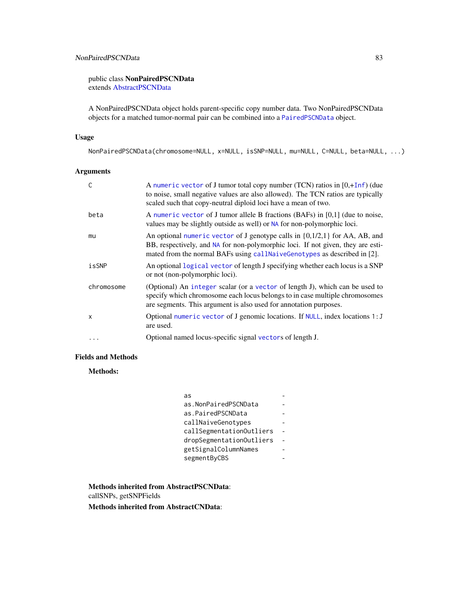public class NonPairedPSCNData extends [AbstractPSCNData](#page-5-0)

A NonPairedPSCNData object holds parent-specific copy number data. Two NonPairedPSCNData objects for a matched tumor-normal pair can be combined into a [PairedPSCNData](#page-83-0) object.

# Usage

NonPairedPSCNData(chromosome=NULL, x=NULL, isSNP=NULL, mu=NULL, C=NULL, beta=NULL, ...)

# Arguments

| C          | A numeric vector of J tumor total copy number (TCN) ratios in [0,+Inf) (due<br>to noise, small negative values are also allowed). The TCN ratios are typically<br>scaled such that copy-neutral diploid loci have a mean of two.                 |
|------------|--------------------------------------------------------------------------------------------------------------------------------------------------------------------------------------------------------------------------------------------------|
| beta       | A numeric vector of J tumor allele B fractions (BAFs) in $[0,1]$ (due to noise,<br>values may be slightly outside as well) or NA for non-polymorphic loci.                                                                                       |
| mu         | An optional numeric vector of J genotype calls in $\{0,1/2,1\}$ for AA, AB, and<br>BB, respectively, and NA for non-polymorphic loci. If not given, they are esti-<br>mated from the normal BAFs using call Naive Genotypes as described in [2]. |
| isSNP      | An optional logical vector of length J specifying whether each locus is a SNP<br>or not (non-polymorphic loci).                                                                                                                                  |
| chromosome | (Optional) An integer scalar (or a vector of length J), which can be used to<br>specify which chromosome each locus belongs to in case multiple chromosomes<br>are segments. This argument is also used for annotation purposes.                 |
| X          | Optional numeric vector of J genomic locations. If NULL, index locations 1: J<br>are used.                                                                                                                                                       |
| $\cdots$   | Optional named locus-specific signal vectors of length J.                                                                                                                                                                                        |

# Fields and Methods

Methods:

| as                       |  |
|--------------------------|--|
| as.NonPairedPSCNData     |  |
| as.PairedPSCNData        |  |
| callNaiveGenotypes       |  |
| callSegmentationOutliers |  |
| dropSegmentationOutliers |  |
| getSignalColumnNames     |  |
| segmentByCBS             |  |

Methods inherited from AbstractPSCNData: callSNPs, getSNPFields

Methods inherited from AbstractCNData: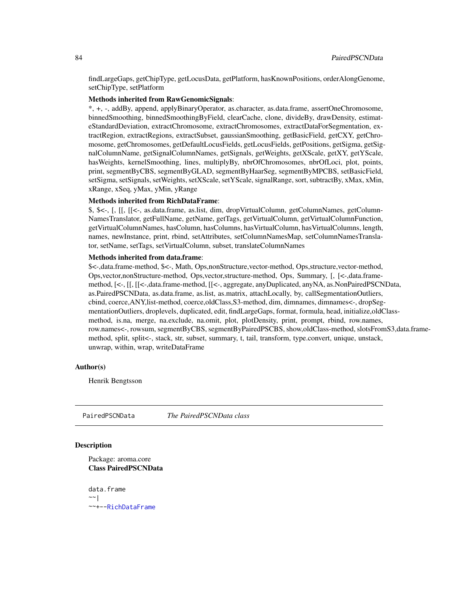findLargeGaps, getChipType, getLocusData, getPlatform, hasKnownPositions, orderAlongGenome, setChipType, setPlatform

# Methods inherited from RawGenomicSignals:

\*, +, -, addBy, append, applyBinaryOperator, as.character, as.data.frame, assertOneChromosome, binnedSmoothing, binnedSmoothingByField, clearCache, clone, divideBy, drawDensity, estimateStandardDeviation, extractChromosome, extractChromosomes, extractDataForSegmentation, extractRegion, extractRegions, extractSubset, gaussianSmoothing, getBasicField, getCXY, getChromosome, getChromosomes, getDefaultLocusFields, getLocusFields, getPositions, getSigma, getSignalColumnName, getSignalColumnNames, getSignals, getWeights, getXScale, getXY, getYScale, hasWeights, kernelSmoothing, lines, multiplyBy, nbrOfChromosomes, nbrOfLoci, plot, points, print, segmentByCBS, segmentByGLAD, segmentByHaarSeg, segmentByMPCBS, setBasicField, setSigma, setSignals, setWeights, setXScale, setYScale, signalRange, sort, subtractBy, xMax, xMin, xRange, xSeq, yMax, yMin, yRange

### Methods inherited from RichDataFrame:

\$, \$<-, [, [[, [[<-, as.data.frame, as.list, dim, dropVirtualColumn, getColumnNames, getColumn-NamesTranslator, getFullName, getName, getTags, getVirtualColumn, getVirtualColumnFunction, getVirtualColumnNames, hasColumn, hasColumns, hasVirtualColumn, hasVirtualColumns, length, names, newInstance, print, rbind, setAttributes, setColumnNamesMap, setColumnNamesTranslator, setName, setTags, setVirtualColumn, subset, translateColumnNames

# Methods inherited from data.frame:

\$<-,data.frame-method, \$<-, Math, Ops,nonStructure,vector-method, Ops,structure,vector-method, Ops,vector,nonStructure-method, Ops,vector,structure-method, Ops, Summary, [, [<-,data.framemethod, [<-, [[, [[<-,data.frame-method, [[<-, aggregate, anyDuplicated, anyNA, as.NonPairedPSCNData, as.PairedPSCNData, as.data.frame, as.list, as.matrix, attachLocally, by, callSegmentationOutliers, cbind, coerce,ANY,list-method, coerce,oldClass,S3-method, dim, dimnames, dimnames<-, dropSegmentationOutliers, droplevels, duplicated, edit, findLargeGaps, format, formula, head, initialize,oldClassmethod, is.na, merge, na.exclude, na.omit, plot, plotDensity, print, prompt, rbind, row.names, row.names<-, rowsum, segmentByCBS, segmentByPairedPSCBS, show,oldClass-method, slotsFromS3,data.framemethod, split, split<-, stack, str, subset, summary, t, tail, transform, type.convert, unique, unstack, unwrap, within, wrap, writeDataFrame

#### Author(s)

Henrik Bengtsson

<span id="page-83-0"></span>PairedPSCNData *The PairedPSCNData class*

# Description

Package: aroma.core Class PairedPSCNData

data.frame  $~\sim~$ | ~~+-[-RichDataFrame](#page-0-0)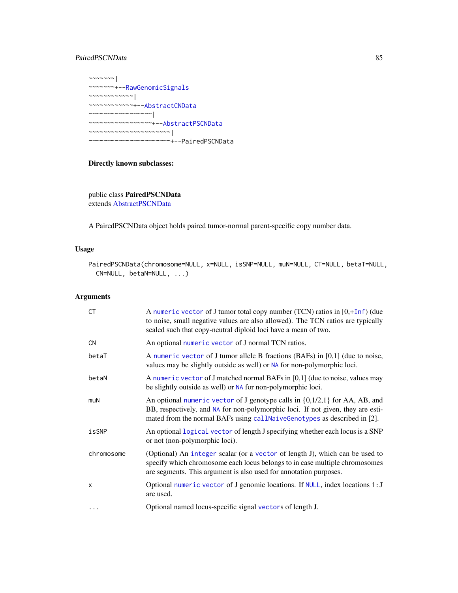# PairedPSCNData 85

 $~\sim$ ~~~~~| ~~~~~~~+-[-RawGenomicSignals](#page-93-0) ~~~~~~~~~~~~| ~~~~~~~~~~~~+-[-AbstractCNData](#page-3-0) ~~~~~~~~~~~~~~~~~| ~~~~~~~~~~~~~~~~~+-[-AbstractPSCNData](#page-5-0) ~~~~~~~~~~~~~~~~~~~~~~| ~~~~~~~~~~~~~~~~~~~~~~+--PairedPSCNData

# Directly known subclasses:

public class PairedPSCNData extends [AbstractPSCNData](#page-5-0)

A PairedPSCNData object holds paired tumor-normal parent-specific copy number data.

### Usage

```
PairedPSCNData(chromosome=NULL, x=NULL, isSNP=NULL, muN=NULL, CT=NULL, betaT=NULL,
  CN=NULL, betaN=NULL, ...)
```
# Arguments

| <b>CT</b>  | A numeric vector of J tumor total copy number (TCN) ratios in $[0, +\text{Inf})$ (due<br>to noise, small negative values are also allowed). The TCN ratios are typically<br>scaled such that copy-neutral diploid loci have a mean of two.     |
|------------|------------------------------------------------------------------------------------------------------------------------------------------------------------------------------------------------------------------------------------------------|
| <b>CN</b>  | An optional numeric vector of J normal TCN ratios.                                                                                                                                                                                             |
| betaT      | A numeric vector of J tumor allele B fractions (BAFs) in $[0,1]$ (due to noise,<br>values may be slightly outside as well) or NA for non-polymorphic loci.                                                                                     |
| betaN      | A numeric vector of J matched normal BAFs in $[0,1]$ (due to noise, values may<br>be slightly outside as well) or NA for non-polymorphic loci.                                                                                                 |
| muN        | An optional numeric vector of J genotype calls in $\{0,1/2,1\}$ for AA, AB, and<br>BB, respectively, and NA for non-polymorphic loci. If not given, they are esti-<br>mated from the normal BAFs using callNaiveGenotypes as described in [2]. |
| isSNP      | An optional logical vector of length J specifying whether each locus is a SNP<br>or not (non-polymorphic loci).                                                                                                                                |
| chromosome | (Optional) An integer scalar (or a vector of length J), which can be used to<br>specify which chromosome each locus belongs to in case multiple chromosomes<br>are segments. This argument is also used for annotation purposes.               |
| X          | Optional numeric vector of J genomic locations. If NULL, index locations 1: J<br>are used.                                                                                                                                                     |
| $\cdots$   | Optional named locus-specific signal vectors of length J.                                                                                                                                                                                      |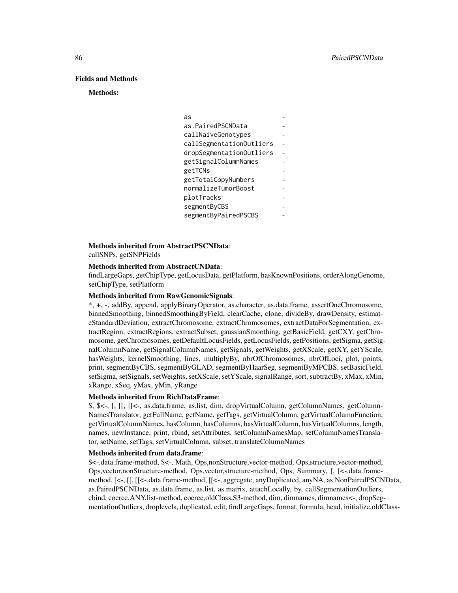### Fields and Methods

#### Methods:

#### Methods inherited from AbstractPSCNData:

callSNPs, getSNPFields

#### Methods inherited from AbstractCNData:

findLargeGaps, getChipType, getLocusData, getPlatform, hasKnownPositions, orderAlongGenome, setChipType, setPlatform

#### Methods inherited from RawGenomicSignals:

\*, +, -, addBy, append, applyBinaryOperator, as.character, as.data.frame, assertOneChromosome, binnedSmoothing, binnedSmoothingByField, clearCache, clone, divideBy, drawDensity, estimateStandardDeviation, extractChromosome, extractChromosomes, extractDataForSegmentation, extractRegion, extractRegions, extractSubset, gaussianSmoothing, getBasicField, getCXY, getChromosome, getChromosomes, getDefaultLocusFields, getLocusFields, getPositions, getSigma, getSignalColumnName, getSignalColumnNames, getSignals, getWeights, getXScale, getXY, getYScale, hasWeights, kernelSmoothing, lines, multiplyBy, nbrOfChromosomes, nbrOfLoci, plot, points, print, segmentByCBS, segmentByGLAD, segmentByHaarSeg, segmentByMPCBS, setBasicField, setSigma, setSignals, setWeights, setXScale, setYScale, signalRange, sort, subtractBy, xMax, xMin, xRange, xSeq, yMax, yMin, yRange

#### Methods inherited from RichDataFrame:

\$, \$<-, [, [[, [[<-, as.data.frame, as.list, dim, dropVirtualColumn, getColumnNames, getColumn-NamesTranslator, getFullName, getName, getTags, getVirtualColumn, getVirtualColumnFunction, getVirtualColumnNames, hasColumn, hasColumns, hasVirtualColumn, hasVirtualColumns, length, names, newInstance, print, rbind, setAttributes, setColumnNamesMap, setColumnNamesTranslator, setName, setTags, setVirtualColumn, subset, translateColumnNames

# Methods inherited from data.frame:

\$<-,data.frame-method, \$<-, Math, Ops,nonStructure,vector-method, Ops,structure,vector-method, Ops,vector,nonStructure-method, Ops,vector,structure-method, Ops, Summary, [, [<-,data.framemethod, [<-, [[, [[<-,data.frame-method, [[<-, aggregate, anyDuplicated, anyNA, as.NonPairedPSCNData, as.PairedPSCNData, as.data.frame, as.list, as.matrix, attachLocally, by, callSegmentationOutliers, cbind, coerce,ANY,list-method, coerce,oldClass,S3-method, dim, dimnames, dimnames<-, dropSegmentationOutliers, droplevels, duplicated, edit, findLargeGaps, format, formula, head, initialize,oldClass-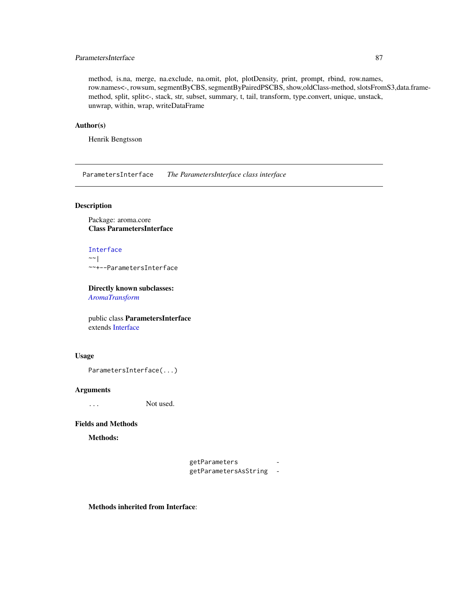# ParametersInterface 87

method, is.na, merge, na.exclude, na.omit, plot, plotDensity, print, prompt, rbind, row.names, row.names<-, rowsum, segmentByCBS, segmentByPairedPSCBS, show,oldClass-method, slotsFromS3,data.framemethod, split, split<-, stack, str, subset, summary, t, tail, transform, type.convert, unique, unstack, unwrap, within, wrap, writeDataFrame

### Author(s)

Henrik Bengtsson

ParametersInterface *The ParametersInterface class interface*

# Description

Package: aroma.core Class ParametersInterface

[Interface](#page-0-0)  $~\sim~$ | ~~+--ParametersInterface

Directly known subclasses:

*[AromaTransform](#page-28-0)*

public class ParametersInterface extends [Interface](#page-0-0)

### Usage

```
ParametersInterface(...)
```
### Arguments

... Not used.

### Fields and Methods

Methods:

getParameters getParametersAsString -

Methods inherited from Interface: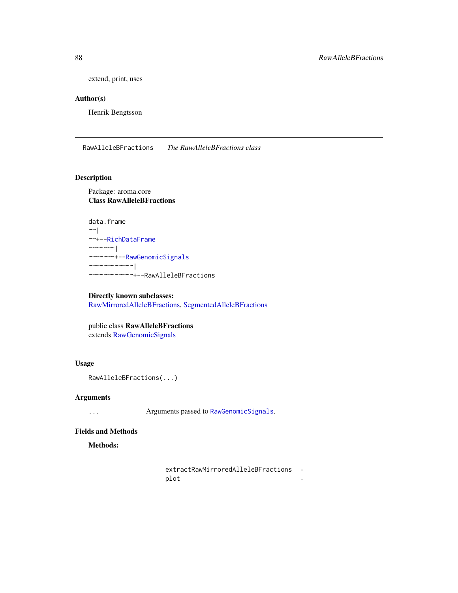extend, print, uses

# Author(s)

Henrik Bengtsson

<span id="page-87-0"></span>RawAlleleBFractions *The RawAlleleBFractions class*

# Description

Package: aroma.core Class RawAlleleBFractions

```
data.frame
~\sim ~\sim ~\mid~~+--RichDataFrame
~~~~~~~|~~~~~~~+--RawGenomicSignals
~~~~~~~~~~~~|
~~~~~~~~~~~~+--RawAlleleBFractions
```
Directly known subclasses: [RawMirroredAlleleBFractions,](#page-96-0) [SegmentedAlleleBFractions](#page-99-0)

public class RawAlleleBFractions extends [RawGenomicSignals](#page-93-0)

# Usage

```
RawAlleleBFractions(...)
```
### Arguments

... Arguments passed to [RawGenomicSignals](#page-93-0).

#### Fields and Methods

Methods:

extractRawMirroredAlleleBFractions plot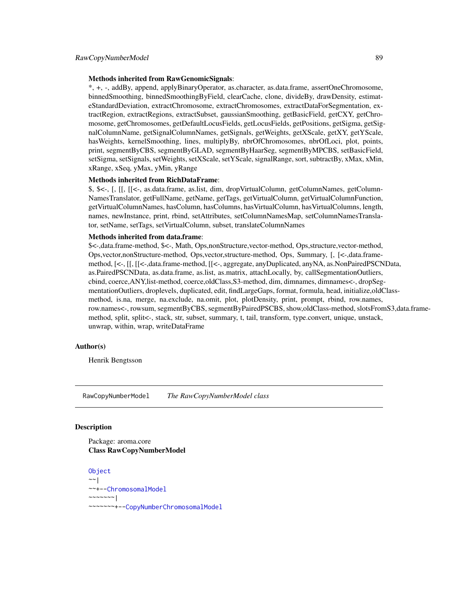#### Methods inherited from RawGenomicSignals:

\*, +, -, addBy, append, applyBinaryOperator, as.character, as.data.frame, assertOneChromosome, binnedSmoothing, binnedSmoothingByField, clearCache, clone, divideBy, drawDensity, estimateStandardDeviation, extractChromosome, extractChromosomes, extractDataForSegmentation, extractRegion, extractRegions, extractSubset, gaussianSmoothing, getBasicField, getCXY, getChromosome, getChromosomes, getDefaultLocusFields, getLocusFields, getPositions, getSigma, getSignalColumnName, getSignalColumnNames, getSignals, getWeights, getXScale, getXY, getYScale, hasWeights, kernelSmoothing, lines, multiplyBy, nbrOfChromosomes, nbrOfLoci, plot, points, print, segmentByCBS, segmentByGLAD, segmentByHaarSeg, segmentByMPCBS, setBasicField, setSigma, setSignals, setWeights, setXScale, setYScale, signalRange, sort, subtractBy, xMax, xMin, xRange, xSeq, yMax, yMin, yRange

#### Methods inherited from RichDataFrame:

\$, \$<-, [, [[, [[<-, as.data.frame, as.list, dim, dropVirtualColumn, getColumnNames, getColumn-NamesTranslator, getFullName, getName, getTags, getVirtualColumn, getVirtualColumnFunction, getVirtualColumnNames, hasColumn, hasColumns, hasVirtualColumn, hasVirtualColumns, length, names, newInstance, print, rbind, setAttributes, setColumnNamesMap, setColumnNamesTranslator, setName, setTags, setVirtualColumn, subset, translateColumnNames

#### Methods inherited from data.frame:

\$<-,data.frame-method, \$<-, Math, Ops,nonStructure,vector-method, Ops,structure,vector-method, Ops,vector,nonStructure-method, Ops,vector,structure-method, Ops, Summary, [, [<-,data.framemethod, [<-, [[, [[<-,data.frame-method, [[<-, aggregate, anyDuplicated, anyNA, as.NonPairedPSCNData, as.PairedPSCNData, as.data.frame, as.list, as.matrix, attachLocally, by, callSegmentationOutliers, cbind, coerce,ANY,list-method, coerce,oldClass,S3-method, dim, dimnames, dimnames<-, dropSegmentationOutliers, droplevels, duplicated, edit, findLargeGaps, format, formula, head, initialize,oldClassmethod, is.na, merge, na.exclude, na.omit, plot, plotDensity, print, prompt, rbind, row.names, row.names<-, rowsum, segmentByCBS, segmentByPairedPSCBS, show,oldClass-method, slotsFromS3,data.framemethod, split, split<-, stack, str, subset, summary, t, tail, transform, type.convert, unique, unstack, unwrap, within, wrap, writeDataFrame

# Author(s)

Henrik Bengtsson

<span id="page-88-0"></span>RawCopyNumberModel *The RawCopyNumberModel class*

### **Description**

Package: aroma.core Class RawCopyNumberModel

**[Object](#page-0-0)**  $\sim$   $\sim$  | ~~+-[-ChromosomalModel](#page-64-0) ~~~~~~~| ~~~~~~~+-[-CopyNumberChromosomalModel](#page-72-0)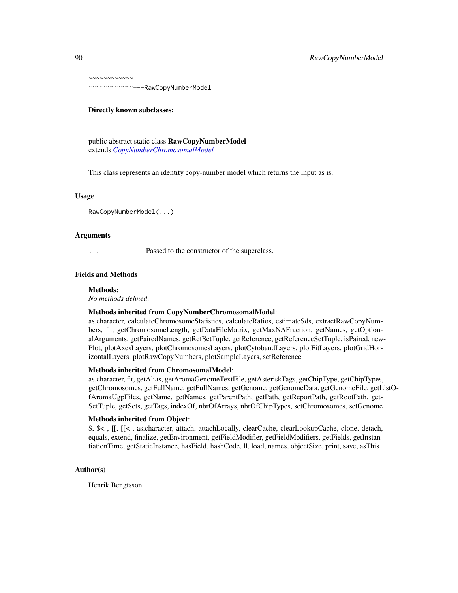~~~~~~~~~~~~| ~~~~~~~~~~~~+--RawCopyNumberModel

### Directly known subclasses:

public abstract static class RawCopyNumberModel extends *[CopyNumberChromosomalModel](#page-72-0)*

This class represents an identity copy-number model which returns the input as is.

### Usage

RawCopyNumberModel(...)

# Arguments

... Passed to the constructor of the superclass.

#### Fields and Methods

#### Methods:

*No methods defined*.

#### Methods inherited from CopyNumberChromosomalModel:

as.character, calculateChromosomeStatistics, calculateRatios, estimateSds, extractRawCopyNumbers, fit, getChromosomeLength, getDataFileMatrix, getMaxNAFraction, getNames, getOptionalArguments, getPairedNames, getRefSetTuple, getReference, getReferenceSetTuple, isPaired, new-Plot, plotAxesLayers, plotChromosomesLayers, plotCytobandLayers, plotFitLayers, plotGridHorizontalLayers, plotRawCopyNumbers, plotSampleLayers, setReference

# Methods inherited from ChromosomalModel:

as.character, fit, getAlias, getAromaGenomeTextFile, getAsteriskTags, getChipType, getChipTypes, getChromosomes, getFullName, getFullNames, getGenome, getGenomeData, getGenomeFile, getListOfAromaUgpFiles, getName, getNames, getParentPath, getPath, getReportPath, getRootPath, get-SetTuple, getSets, getTags, indexOf, nbrOfArrays, nbrOfChipTypes, setChromosomes, setGenome

# Methods inherited from Object:

\$, \$<-, [[, [[<-, as.character, attach, attachLocally, clearCache, clearLookupCache, clone, detach, equals, extend, finalize, getEnvironment, getFieldModifier, getFieldModifiers, getFields, getInstantiationTime, getStaticInstance, hasField, hashCode, ll, load, names, objectSize, print, save, asThis

### Author(s)

Henrik Bengtsson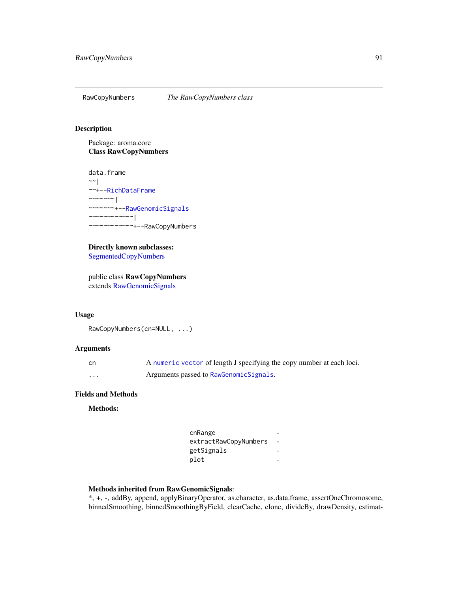<span id="page-90-0"></span>

# Description

Package: aroma.core Class RawCopyNumbers

data.frame  $~\sim~$ | ~~+-[-RichDataFrame](#page-0-0) ~~~~~~~ $|$ ~~~~~~~+-[-RawGenomicSignals](#page-93-0) ~~~~~~~~~~~~| ~~~~~~~~~~~~+--RawCopyNumbers

Directly known subclasses: [SegmentedCopyNumbers](#page-101-0)

public class RawCopyNumbers extends [RawGenomicSignals](#page-93-0)

## Usage

```
RawCopyNumbers(cn=NULL, ...)
```
# Arguments

| .cn | A numeric vector of length J specifying the copy number at each loci. |
|-----|-----------------------------------------------------------------------|
| .   | Arguments passed to RawGenomicSignals.                                |

# Fields and Methods

Methods:

| cnRange               |  |
|-----------------------|--|
| extractRawCopyNumbers |  |
| getSignals            |  |
| plot                  |  |

# Methods inherited from RawGenomicSignals:

\*, +, -, addBy, append, applyBinaryOperator, as.character, as.data.frame, assertOneChromosome, binnedSmoothing, binnedSmoothingByField, clearCache, clone, divideBy, drawDensity, estimat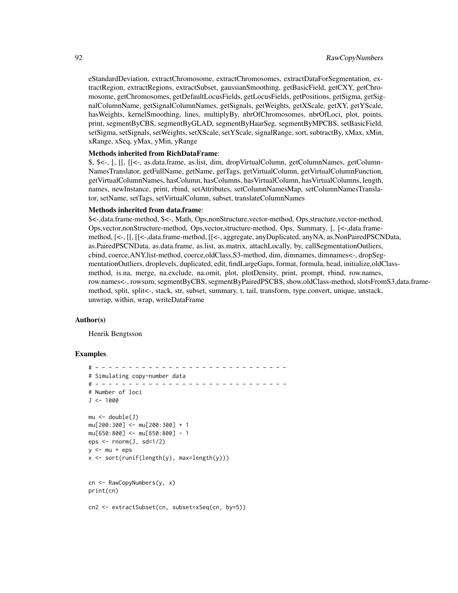eStandardDeviation, extractChromosome, extractChromosomes, extractDataForSegmentation, extractRegion, extractRegions, extractSubset, gaussianSmoothing, getBasicField, getCXY, getChromosome, getChromosomes, getDefaultLocusFields, getLocusFields, getPositions, getSigma, getSignalColumnName, getSignalColumnNames, getSignals, getWeights, getXScale, getXY, getYScale, hasWeights, kernelSmoothing, lines, multiplyBy, nbrOfChromosomes, nbrOfLoci, plot, points, print, segmentByCBS, segmentByGLAD, segmentByHaarSeg, segmentByMPCBS, setBasicField, setSigma, setSignals, setWeights, setXScale, setYScale, signalRange, sort, subtractBy, xMax, xMin, xRange, xSeq, yMax, yMin, yRange

#### Methods inherited from RichDataFrame:

\$, \$<-, [, [[, [[<-, as.data.frame, as.list, dim, dropVirtualColumn, getColumnNames, getColumn-NamesTranslator, getFullName, getName, getTags, getVirtualColumn, getVirtualColumnFunction, getVirtualColumnNames, hasColumn, hasColumns, hasVirtualColumn, hasVirtualColumns, length, names, newInstance, print, rbind, setAttributes, setColumnNamesMap, setColumnNamesTranslator, setName, setTags, setVirtualColumn, subset, translateColumnNames

### Methods inherited from data.frame:

\$<-,data.frame-method, \$<-, Math, Ops,nonStructure,vector-method, Ops,structure,vector-method, Ops,vector,nonStructure-method, Ops,vector,structure-method, Ops, Summary, [, [<-,data.framemethod, [<-, [[, [[<-,data.frame-method, [[<-, aggregate, anyDuplicated, anyNA, as.NonPairedPSCNData, as.PairedPSCNData, as.data.frame, as.list, as.matrix, attachLocally, by, callSegmentationOutliers, cbind, coerce,ANY,list-method, coerce,oldClass,S3-method, dim, dimnames, dimnames<-, dropSegmentationOutliers, droplevels, duplicated, edit, findLargeGaps, format, formula, head, initialize,oldClassmethod, is.na, merge, na.exclude, na.omit, plot, plotDensity, print, prompt, rbind, row.names, row.names<-, rowsum, segmentByCBS, segmentByPairedPSCBS, show,oldClass-method, slotsFromS3,data.framemethod, split, split<-, stack, str, subset, summary, t, tail, transform, type.convert, unique, unstack, unwrap, within, wrap, writeDataFrame

### Author(s)

Henrik Bengtsson

#### Examples

```
# - - - - - - - - - - - - - - - - - - - - - - - - - - - - -
# Simulating copy-number data
# - - - - - - - - - - - - - - - - - - - - - - - - - - - - -
# Number of loci
J < -1000mu < - double(J)
mu[200:300] <- mu[200:300] + 1
mu[650:800] <- mu[650:800] - 1
eps \le - rnorm(J, sd=1/2)
y <- mu + epsx <- sort(runif(length(y), max=length(y)))
cn <- RawCopyNumbers(y, x)
print(cn)
cn2 <- extractSubset(cn, subset=xSeq(cn, by=5))
```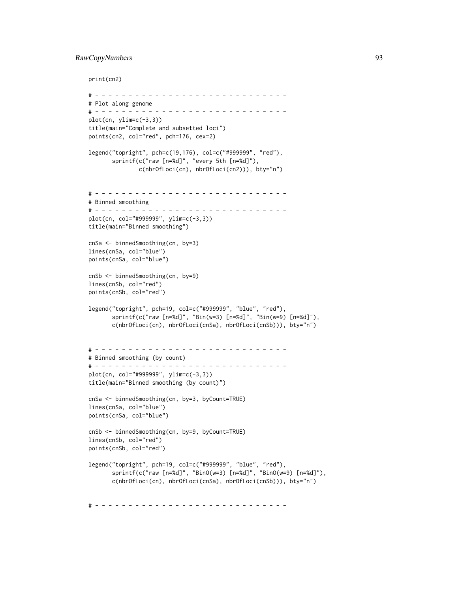# RawCopyNumbers 93

print(cn2)

```
# - - - - - - - - - - - - - - - - - - - - - - - - - - - - -
# Plot along genome
# - - - - - - - - - - - - - - - - - - - - - - - - - - - - -
plot(cn, ylim=c(-3,3))
title(main="Complete and subsetted loci")
points(cn2, col="red", pch=176, cex=2)
legend("topright", pch=c(19,176), col=c("#999999", "red"),
       sprintf(c("raw [n=%d]", "every 5th [n=%d]"),
               c(nbrOfLoci(cn), nbrOfLoci(cn2))), bty="n")
# - - - - - - - - - - - - - - - - - - - - - - - - - - - - -
# Binned smoothing
# - - - - - - - - - - - - - - - - - - - - - - - - - - - - -
plot(cn, col="#999999", ylim=c(-3,3))
title(main="Binned smoothing")
cnSa <- binnedSmoothing(cn, by=3)
lines(cnSa, col="blue")
points(cnSa, col="blue")
cnSb <- binnedSmoothing(cn, by=9)
lines(cnSb, col="red")
points(cnSb, col="red")
legend("topright", pch=19, col=c("#999999", "blue", "red"),
       sprintf(c("raw [n=%d]", "Bin(w=3) [n=%d]", "Bin(w=9) [n=%d]"),
       c(nbrOfLoci(cn), nbrOfLoci(cnSa), nbrOfLoci(cnSb))), bty="n")
# - - - - - - - - - - - - - - - - - - - - - - - - - - - - -
# Binned smoothing (by count)
# - - - - - - - - - - - - - - - - - - - - - - - - - - - - -
plot(cn, col="#999999", ylim=c(-3,3))
title(main="Binned smoothing (by count)")
cnSa <- binnedSmoothing(cn, by=3, byCount=TRUE)
lines(cnSa, col="blue")
points(cnSa, col="blue")
cnSb <- binnedSmoothing(cn, by=9, byCount=TRUE)
lines(cnSb, col="red")
points(cnSb, col="red")
legend("topright", pch=19, col=c("#999999", "blue", "red"),
       sprintf(c("raw [n=%d]", "BinO(w=3) [n=%d]", "BinO(w=9) [n=%d]"),
       c(nbrOfLoci(cn), nbrOfLoci(cnSa), nbrOfLoci(cnSb))), bty="n")
```
# - - - - - - - - - - - - - - - - - - - - - - - - - - - - -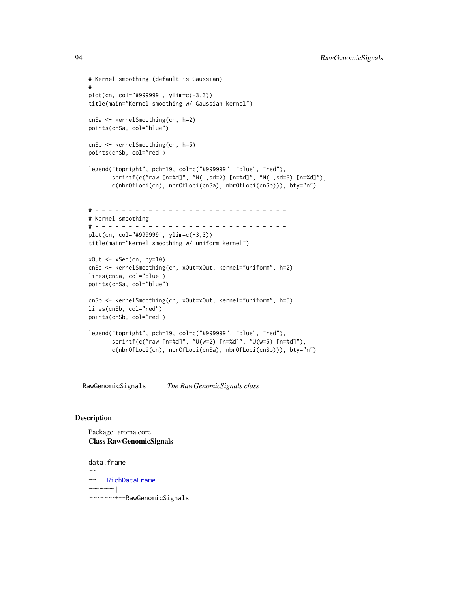94 RawGenomicSignals

```
# Kernel smoothing (default is Gaussian)
# - - - - - - - - - - - - - - - - - - - - - - - - - - - - -
plot(cn, col="#999999", ylim=c(-3,3))
title(main="Kernel smoothing w/ Gaussian kernel")
cnSa <- kernelSmoothing(cn, h=2)
points(cnSa, col="blue")
cnSb <- kernelSmoothing(cn, h=5)
points(cnSb, col="red")
legend("topright", pch=19, col=c("#999999", "blue", "red"),
       sprintf(c("raw [n=%d]", "N(.,sd=2) [n=%d]", "N(.,sd=5) [n=%d]"),
       c(nbrOfLoci(cn), nbrOfLoci(cnSa), nbrOfLoci(cnSb))), bty="n")
# - - - - - - - - - - - - - - - - - - - - - - - - - - - - -
# Kernel smoothing
# - - - - - - - - - - - - - - - - - - - - - - - - - - - - -
plot(cn, col="#999999", ylim=c(-3,3))
title(main="Kernel smoothing w/ uniform kernel")
xOut <- xSeq(cn, by=10)
cnSa <- kernelSmoothing(cn, xOut=xOut, kernel="uniform", h=2)
lines(cnSa, col="blue")
points(cnSa, col="blue")
cnSb <- kernelSmoothing(cn, xOut=xOut, kernel="uniform", h=5)
lines(cnSb, col="red")
points(cnSb, col="red")
legend("topright", pch=19, col=c("#999999", "blue", "red"),
       sprintf(c("raw [n=%d]", "U(w=2) [n=%d]", "U(w=5) [n=%d]"),
       c(nbrOfLoci(cn), nbrOfLoci(cnSa), nbrOfLoci(cnSb))), bty="n")
```
<span id="page-93-0"></span>RawGenomicSignals *The RawGenomicSignals class*

### Description

Package: aroma.core Class RawGenomicSignals

data.frame  $~\sim~$ | ~~+-[-RichDataFrame](#page-0-0) ~~~~~~~| ~~~~~~~+--RawGenomicSignals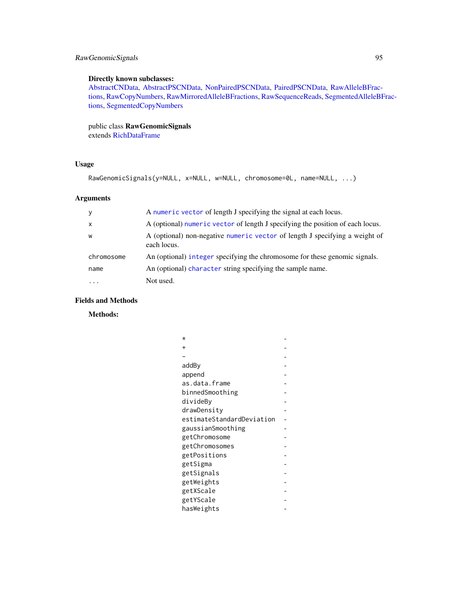# RawGenomicSignals 95

# Directly known subclasses:

[AbstractCNData,](#page-3-0) [AbstractPSCNData,](#page-5-0) [NonPairedPSCNData,](#page-81-0) [PairedPSCNData,](#page-83-0) [RawAlleleBFrac](#page-87-0)[tions,](#page-87-0) [RawCopyNumbers,](#page-90-0) [RawMirroredAlleleBFractions,](#page-96-0) [RawSequenceReads,](#page-97-0) [SegmentedAlleleBF](#page-99-0)rac[tions,](#page-99-0) [SegmentedCopyNumbers](#page-101-0)

public class RawGenomicSignals

extends [RichDataFrame](#page-0-0)

# Usage

```
RawGenomicSignals(y=NULL, x=NULL, w=NULL, chromosome=0L, name=NULL, ...)
```
# Arguments

| y            | A numeric vector of length J specifying the signal at each locus.                          |
|--------------|--------------------------------------------------------------------------------------------|
| $\mathsf{x}$ | A (optional) numeric vector of length J specifying the position of each locus.             |
| W            | A (optional) non-negative numeric vector of length J specifying a weight of<br>each locus. |
| chromosome   | An (optional) integer specifying the chromosome for these genomic signals.                 |
| name         | An (optional) character string specifying the sample name.                                 |
| $\cdots$     | Not used.                                                                                  |

# Fields and Methods

Methods:

| $^\star$                  |  |
|---------------------------|--|
| $\ddot{}$                 |  |
|                           |  |
| addBy                     |  |
| append                    |  |
| as.data.frame             |  |
| binnedSmoothing           |  |
| divideBy                  |  |
| drawDensity               |  |
| estimateStandardDeviation |  |
| gaussianSmoothing         |  |
| getChromosome             |  |
| getChromosomes            |  |
| getPositions              |  |
| getSigma                  |  |
| getSignals                |  |
| getWeights                |  |
| getXScale                 |  |
| getYScale                 |  |
| hasWeights                |  |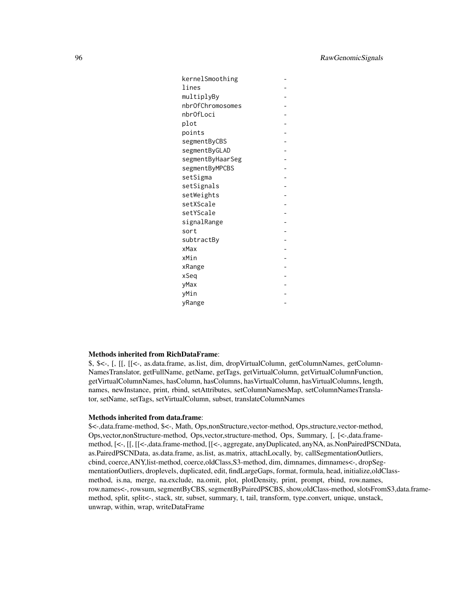| kernelSmoothing  |  |
|------------------|--|
| lines            |  |
| multiplyBy       |  |
| nbrOfChromosomes |  |
| nbrOfLoci        |  |
| plot             |  |
| points           |  |
| segmentByCBS     |  |
| segmentByGLAD    |  |
| segmentByHaarSeg |  |
| segmentByMPCBS   |  |
| setSigma         |  |
| setSignals       |  |
| setWeights       |  |
| setXScale        |  |
| setYScale        |  |
| signalRange      |  |
| sort             |  |
| subtractBy       |  |
| xMax             |  |
| xMin             |  |
| xRange           |  |
| xSeq             |  |
| yMax             |  |
| yMin             |  |
| yRange           |  |

# Methods inherited from RichDataFrame:

\$, \$<-, [, [[, [[<-, as.data.frame, as.list, dim, dropVirtualColumn, getColumnNames, getColumn-NamesTranslator, getFullName, getName, getTags, getVirtualColumn, getVirtualColumnFunction, getVirtualColumnNames, hasColumn, hasColumns, hasVirtualColumn, hasVirtualColumns, length, names, newInstance, print, rbind, setAttributes, setColumnNamesMap, setColumnNamesTranslator, setName, setTags, setVirtualColumn, subset, translateColumnNames

#### Methods inherited from data.frame:

\$<-,data.frame-method, \$<-, Math, Ops,nonStructure,vector-method, Ops,structure,vector-method, Ops,vector,nonStructure-method, Ops,vector,structure-method, Ops, Summary, [, [<-,data.framemethod, [<-, [[, [[<-,data.frame-method, [[<-, aggregate, anyDuplicated, anyNA, as.NonPairedPSCNData, as.PairedPSCNData, as.data.frame, as.list, as.matrix, attachLocally, by, callSegmentationOutliers, cbind, coerce,ANY,list-method, coerce,oldClass,S3-method, dim, dimnames, dimnames<-, dropSegmentationOutliers, droplevels, duplicated, edit, findLargeGaps, format, formula, head, initialize, oldClassmethod, is.na, merge, na.exclude, na.omit, plot, plotDensity, print, prompt, rbind, row.names, row.names<-, rowsum, segmentByCBS, segmentByPairedPSCBS, show,oldClass-method, slotsFromS3,data.framemethod, split, split<-, stack, str, subset, summary, t, tail, transform, type.convert, unique, unstack, unwrap, within, wrap, writeDataFrame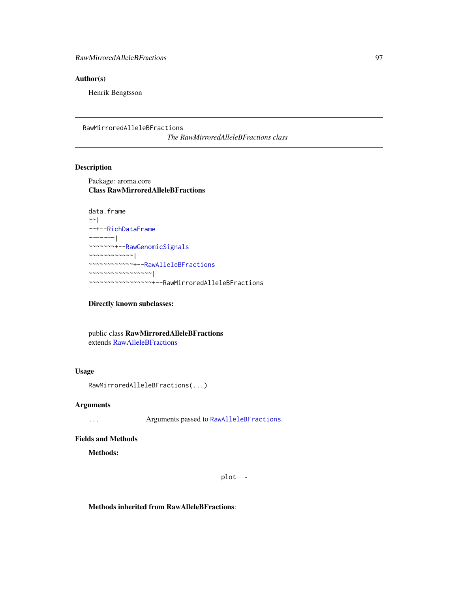# Author(s)

Henrik Bengtsson

<span id="page-96-0"></span>RawMirroredAlleleBFractions *The RawMirroredAlleleBFractions class*

# Description

Package: aroma.core Class RawMirroredAlleleBFractions

```
data.frame
~\sim~|
~~+--RichDataFrame
~~~~~~~|
~~~~~~~+--RawGenomicSignals
~~~~~~~~~~~~|
~~~~~~~~~~~~+--RawAlleleBFractions
~~~~~~~~~~~~~~~~~|
~~~~~~~~~~~~~~~~~+--RawMirroredAlleleBFractions
```
#### Directly known subclasses:

public class RawMirroredAlleleBFractions extends [RawAlleleBFractions](#page-87-0)

# Usage

RawMirroredAlleleBFractions(...)

#### Arguments

... Arguments passed to [RawAlleleBFractions](#page-87-0).

#### Fields and Methods

Methods:

plot -

Methods inherited from RawAlleleBFractions: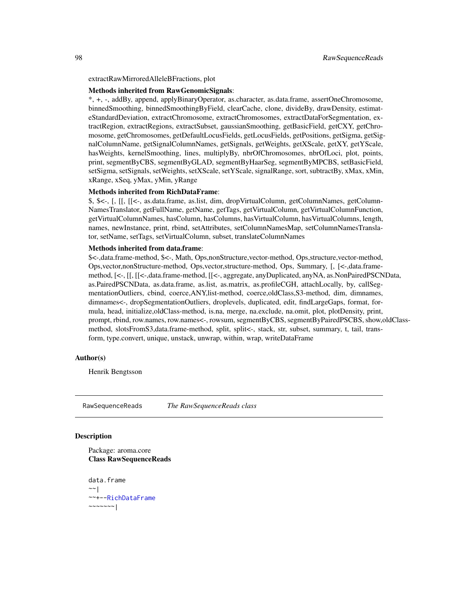extractRawMirroredAlleleBFractions, plot

#### Methods inherited from RawGenomicSignals:

\*, +, -, addBy, append, applyBinaryOperator, as.character, as.data.frame, assertOneChromosome, binnedSmoothing, binnedSmoothingByField, clearCache, clone, divideBy, drawDensity, estimateStandardDeviation, extractChromosome, extractChromosomes, extractDataForSegmentation, extractRegion, extractRegions, extractSubset, gaussianSmoothing, getBasicField, getCXY, getChromosome, getChromosomes, getDefaultLocusFields, getLocusFields, getPositions, getSigma, getSignalColumnName, getSignalColumnNames, getSignals, getWeights, getXScale, getXY, getYScale, hasWeights, kernelSmoothing, lines, multiplyBy, nbrOfChromosomes, nbrOfLoci, plot, points, print, segmentByCBS, segmentByGLAD, segmentByHaarSeg, segmentByMPCBS, setBasicField, setSigma, setSignals, setWeights, setXScale, setYScale, signalRange, sort, subtractBy, xMax, xMin, xRange, xSeq, yMax, yMin, yRange

#### Methods inherited from RichDataFrame:

\$, \$<-, [, [[, [[<-, as.data.frame, as.list, dim, dropVirtualColumn, getColumnNames, getColumn-NamesTranslator, getFullName, getName, getTags, getVirtualColumn, getVirtualColumnFunction, getVirtualColumnNames, hasColumn, hasColumns, hasVirtualColumn, hasVirtualColumns, length, names, newInstance, print, rbind, setAttributes, setColumnNamesMap, setColumnNamesTranslator, setName, setTags, setVirtualColumn, subset, translateColumnNames

# Methods inherited from data.frame:

\$<-,data.frame-method, \$<-, Math, Ops,nonStructure,vector-method, Ops,structure,vector-method, Ops,vector,nonStructure-method, Ops,vector,structure-method, Ops, Summary, [, [<-,data.framemethod, [<-, [[, [[<-,data.frame-method, [[<-, aggregate, anyDuplicated, anyNA, as.NonPairedPSCNData, as.PairedPSCNData, as.data.frame, as.list, as.matrix, as.profileCGH, attachLocally, by, callSegmentationOutliers, cbind, coerce,ANY,list-method, coerce,oldClass,S3-method, dim, dimnames, dimnames<-, dropSegmentationOutliers, droplevels, duplicated, edit, findLargeGaps, format, formula, head, initialize,oldClass-method, is.na, merge, na.exclude, na.omit, plot, plotDensity, print, prompt, rbind, row.names, row.names<-, rowsum, segmentByCBS, segmentByPairedPSCBS, show,oldClassmethod, slotsFromS3,data.frame-method, split, split<-, stack, str, subset, summary, t, tail, transform, type.convert, unique, unstack, unwrap, within, wrap, writeDataFrame

#### Author(s)

Henrik Bengtsson

<span id="page-97-0"></span>RawSequenceReads *The RawSequenceReads class*

### **Description**

Package: aroma.core Class RawSequenceReads

data.frame ~~| ~~+-[-RichDataFrame](#page-0-0) ~~~~~~~|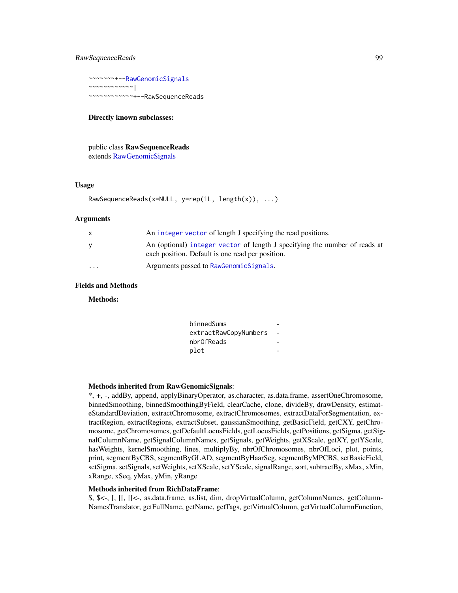# RawSequenceReads 99

~~~~~~~+-[-RawGenomicSignals](#page-93-0) ~~~~~~~~~~~~| ~~~~~~~~~~~~+--RawSequenceReads

### Directly known subclasses:

public class RawSequenceReads extends [RawGenomicSignals](#page-93-0)

## Usage

```
RawSequenceReads(x=NULL, y=rep(1L, length(x)), ...)
```
### Arguments

|                         | An integer vector of length J specifying the read positions.                                                                   |
|-------------------------|--------------------------------------------------------------------------------------------------------------------------------|
|                         | An (optional) integer vector of length J specifying the number of reads at<br>each position. Default is one read per position. |
| $\cdot$ $\cdot$ $\cdot$ | Arguments passed to RawGenomic Signals.                                                                                        |

# Fields and Methods

Methods:

| binnedSums            |  |
|-----------------------|--|
| extractRawCopyNumbers |  |
| nbr0fReads            |  |
| plot                  |  |
|                       |  |

#### Methods inherited from RawGenomicSignals:

\*, +, -, addBy, append, applyBinaryOperator, as.character, as.data.frame, assertOneChromosome, binnedSmoothing, binnedSmoothingByField, clearCache, clone, divideBy, drawDensity, estimateStandardDeviation, extractChromosome, extractChromosomes, extractDataForSegmentation, extractRegion, extractRegions, extractSubset, gaussianSmoothing, getBasicField, getCXY, getChromosome, getChromosomes, getDefaultLocusFields, getLocusFields, getPositions, getSigma, getSignalColumnName, getSignalColumnNames, getSignals, getWeights, getXScale, getXY, getYScale, hasWeights, kernelSmoothing, lines, multiplyBy, nbrOfChromosomes, nbrOfLoci, plot, points, print, segmentByCBS, segmentByGLAD, segmentByHaarSeg, segmentByMPCBS, setBasicField, setSigma, setSignals, setWeights, setXScale, setYScale, signalRange, sort, subtractBy, xMax, xMin, xRange, xSeq, yMax, yMin, yRange

### Methods inherited from RichDataFrame:

\$, \$<-, [, [[, [[<-, as.data.frame, as.list, dim, dropVirtualColumn, getColumnNames, getColumn-NamesTranslator, getFullName, getName, getTags, getVirtualColumn, getVirtualColumnFunction,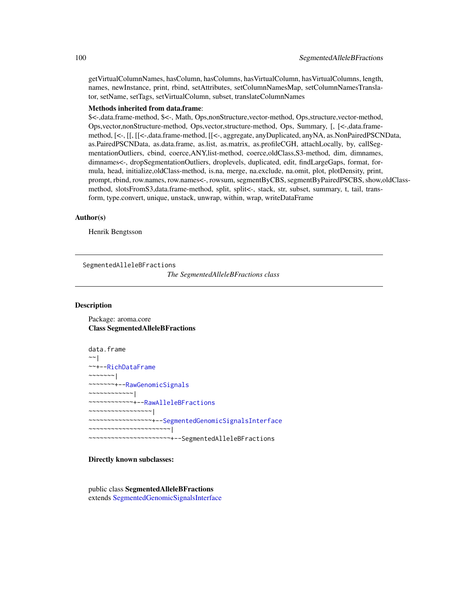getVirtualColumnNames, hasColumn, hasColumns, hasVirtualColumn, hasVirtualColumns, length, names, newInstance, print, rbind, setAttributes, setColumnNamesMap, setColumnNamesTranslator, setName, setTags, setVirtualColumn, subset, translateColumnNames

#### Methods inherited from data.frame:

\$<-,data.frame-method, \$<-, Math, Ops,nonStructure,vector-method, Ops,structure,vector-method, Ops,vector,nonStructure-method, Ops,vector,structure-method, Ops, Summary, [, [<-,data.framemethod, [<-, [[, [[<-,data.frame-method, [[<-, aggregate, anyDuplicated, anyNA, as.NonPairedPSCNData, as.PairedPSCNData, as.data.frame, as.list, as.matrix, as.profileCGH, attachLocally, by, callSegmentationOutliers, cbind, coerce,ANY,list-method, coerce,oldClass,S3-method, dim, dimnames, dimnames<-, dropSegmentationOutliers, droplevels, duplicated, edit, findLargeGaps, format, formula, head, initialize,oldClass-method, is.na, merge, na.exclude, na.omit, plot, plotDensity, print, prompt, rbind, row.names, row.names<-, rowsum, segmentByCBS, segmentByPairedPSCBS, show,oldClassmethod, slotsFromS3,data.frame-method, split, split<-, stack, str, subset, summary, t, tail, transform, type.convert, unique, unstack, unwrap, within, wrap, writeDataFrame

#### Author(s)

Henrik Bengtsson

<span id="page-99-0"></span>SegmentedAlleleBFractions

*The SegmentedAlleleBFractions class*

# Description

Package: aroma.core Class SegmentedAlleleBFractions

data.frame ~~| ~~+-[-RichDataFrame](#page-0-0)  $\sim$  ~~~~~~ | ~~~~~~~+-[-RawGenomicSignals](#page-93-0) ~~~~~~~~~~~~| ~~~~~~~~~~~~+-[-RawAlleleBFractions](#page-87-0) ~~~~~~~~~~~~~~~~~| ~~~~~~~~~~~~~~~~~+-[-SegmentedGenomicSignalsInterface](#page-104-0) ~~~~~~~~~~~~~~~~~~~~~~| ~~~~~~~~~~~~~~~~~~~~~~+--SegmentedAlleleBFractions

#### Directly known subclasses:

public class SegmentedAlleleBFractions extends [SegmentedGenomicSignalsInterface](#page-104-0)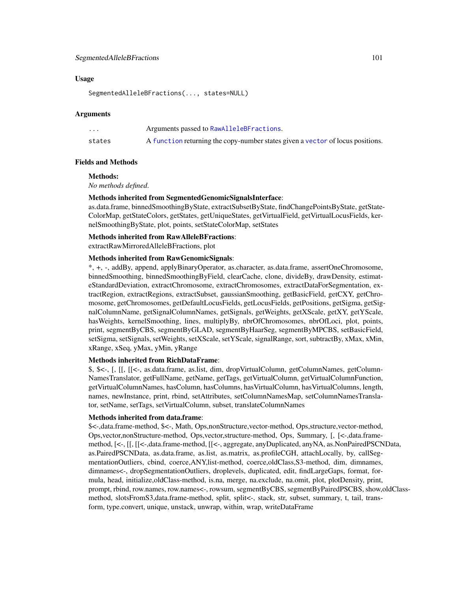# SegmentedAlleleBFractions 101

### Usage

SegmentedAlleleBFractions(..., states=NULL)

#### Arguments

| $\cdot$ $\cdot$ $\cdot$ | Arguments passed to RawAlleleBFractions.                                       |
|-------------------------|--------------------------------------------------------------------------------|
| states                  | A function returning the copy-number states given a vector of locus positions. |

#### Fields and Methods

### Methods:

*No methods defined*.

# Methods inherited from SegmentedGenomicSignalsInterface:

as.data.frame, binnedSmoothingByState, extractSubsetByState, findChangePointsByState, getState-ColorMap, getStateColors, getStates, getUniqueStates, getVirtualField, getVirtualLocusFields, kernelSmoothingByState, plot, points, setStateColorMap, setStates

#### Methods inherited from RawAlleleBFractions:

extractRawMirroredAlleleBFractions, plot

### Methods inherited from RawGenomicSignals:

\*, +, -, addBy, append, applyBinaryOperator, as.character, as.data.frame, assertOneChromosome, binnedSmoothing, binnedSmoothingByField, clearCache, clone, divideBy, drawDensity, estimateStandardDeviation, extractChromosome, extractChromosomes, extractDataForSegmentation, extractRegion, extractRegions, extractSubset, gaussianSmoothing, getBasicField, getCXY, getChromosome, getChromosomes, getDefaultLocusFields, getLocusFields, getPositions, getSigma, getSignalColumnName, getSignalColumnNames, getSignals, getWeights, getXScale, getXY, getYScale, hasWeights, kernelSmoothing, lines, multiplyBy, nbrOfChromosomes, nbrOfLoci, plot, points, print, segmentByCBS, segmentByGLAD, segmentByHaarSeg, segmentByMPCBS, setBasicField, setSigma, setSignals, setWeights, setXScale, setYScale, signalRange, sort, subtractBy, xMax, xMin, xRange, xSeq, yMax, yMin, yRange

### Methods inherited from RichDataFrame:

\$, \$<-, [, [[, [[<-, as.data.frame, as.list, dim, dropVirtualColumn, getColumnNames, getColumn-NamesTranslator, getFullName, getName, getTags, getVirtualColumn, getVirtualColumnFunction, getVirtualColumnNames, hasColumn, hasColumns, hasVirtualColumn, hasVirtualColumns, length, names, newInstance, print, rbind, setAttributes, setColumnNamesMap, setColumnNamesTranslator, setName, setTags, setVirtualColumn, subset, translateColumnNames

### Methods inherited from data.frame:

\$<-,data.frame-method, \$<-, Math, Ops,nonStructure,vector-method, Ops,structure,vector-method, Ops,vector,nonStructure-method, Ops,vector,structure-method, Ops, Summary, [, [<-,data.framemethod, [<-, [[, [[<-,data.frame-method, [[<-, aggregate, anyDuplicated, anyNA, as.NonPairedPSCNData, as.PairedPSCNData, as.data.frame, as.list, as.matrix, as.profileCGH, attachLocally, by, callSegmentationOutliers, cbind, coerce,ANY,list-method, coerce,oldClass,S3-method, dim, dimnames, dimnames<-, dropSegmentationOutliers, droplevels, duplicated, edit, findLargeGaps, format, formula, head, initialize,oldClass-method, is.na, merge, na.exclude, na.omit, plot, plotDensity, print, prompt, rbind, row.names, row.names<-, rowsum, segmentByCBS, segmentByPairedPSCBS, show,oldClassmethod, slotsFromS3,data.frame-method, split, split<-, stack, str, subset, summary, t, tail, transform, type.convert, unique, unstack, unwrap, within, wrap, writeDataFrame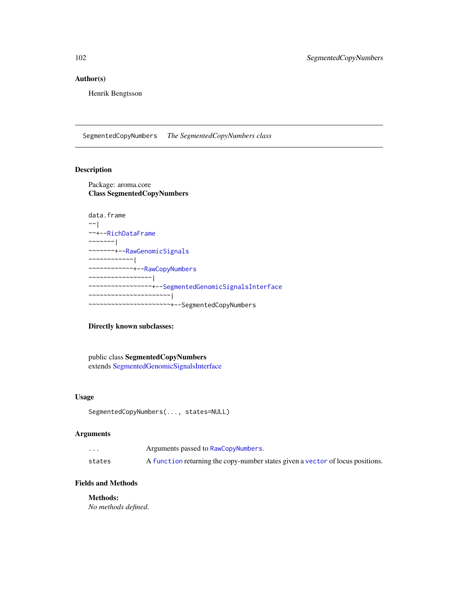# Author(s)

Henrik Bengtsson

<span id="page-101-0"></span>SegmentedCopyNumbers *The SegmentedCopyNumbers class*

# Description

Package: aroma.core Class SegmentedCopyNumbers

```
data.frame
~\sim ~\sim ~\mid~~+--RichDataFrame
~\sim \sim \sim \sim \sim \sim \sim \sim~~~~~~~+--RawGenomicSignals
~~~~~~~~~~~~|
~~~~~~~~~~~~+--RawCopyNumbers
~~~~~~~~~~~~~~~~~|
~~~~~~~~~~~~~~~~~+--SegmentedGenomicSignalsInterface
    ~~~~~~~~~~~~~~~~~~~~~~|
     ~~~~~~~~~~~~~~~~~~~~~~+--SegmentedCopyNumbers
```
# Directly known subclasses:

public class SegmentedCopyNumbers extends [SegmentedGenomicSignalsInterface](#page-104-0)

### Usage

```
SegmentedCopyNumbers(..., states=NULL)
```
# Arguments

| $\cdot$ $\cdot$ $\cdot$ | Arguments passed to RawCopyNumbers.                                            |
|-------------------------|--------------------------------------------------------------------------------|
| states                  | A function returning the copy-number states given a vector of locus positions. |

# Fields and Methods

Methods:

*No methods defined*.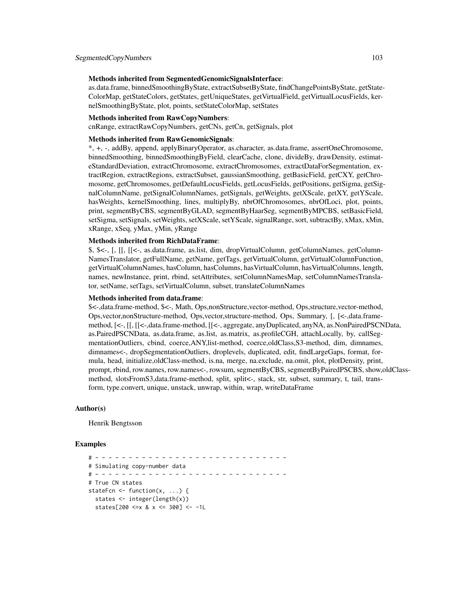#### Methods inherited from SegmentedGenomicSignalsInterface:

as.data.frame, binnedSmoothingByState, extractSubsetByState, findChangePointsByState, getState-ColorMap, getStateColors, getStates, getUniqueStates, getVirtualField, getVirtualLocusFields, kernelSmoothingByState, plot, points, setStateColorMap, setStates

#### Methods inherited from RawCopyNumbers:

cnRange, extractRawCopyNumbers, getCNs, getCn, getSignals, plot

### Methods inherited from RawGenomicSignals:

\*, +, -, addBy, append, applyBinaryOperator, as.character, as.data.frame, assertOneChromosome, binnedSmoothing, binnedSmoothingByField, clearCache, clone, divideBy, drawDensity, estimateStandardDeviation, extractChromosome, extractChromosomes, extractDataForSegmentation, extractRegion, extractRegions, extractSubset, gaussianSmoothing, getBasicField, getCXY, getChromosome, getChromosomes, getDefaultLocusFields, getLocusFields, getPositions, getSigma, getSignalColumnName, getSignalColumnNames, getSignals, getWeights, getXScale, getXY, getYScale, hasWeights, kernelSmoothing, lines, multiplyBy, nbrOfChromosomes, nbrOfLoci, plot, points, print, segmentByCBS, segmentByGLAD, segmentByHaarSeg, segmentByMPCBS, setBasicField, setSigma, setSignals, setWeights, setXScale, setYScale, signalRange, sort, subtractBy, xMax, xMin, xRange, xSeq, yMax, yMin, yRange

#### Methods inherited from RichDataFrame:

\$, \$<-, [, [[, [[<-, as.data.frame, as.list, dim, dropVirtualColumn, getColumnNames, getColumn-NamesTranslator, getFullName, getName, getTags, getVirtualColumn, getVirtualColumnFunction, getVirtualColumnNames, hasColumn, hasColumns, hasVirtualColumn, hasVirtualColumns, length, names, newInstance, print, rbind, setAttributes, setColumnNamesMap, setColumnNamesTranslator, setName, setTags, setVirtualColumn, subset, translateColumnNames

# Methods inherited from data.frame:

\$<-,data.frame-method, \$<-, Math, Ops,nonStructure,vector-method, Ops,structure,vector-method, Ops,vector,nonStructure-method, Ops,vector,structure-method, Ops, Summary, [, [<-,data.framemethod, [<-, [[, [[<-,data.frame-method, [[<-, aggregate, anyDuplicated, anyNA, as.NonPairedPSCNData, as.PairedPSCNData, as.data.frame, as.list, as.matrix, as.profileCGH, attachLocally, by, callSegmentationOutliers, cbind, coerce,ANY,list-method, coerce,oldClass,S3-method, dim, dimnames, dimnames<-, dropSegmentationOutliers, droplevels, duplicated, edit, findLargeGaps, format, formula, head, initialize,oldClass-method, is.na, merge, na.exclude, na.omit, plot, plotDensity, print, prompt, rbind, row.names, row.names<-, rowsum, segmentByCBS, segmentByPairedPSCBS, show,oldClassmethod, slotsFromS3,data.frame-method, split, split<-, stack, str, subset, summary, t, tail, transform, type.convert, unique, unstack, unwrap, within, wrap, writeDataFrame

#### Author(s)

Henrik Bengtsson

## Examples

# - - - - - - - - - - - - - - - - - - - - - - - - - - - - - # Simulating copy-number data # - - - - - - - - - - - - - - - - - - - - - - - - - - - - - # True CN states stateFcn <- function(x, ...) { states <- integer(length(x)) states[200 <=x & x <= 300] <- -1L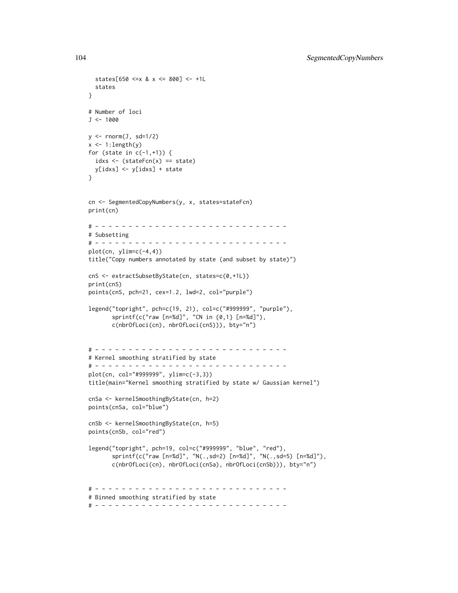```
states[650 <=x & x <= 800] <- +1L
  states
}
# Number of loci
J < -1000y \le - rnorm(J, sd=1/2)
x \leftarrow 1: length(y)
for (state in c(-1,+1)) {
  idxs \leq (stateFcn(x) == state)
 y[idxs] <- y[idxs] + state
}
cn <- SegmentedCopyNumbers(y, x, states=stateFcn)
print(cn)
# - - - - - - - - - - - - - - - - - - - - - - - - - - - - -
# Subsetting
# - - - - - - - - - - - - - - - - - - - - - - - - - - - - -
plot(cn, ylim=c(-4, 4))title("Copy numbers annotated by state (and subset by state)")
cnS <- extractSubsetByState(cn, states=c(0,+1L))
print(cnS)
points(cnS, pch=21, cex=1.2, lwd=2, col="purple")
legend("topright", pch=c(19, 21), col=c("#999999", "purple"),
       sprintf(c("raw [n=%d]", "CN in {0,1} [n=%d]"),
       c(nbrOfLoci(cn), nbrOfLoci(cnS))), bty="n")
# - - - - - - - - - - - - - - - - - - - - - - - - - - - - -
# Kernel smoothing stratified by state
# - - - - - - - - - - - - - - - - - - - - - - - - - - - - -
plot(cn, col="#999999", ylim=c(-3,3))
title(main="Kernel smoothing stratified by state w/ Gaussian kernel")
cnSa <- kernelSmoothingByState(cn, h=2)
points(cnSa, col="blue")
cnSb <- kernelSmoothingByState(cn, h=5)
points(cnSb, col="red")
legend("topright", pch=19, col=c("#999999", "blue", "red"),
       sprintf(c("raw [n=%d]", "N(.,sd=2) [n=%d]", "N(.,sd=5) [n=%d]"),
       c(nbrOfLoci(cn), nbrOfLoci(cnSa), nbrOfLoci(cnSb))), bty="n")
# - - - - - - - - - - - - - - - - - - - - - - - - - - - - -
# Binned smoothing stratified by state
# - - - - - - - - - - - - - - - - - - - - - - - - - - - - -
```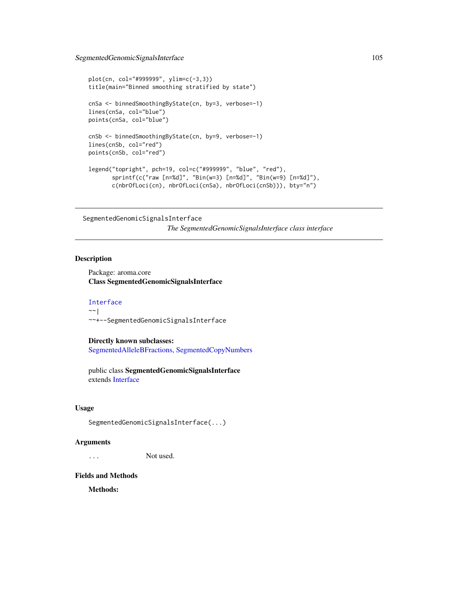```
plot(cn, col="#999999", ylim=c(-3,3))
title(main="Binned smoothing stratified by state")
cnSa <- binnedSmoothingByState(cn, by=3, verbose=-1)
lines(cnSa, col="blue")
points(cnSa, col="blue")
cnSb <- binnedSmoothingByState(cn, by=9, verbose=-1)
lines(cnSb, col="red")
points(cnSb, col="red")
legend("topright", pch=19, col=c("#999999", "blue", "red"),
      sprintf(c("raw [n=%d]", "Bin(w=3) [n=%d]", "Bin(w=9) [n=%d]"),
      c(nbrOfLoci(cn), nbrOfLoci(cnSa), nbrOfLoci(cnSb))), bty="n")
```
<span id="page-104-0"></span>SegmentedGenomicSignalsInterface *The SegmentedGenomicSignalsInterface class interface*

### Description

Package: aroma.core Class SegmentedGenomicSignalsInterface

### [Interface](#page-0-0) ~~|

~~+--SegmentedGenomicSignalsInterface

Directly known subclasses: [SegmentedAlleleBFractions,](#page-99-0) [SegmentedCopyNumbers](#page-101-0)

public class SegmentedGenomicSignalsInterface extends [Interface](#page-0-0)

### Usage

SegmentedGenomicSignalsInterface(...)

### **Arguments**

... Not used.

#### Fields and Methods

Methods: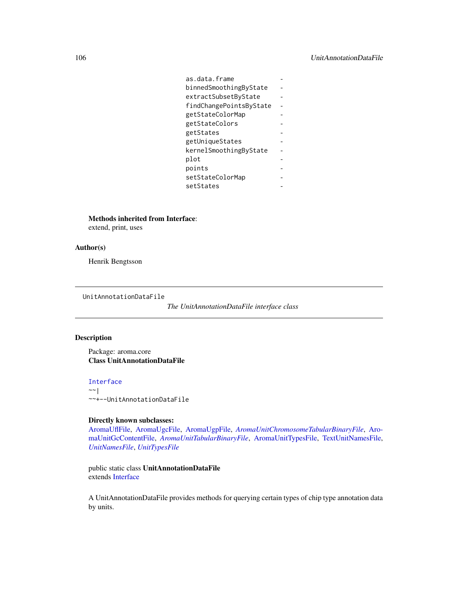| as.data.frame           |  |
|-------------------------|--|
| binnedSmoothingByState  |  |
| extractSubsetByState    |  |
| findChangePointsByState |  |
| getStateColorMap        |  |
| getStateColors          |  |
| getStates               |  |
| getUniqueStates         |  |
| kernelSmoothingByState  |  |
| plot                    |  |
| points                  |  |
| setStateColorMap        |  |
| setStates               |  |

Methods inherited from Interface:

extend, print, uses

# Author(s)

Henrik Bengtsson

<span id="page-105-0"></span>UnitAnnotationDataFile

*The UnitAnnotationDataFile interface class*

# Description

Package: aroma.core Class UnitAnnotationDataFile

[Interface](#page-0-0)  $~\sim$  | ~~+--UnitAnnotationDataFile

# Directly known subclasses:

[AromaUflFile,](#page-0-0) [AromaUgcFile,](#page-0-0) [AromaUgpFile,](#page-0-0) *[AromaUnitChromosomeTabularBinaryFile](#page-0-0)*, [Aro](#page-0-0)[maUnitGcContentFile,](#page-0-0) *[AromaUnitTabularBinaryFile](#page-51-0)*, [AromaUnitTypesFile,](#page-58-0) [TextUnitNamesFile,](#page-0-0) *[UnitNamesFile](#page-106-0)*, *[UnitTypesFile](#page-107-0)*

public static class UnitAnnotationDataFile extends [Interface](#page-0-0)

A UnitAnnotationDataFile provides methods for querying certain types of chip type annotation data by units.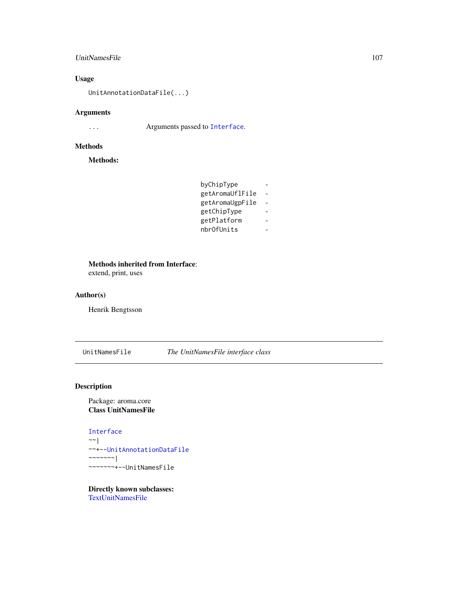# UnitNamesFile 107

# Usage

UnitAnnotationDataFile(...)

# Arguments

... Arguments passed to [Interface](#page-0-0).

# Methods

Methods:

| byChipType      |  |
|-----------------|--|
| getAromaUflFile |  |
| getAromaUgpFile |  |
| getChipType     |  |
| getPlatform     |  |
| nbr0fUnits      |  |

# Methods inherited from Interface:

extend, print, uses

# Author(s)

Henrik Bengtsson

<span id="page-106-0"></span>UnitNamesFile *The UnitNamesFile interface class*

# Description

Package: aroma.core Class UnitNamesFile

### [Interface](#page-0-0)

 $~\sim~$ | ~~+-[-UnitAnnotationDataFile](#page-105-0) ~~~~~~~| ~~~~~~~+--UnitNamesFile

Directly known subclasses: [TextUnitNamesFile](#page-0-0)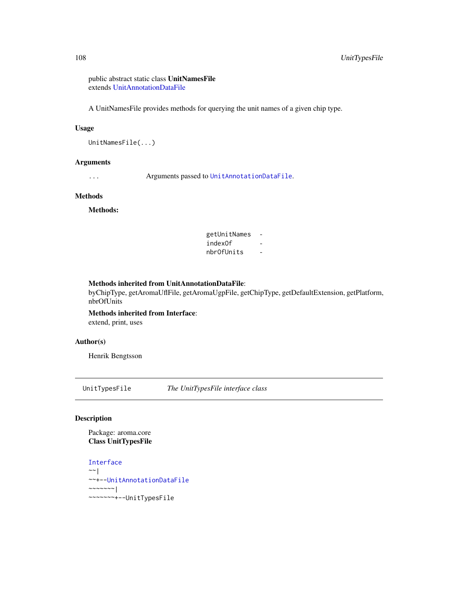public abstract static class UnitNamesFile extends [UnitAnnotationDataFile](#page-105-0)

A UnitNamesFile provides methods for querying the unit names of a given chip type.

#### Usage

UnitNamesFile(...)

### Arguments

... Arguments passed to [UnitAnnotationDataFile](#page-105-0).

# Methods

Methods:

getUnitNames indexOf nbrOfUnits -

# Methods inherited from UnitAnnotationDataFile:

byChipType, getAromaUflFile, getAromaUgpFile, getChipType, getDefaultExtension, getPlatform, nbrOfUnits

Methods inherited from Interface: extend, print, uses

# Author(s)

Henrik Bengtsson

<span id="page-107-0"></span>UnitTypesFile *The UnitTypesFile interface class*

#### Description

Package: aroma.core Class UnitTypesFile

[Interface](#page-0-0)  $\sim$  | ~~+-[-UnitAnnotationDataFile](#page-105-0)  $~\sim$   $~\sim$   $~\sim$   $~\sim$   $~\sim$   $~\sim$   $~\sim$ ~~~~~~~+--UnitTypesFile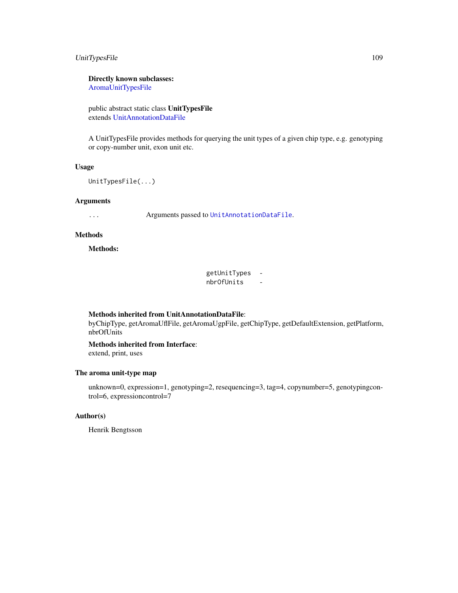### <span id="page-108-0"></span>UnitTypesFile 109

### Directly known subclasses:

[AromaUnitTypesFile](#page-58-0)

public abstract static class UnitTypesFile extends [UnitAnnotationDataFile](#page-105-0)

A UnitTypesFile provides methods for querying the unit types of a given chip type, e.g. genotyping or copy-number unit, exon unit etc.

### Usage

UnitTypesFile(...)

### Arguments

... Arguments passed to [UnitAnnotationDataFile](#page-105-0).

### Methods

Methods:

getUnitTypes nbrOfUnits -

### Methods inherited from UnitAnnotationDataFile:

byChipType, getAromaUflFile, getAromaUgpFile, getChipType, getDefaultExtension, getPlatform, nbrOfUnits

## Methods inherited from Interface:

extend, print, uses

### The aroma unit-type map

unknown=0, expression=1, genotyping=2, resequencing=3, tag=4, copynumber=5, genotypingcontrol=6, expressioncontrol=7

### Author(s)

Henrik Bengtsson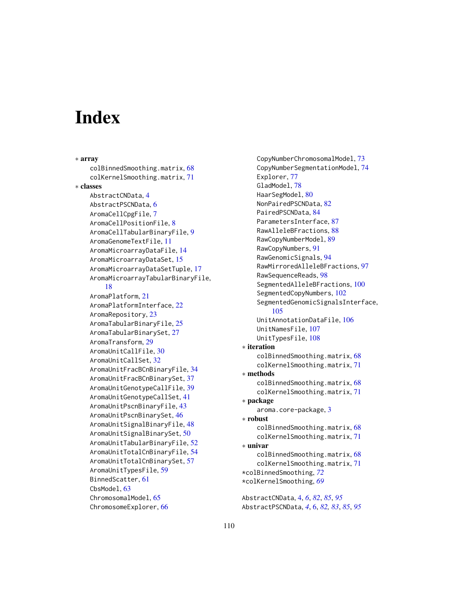# **Index**

∗ array colBinnedSmoothing.matrix, [68](#page-67-0) colKernelSmoothing.matrix, [71](#page-70-0) ∗ classes AbstractCNData, [4](#page-3-0) AbstractPSCNData, [6](#page-5-0) AromaCellCpgFile, [7](#page-6-0) AromaCellPositionFile, [8](#page-7-0) AromaCellTabularBinaryFile, [9](#page-8-0) AromaGenomeTextFile, [11](#page-10-0) AromaMicroarrayDataFile, [14](#page-13-0) AromaMicroarrayDataSet, [15](#page-14-0) AromaMicroarrayDataSetTuple, [17](#page-16-0) AromaMicroarrayTabularBinaryFile, [18](#page-17-0) AromaPlatform, [21](#page-20-0) AromaPlatformInterface, [22](#page-21-0) AromaRepository, [23](#page-22-0) AromaTabularBinaryFile, [25](#page-24-0) AromaTabularBinarySet, [27](#page-26-0) AromaTransform, [29](#page-28-0) AromaUnitCallFile, [30](#page-29-0) AromaUnitCallSet, [32](#page-31-0) AromaUnitFracBCnBinaryFile, [34](#page-33-0) AromaUnitFracBCnBinarySet, [37](#page-36-0) AromaUnitGenotypeCallFile, [39](#page-38-0) AromaUnitGenotypeCallSet, [41](#page-40-0) AromaUnitPscnBinaryFile, [43](#page-42-0) AromaUnitPscnBinarySet, [46](#page-45-0) AromaUnitSignalBinaryFile, [48](#page-47-0) AromaUnitSignalBinarySet, [50](#page-49-0) AromaUnitTabularBinaryFile, [52](#page-51-0) AromaUnitTotalCnBinaryFile, [54](#page-53-0) AromaUnitTotalCnBinarySet, [57](#page-56-0) AromaUnitTypesFile, [59](#page-58-1) BinnedScatter, [61](#page-60-0) CbsModel, [63](#page-62-0) ChromosomalModel, [65](#page-64-0) ChromosomeExplorer, [66](#page-65-0)

CopyNumberChromosomalModel, [73](#page-72-0) CopyNumberSegmentationModel, [74](#page-73-0) Explorer, [77](#page-76-0) GladModel, [78](#page-77-0) HaarSegModel, [80](#page-79-0) NonPairedPSCNData, [82](#page-81-0) PairedPSCNData, [84](#page-83-0) ParametersInterface, [87](#page-86-0) RawAlleleBFractions, [88](#page-87-0) RawCopyNumberModel, [89](#page-88-0) RawCopyNumbers, [91](#page-90-0) RawGenomicSignals, [94](#page-93-0) RawMirroredAlleleBFractions, [97](#page-96-0) RawSequenceReads, [98](#page-97-0) SegmentedAlleleBFractions, [100](#page-99-0) SegmentedCopyNumbers, [102](#page-101-0) SegmentedGenomicSignalsInterface, [105](#page-104-0) UnitAnnotationDataFile, [106](#page-105-1) UnitNamesFile, [107](#page-106-0) UnitTypesFile, [108](#page-107-0) ∗ iteration colBinnedSmoothing.matrix, [68](#page-67-0) colKernelSmoothing.matrix, [71](#page-70-0) ∗ methods colBinnedSmoothing.matrix, [68](#page-67-0) colKernelSmoothing.matrix, [71](#page-70-0) ∗ package aroma.core-package, [3](#page-2-0) ∗ robust colBinnedSmoothing.matrix, [68](#page-67-0) colKernelSmoothing.matrix, [71](#page-70-0) ∗ univar colBinnedSmoothing.matrix, [68](#page-67-0) colKernelSmoothing.matrix, [71](#page-70-0) \*colBinnedSmoothing, *[72](#page-71-0)* \*colKernelSmoothing, *[69](#page-68-0)* AbstractCNData, [4,](#page-3-0) *[6](#page-5-0)*, *[82](#page-81-0)*, *[85](#page-84-0)*, *[95](#page-94-0)*

AbstractPSCNData, *[4](#page-3-0)*, [6,](#page-5-0) *[82,](#page-81-0) [83](#page-82-0)*, *[85](#page-84-0)*, *[95](#page-94-0)*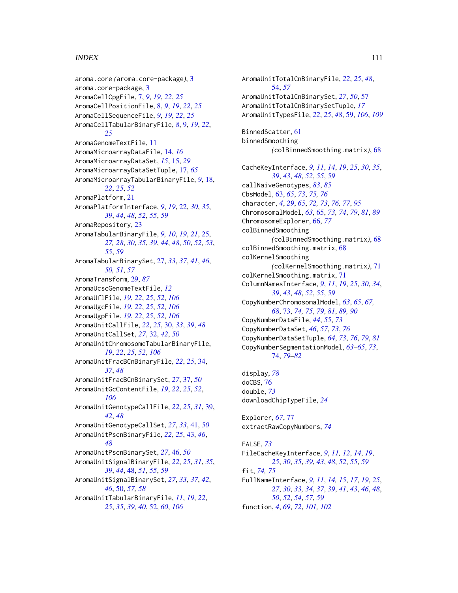### INDEX 111

aroma.core *(*aroma.core-package*)*, [3](#page-2-0) aroma.core-package, [3](#page-2-0) AromaCellCpgFile, [7,](#page-6-0) *[9](#page-8-0)*, *[19](#page-18-0)*, *[22](#page-21-0)*, *[25](#page-24-0)* AromaCellPositionFile, [8,](#page-7-0) *[9](#page-8-0)*, *[19](#page-18-0)*, *[22](#page-21-0)*, *[25](#page-24-0)* AromaCellSequenceFile, *[9](#page-8-0)*, *[19](#page-18-0)*, *[22](#page-21-0)*, *[25](#page-24-0)* AromaCellTabularBinaryFile, *[8](#page-7-0)*, [9,](#page-8-0) *[19](#page-18-0)*, *[22](#page-21-0)*, *[25](#page-24-0)* AromaGenomeTextFile, [11](#page-10-0) AromaMicroarrayDataFile, [14,](#page-13-0) *[16](#page-15-0)* AromaMicroarrayDataSet, *[15](#page-14-0)*, [15,](#page-14-0) *[29](#page-28-0)* AromaMicroarrayDataSetTuple, [17,](#page-16-0) *[65](#page-64-0)* AromaMicroarrayTabularBinaryFile, *[9](#page-8-0)*, [18,](#page-17-0) *[22](#page-21-0)*, *[25](#page-24-0)*, *[52](#page-51-0)* AromaPlatform, [21](#page-20-0) AromaPlatformInterface, *[9](#page-8-0)*, *[19](#page-18-0)*, [22,](#page-21-0) *[30](#page-29-0)*, *[35](#page-34-0)*, *[39](#page-38-0)*, *[44](#page-43-0)*, *[48](#page-47-0)*, *[52](#page-51-0)*, *[55](#page-54-0)*, *[59](#page-58-1)* AromaRepository, [23](#page-22-0) AromaTabularBinaryFile, *[9,](#page-8-0) [10](#page-9-0)*, *[19](#page-18-0)*, *[21](#page-20-0)*, [25,](#page-24-0) *[27,](#page-26-0) [28](#page-27-0)*, *[30](#page-29-0)*, *[35](#page-34-0)*, *[39](#page-38-0)*, *[44](#page-43-0)*, *[48](#page-47-0)*, *[50](#page-49-0)*, *[52,](#page-51-0) [53](#page-52-0)*, *[55](#page-54-0)*, *[59](#page-58-1)* AromaTabularBinarySet, [27,](#page-26-0) *[33](#page-32-0)*, *[37](#page-36-0)*, *[41](#page-40-0)*, *[46](#page-45-0)*, *[50,](#page-49-0) [51](#page-50-0)*, *[57](#page-56-0)* AromaTransform, [29,](#page-28-0) *[87](#page-86-0)* AromaUcscGenomeTextFile, *[12](#page-11-0)* AromaUflFile, *[19](#page-18-0)*, *[22](#page-21-0)*, *[25](#page-24-0)*, *[52](#page-51-0)*, *[106](#page-105-1)* AromaUgcFile, *[19](#page-18-0)*, *[22](#page-21-0)*, *[25](#page-24-0)*, *[52](#page-51-0)*, *[106](#page-105-1)* AromaUgpFile, *[19](#page-18-0)*, *[22](#page-21-0)*, *[25](#page-24-0)*, *[52](#page-51-0)*, *[106](#page-105-1)* AromaUnitCallFile, *[22](#page-21-0)*, *[25](#page-24-0)*, [30,](#page-29-0) *[33](#page-32-0)*, *[39](#page-38-0)*, *[48](#page-47-0)* AromaUnitCallSet, *[27](#page-26-0)*, [32,](#page-31-0) *[42](#page-41-0)*, *[50](#page-49-0)* AromaUnitChromosomeTabularBinaryFile, *[19](#page-18-0)*, *[22](#page-21-0)*, *[25](#page-24-0)*, *[52](#page-51-0)*, *[106](#page-105-1)* AromaUnitFracBCnBinaryFile, *[22](#page-21-0)*, *[25](#page-24-0)*, [34,](#page-33-0) *[37](#page-36-0)*, *[48](#page-47-0)* AromaUnitFracBCnBinarySet, *[27](#page-26-0)*, [37,](#page-36-0) *[50](#page-49-0)* AromaUnitGcContentFile, *[19](#page-18-0)*, *[22](#page-21-0)*, *[25](#page-24-0)*, *[52](#page-51-0)*, *[106](#page-105-1)* AromaUnitGenotypeCallFile, *[22](#page-21-0)*, *[25](#page-24-0)*, *[31](#page-30-0)*, [39,](#page-38-0) *[42](#page-41-0)*, *[48](#page-47-0)* AromaUnitGenotypeCallSet, *[27](#page-26-0)*, *[33](#page-32-0)*, [41,](#page-40-0) *[50](#page-49-0)* AromaUnitPscnBinaryFile, *[22](#page-21-0)*, *[25](#page-24-0)*, [43,](#page-42-0) *[46](#page-45-0)*, *[48](#page-47-0)* AromaUnitPscnBinarySet, *[27](#page-26-0)*, [46,](#page-45-0) *[50](#page-49-0)* AromaUnitSignalBinaryFile, *[22](#page-21-0)*, *[25](#page-24-0)*, *[31](#page-30-0)*, *[35](#page-34-0)*, *[39](#page-38-0)*, *[44](#page-43-0)*, [48,](#page-47-0) *[51](#page-50-0)*, *[55](#page-54-0)*, *[59](#page-58-1)* AromaUnitSignalBinarySet, *[27](#page-26-0)*, *[33](#page-32-0)*, *[37](#page-36-0)*, *[42](#page-41-0)*, *[46](#page-45-0)*, [50,](#page-49-0) *[57,](#page-56-0) [58](#page-57-0)* AromaUnitTabularBinaryFile, *[11](#page-10-0)*, *[19](#page-18-0)*, *[22](#page-21-0)*, *[25](#page-24-0)*, *[35](#page-34-0)*, *[39,](#page-38-0) [40](#page-39-0)*, [52,](#page-51-0) *[60](#page-59-0)*, *[106](#page-105-1)*

AromaUnitTotalCnBinaryFile, *[22](#page-21-0)*, *[25](#page-24-0)*, *[48](#page-47-0)*, [54,](#page-53-0) *[57](#page-56-0)* AromaUnitTotalCnBinarySet, *[27](#page-26-0)*, *[50](#page-49-0)*, [57](#page-56-0) AromaUnitTotalCnBinarySetTuple, *[17](#page-16-0)* AromaUnitTypesFile, *[22](#page-21-0)*, *[25](#page-24-0)*, *[48](#page-47-0)*, [59,](#page-58-1) *[106](#page-105-1)*, *[109](#page-108-0)* BinnedScatter, [61](#page-60-0) binnedSmoothing *(*colBinnedSmoothing.matrix*)*, [68](#page-67-0) CacheKeyInterface, *[9](#page-8-0)*, *[11](#page-10-0)*, *[14](#page-13-0)*, *[19](#page-18-0)*, *[25](#page-24-0)*, *[30](#page-29-0)*, *[35](#page-34-0)*, *[39](#page-38-0)*, *[43](#page-42-0)*, *[48](#page-47-0)*, *[52](#page-51-0)*, *[55](#page-54-0)*, *[59](#page-58-1)* callNaiveGenotypes, *[83](#page-82-0)*, *[85](#page-84-0)* CbsModel, [63,](#page-62-0) *[65](#page-64-0)*, *[73](#page-72-0)*, *[75,](#page-74-0) [76](#page-75-0)* character, *[4](#page-3-0)*, *[29](#page-28-0)*, *[65](#page-64-0)*, *[72,](#page-71-0) [73](#page-72-0)*, *[76,](#page-75-0) [77](#page-76-0)*, *[95](#page-94-0)* ChromosomalModel, *[63](#page-62-0)*, [65,](#page-64-0) *[73,](#page-72-0) [74](#page-73-0)*, *[79](#page-78-0)*, *[81](#page-80-0)*, *[89](#page-88-0)* ChromosomeExplorer, [66,](#page-65-0) *[77](#page-76-0)* colBinnedSmoothing *(*colBinnedSmoothing.matrix*)*, [68](#page-67-0) colBinnedSmoothing.matrix, [68](#page-67-0) colKernelSmoothing *(*colKernelSmoothing.matrix*)*, [71](#page-70-0) colKernelSmoothing.matrix, [71](#page-70-0) ColumnNamesInterface, *[9](#page-8-0)*, *[11](#page-10-0)*, *[19](#page-18-0)*, *[25](#page-24-0)*, *[30](#page-29-0)*, *[34](#page-33-0)*, *[39](#page-38-0)*, *[43](#page-42-0)*, *[48](#page-47-0)*, *[52](#page-51-0)*, *[55](#page-54-0)*, *[59](#page-58-1)* CopyNumberChromosomalModel, *[63](#page-62-0)*, *[65](#page-64-0)*, *[67,](#page-66-0) [68](#page-67-0)*, [73,](#page-72-0) *[74,](#page-73-0) [75](#page-74-0)*, *[79](#page-78-0)*, *[81](#page-80-0)*, *[89,](#page-88-0) [90](#page-89-0)* CopyNumberDataFile, *[44](#page-43-0)*, *[55](#page-54-0)*, *[73](#page-72-0)* CopyNumberDataSet, *[46](#page-45-0)*, *[57](#page-56-0)*, *[73](#page-72-0)*, *[76](#page-75-0)* CopyNumberDataSetTuple, *[64](#page-63-0)*, *[73](#page-72-0)*, *[76](#page-75-0)*, *[79](#page-78-0)*, *[81](#page-80-0)* CopyNumberSegmentationModel, *[63](#page-62-0)[–65](#page-64-0)*, *[73](#page-72-0)*, [74,](#page-73-0) *[79](#page-78-0)[–82](#page-81-0)*

display, *[78](#page-77-0)* doCBS, [76](#page-75-0) double, *[73](#page-72-0)* downloadChipTypeFile, *[24](#page-23-0)*

Explorer, *[67](#page-66-0)*, [77](#page-76-0) extractRawCopyNumbers, *[74](#page-73-0)*

FALSE, *[73](#page-72-0)* FileCacheKeyInterface, *[9](#page-8-0)*, *[11,](#page-10-0) [12](#page-11-0)*, *[14](#page-13-0)*, *[19](#page-18-0)*, *[25](#page-24-0)*, *[30](#page-29-0)*, *[35](#page-34-0)*, *[39](#page-38-0)*, *[43](#page-42-0)*, *[48](#page-47-0)*, *[52](#page-51-0)*, *[55](#page-54-0)*, *[59](#page-58-1)* fit, *[74,](#page-73-0) [75](#page-74-0)* FullNameInterface, *[9](#page-8-0)*, *[11](#page-10-0)*, *[14,](#page-13-0) [15](#page-14-0)*, *[17](#page-16-0)*, *[19](#page-18-0)*, *[25](#page-24-0)*, *[27](#page-26-0)*, *[30](#page-29-0)*, *[33,](#page-32-0) [34](#page-33-0)*, *[37](#page-36-0)*, *[39](#page-38-0)*, *[41](#page-40-0)*, *[43](#page-42-0)*, *[46](#page-45-0)*, *[48](#page-47-0)*, *[50](#page-49-0)*, *[52](#page-51-0)*, *[54](#page-53-0)*, *[57](#page-56-0)*, *[59](#page-58-1)* function, *[4](#page-3-0)*, *[69](#page-68-0)*, *[72](#page-71-0)*, *[101,](#page-100-0) [102](#page-101-0)*